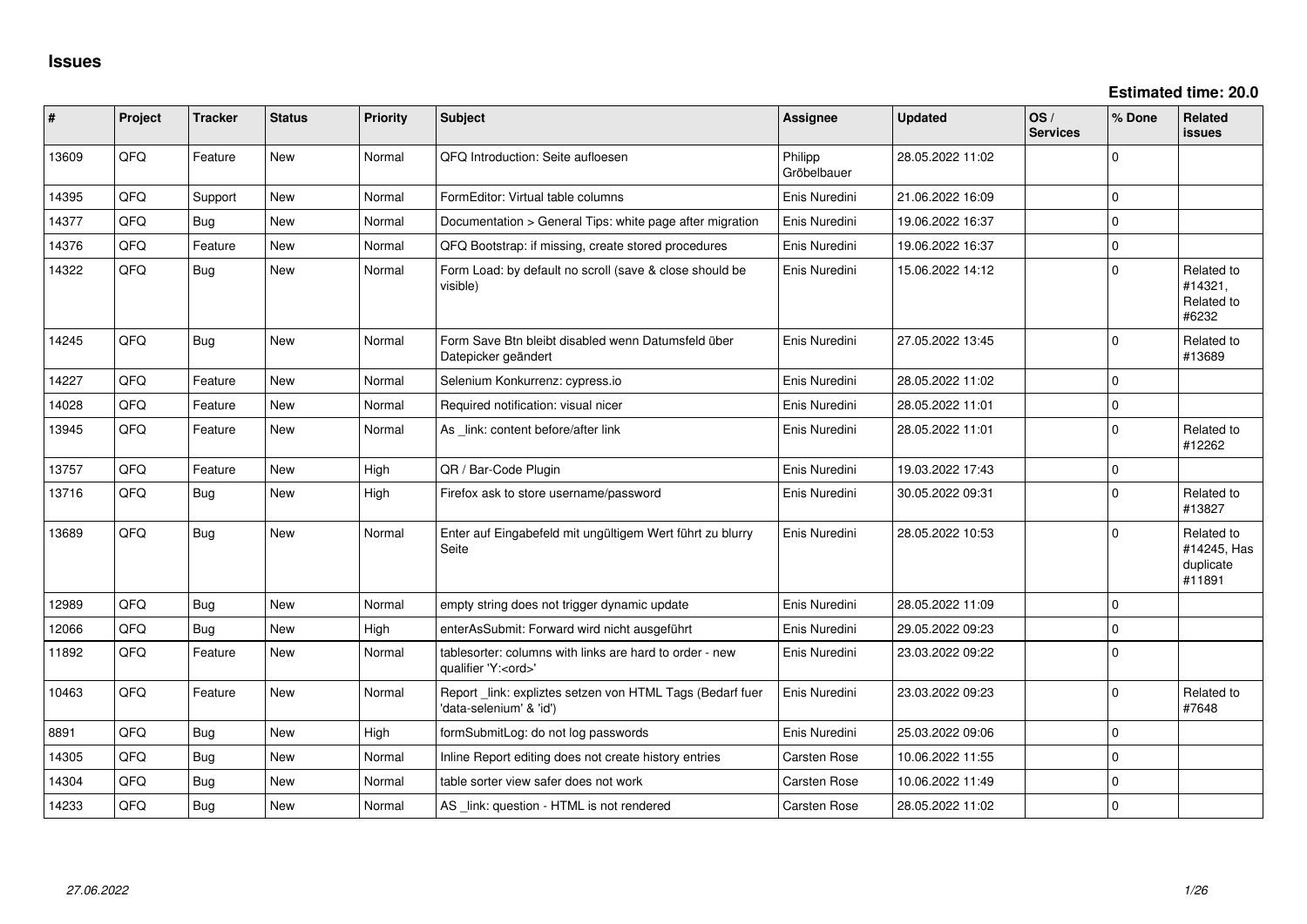| #     | Project | <b>Tracker</b> | <b>Status</b> | <b>Priority</b> | <b>Subject</b>                                                                        | <b>Assignee</b>        | <b>Updated</b>   | OS/<br><b>Services</b> | % Done      | <b>Related</b><br><b>issues</b>                  |
|-------|---------|----------------|---------------|-----------------|---------------------------------------------------------------------------------------|------------------------|------------------|------------------------|-------------|--------------------------------------------------|
| 13609 | QFQ     | Feature        | <b>New</b>    | Normal          | QFQ Introduction: Seite aufloesen                                                     | Philipp<br>Gröbelbauer | 28.05.2022 11:02 |                        | $\Omega$    |                                                  |
| 14395 | QFQ     | Support        | New           | Normal          | FormEditor: Virtual table columns                                                     | Enis Nuredini          | 21.06.2022 16:09 |                        | $\mathbf 0$ |                                                  |
| 14377 | QFQ     | Bug            | <b>New</b>    | Normal          | Documentation > General Tips: white page after migration                              | Enis Nuredini          | 19.06.2022 16:37 |                        | $\mathbf 0$ |                                                  |
| 14376 | QFQ     | Feature        | <b>New</b>    | Normal          | QFQ Bootstrap: if missing, create stored procedures                                   | Enis Nuredini          | 19.06.2022 16:37 |                        | $\mathbf 0$ |                                                  |
| 14322 | QFQ     | Bug            | New           | Normal          | Form Load: by default no scroll (save & close should be<br>visible)                   | Enis Nuredini          | 15.06.2022 14:12 |                        | $\mathbf 0$ | Related to<br>#14321,<br>Related to<br>#6232     |
| 14245 | QFQ     | Bug            | <b>New</b>    | Normal          | Form Save Btn bleibt disabled wenn Datumsfeld über<br>Datepicker geändert             | Enis Nuredini          | 27.05.2022 13:45 |                        | $\Omega$    | Related to<br>#13689                             |
| 14227 | QFQ     | Feature        | <b>New</b>    | Normal          | Selenium Konkurrenz: cypress.io                                                       | Enis Nuredini          | 28.05.2022 11:02 |                        | $\Omega$    |                                                  |
| 14028 | QFQ     | Feature        | <b>New</b>    | Normal          | Required notification: visual nicer                                                   | Enis Nuredini          | 28.05.2022 11:01 |                        | $\mathbf 0$ |                                                  |
| 13945 | QFQ     | Feature        | <b>New</b>    | Normal          | As link: content before/after link                                                    | Enis Nuredini          | 28.05.2022 11:01 |                        | $\Omega$    | Related to<br>#12262                             |
| 13757 | QFQ     | Feature        | <b>New</b>    | High            | QR / Bar-Code Plugin                                                                  | Enis Nuredini          | 19.03.2022 17:43 |                        | $\mathbf 0$ |                                                  |
| 13716 | QFQ     | Bug            | <b>New</b>    | High            | Firefox ask to store username/password                                                | Enis Nuredini          | 30.05.2022 09:31 |                        | $\Omega$    | Related to<br>#13827                             |
| 13689 | QFQ     | Bug            | New           | Normal          | Enter auf Eingabefeld mit ungültigem Wert führt zu blurry<br>Seite                    | Enis Nuredini          | 28.05.2022 10:53 |                        | $\Omega$    | Related to<br>#14245, Has<br>duplicate<br>#11891 |
| 12989 | QFQ     | Bug            | New           | Normal          | empty string does not trigger dynamic update                                          | Enis Nuredini          | 28.05.2022 11:09 |                        | $\mathbf 0$ |                                                  |
| 12066 | QFQ     | Bug            | <b>New</b>    | High            | enterAsSubmit: Forward wird nicht ausgeführt                                          | Enis Nuredini          | 29.05.2022 09:23 |                        | $\mathbf 0$ |                                                  |
| 11892 | QFQ     | Feature        | New           | Normal          | tablesorter: columns with links are hard to order - new<br>qualifier 'Y: <ord>'</ord> | Enis Nuredini          | 23.03.2022 09:22 |                        | $\mathbf 0$ |                                                  |
| 10463 | QFQ     | Feature        | <b>New</b>    | Normal          | Report _link: expliztes setzen von HTML Tags (Bedarf fuer<br>'data-selenium' & 'id')  | Enis Nuredini          | 23.03.2022 09:23 |                        | $\mathbf 0$ | Related to<br>#7648                              |
| 8891  | QFQ     | Bug            | <b>New</b>    | High            | formSubmitLog: do not log passwords                                                   | Enis Nuredini          | 25.03.2022 09:06 |                        | $\mathbf 0$ |                                                  |
| 14305 | QFQ     | Bug            | New           | Normal          | Inline Report editing does not create history entries                                 | Carsten Rose           | 10.06.2022 11:55 |                        | $\mathbf 0$ |                                                  |
| 14304 | QFQ     | Bug            | <b>New</b>    | Normal          | table sorter view safer does not work                                                 | Carsten Rose           | 10.06.2022 11:49 |                        | $\mathbf 0$ |                                                  |
| 14233 | QFQ     | Bug            | <b>New</b>    | Normal          | AS _link: question - HTML is not rendered                                             | Carsten Rose           | 28.05.2022 11:02 |                        | $\mathbf 0$ |                                                  |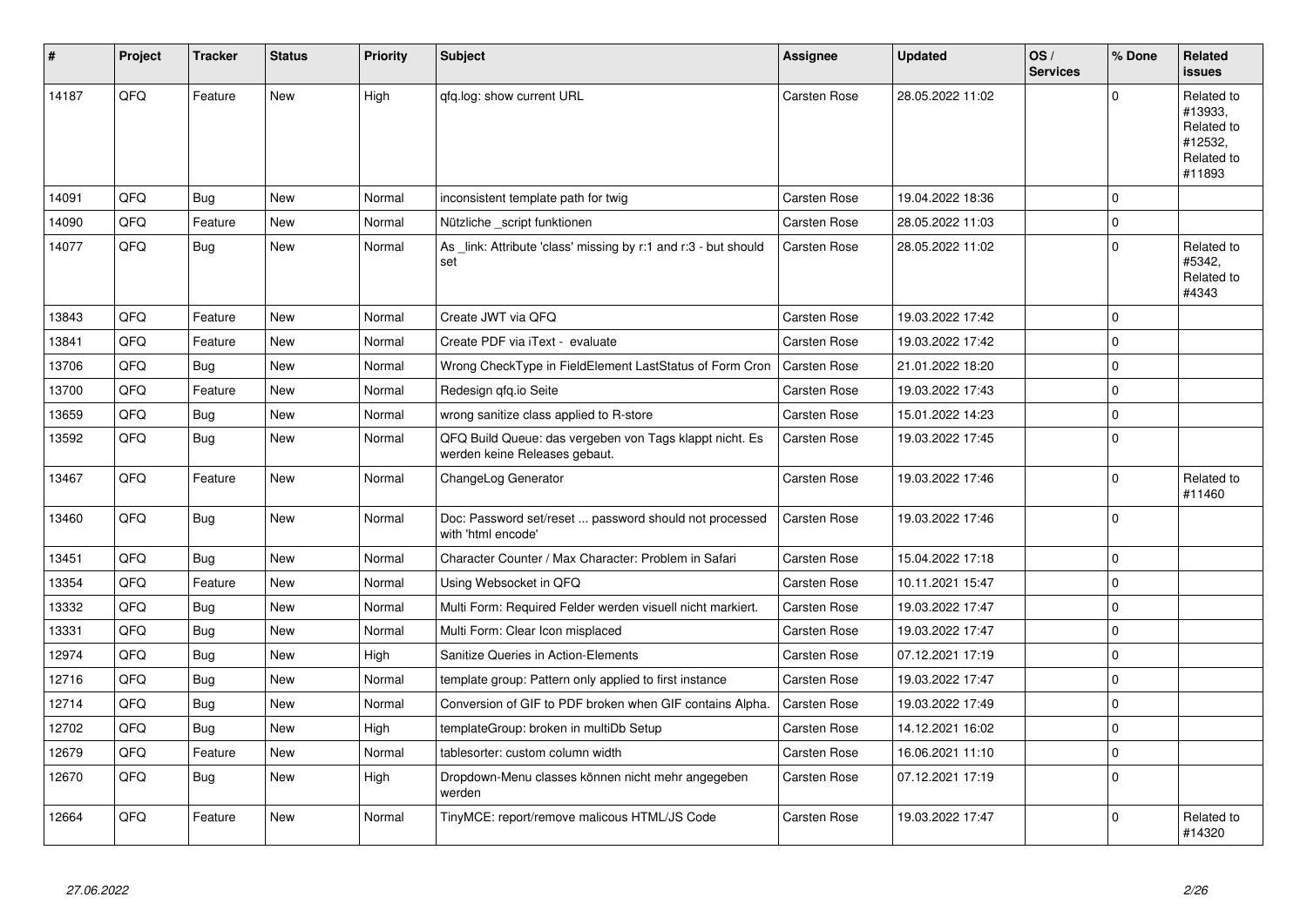| #     | Project | <b>Tracker</b> | <b>Status</b> | <b>Priority</b> | <b>Subject</b>                                                                           | <b>Assignee</b> | <b>Updated</b>   | OS/<br><b>Services</b> | % Done      | Related<br><b>issues</b>                                               |
|-------|---------|----------------|---------------|-----------------|------------------------------------------------------------------------------------------|-----------------|------------------|------------------------|-------------|------------------------------------------------------------------------|
| 14187 | QFQ     | Feature        | <b>New</b>    | High            | qfq.log: show current URL                                                                | Carsten Rose    | 28.05.2022 11:02 |                        | $\Omega$    | Related to<br>#13933,<br>Related to<br>#12532,<br>Related to<br>#11893 |
| 14091 | QFQ     | Bug            | <b>New</b>    | Normal          | inconsistent template path for twig                                                      | Carsten Rose    | 19.04.2022 18:36 |                        | $\mathbf 0$ |                                                                        |
| 14090 | QFQ     | Feature        | New           | Normal          | Nützliche _script funktionen                                                             | Carsten Rose    | 28.05.2022 11:03 |                        | $\Omega$    |                                                                        |
| 14077 | QFQ     | Bug            | New           | Normal          | As link: Attribute 'class' missing by r:1 and r:3 - but should<br>set                    | Carsten Rose    | 28.05.2022 11:02 |                        | $\mathbf 0$ | Related to<br>#5342,<br>Related to<br>#4343                            |
| 13843 | QFQ     | Feature        | <b>New</b>    | Normal          | Create JWT via QFQ                                                                       | Carsten Rose    | 19.03.2022 17:42 |                        | $\Omega$    |                                                                        |
| 13841 | QFQ     | Feature        | New           | Normal          | Create PDF via iText - evaluate                                                          | Carsten Rose    | 19.03.2022 17:42 |                        | $\mathbf 0$ |                                                                        |
| 13706 | QFQ     | <b>Bug</b>     | <b>New</b>    | Normal          | Wrong CheckType in FieldElement LastStatus of Form Cron                                  | Carsten Rose    | 21.01.2022 18:20 |                        | $\Omega$    |                                                                        |
| 13700 | QFQ     | Feature        | New           | Normal          | Redesign qfq.io Seite                                                                    | Carsten Rose    | 19.03.2022 17:43 |                        | $\mathbf 0$ |                                                                        |
| 13659 | QFQ     | Bug            | <b>New</b>    | Normal          | wrong sanitize class applied to R-store                                                  | Carsten Rose    | 15.01.2022 14:23 |                        | $\Omega$    |                                                                        |
| 13592 | QFQ     | <b>Bug</b>     | New           | Normal          | QFQ Build Queue: das vergeben von Tags klappt nicht. Es<br>werden keine Releases gebaut. | Carsten Rose    | 19.03.2022 17:45 |                        | $\Omega$    |                                                                        |
| 13467 | QFQ     | Feature        | <b>New</b>    | Normal          | ChangeLog Generator                                                                      | Carsten Rose    | 19.03.2022 17:46 |                        | $\mathbf 0$ | Related to<br>#11460                                                   |
| 13460 | QFQ     | <b>Bug</b>     | New           | Normal          | Doc: Password set/reset  password should not processed<br>with 'html encode'             | Carsten Rose    | 19.03.2022 17:46 |                        | $\mathbf 0$ |                                                                        |
| 13451 | QFQ     | Bug            | <b>New</b>    | Normal          | Character Counter / Max Character: Problem in Safari                                     | Carsten Rose    | 15.04.2022 17:18 |                        | $\Omega$    |                                                                        |
| 13354 | QFQ     | Feature        | New           | Normal          | Using Websocket in QFQ                                                                   | Carsten Rose    | 10.11.2021 15:47 |                        | $\Omega$    |                                                                        |
| 13332 | QFQ     | <b>Bug</b>     | <b>New</b>    | Normal          | Multi Form: Required Felder werden visuell nicht markiert.                               | Carsten Rose    | 19.03.2022 17:47 |                        | $\mathbf 0$ |                                                                        |
| 13331 | QFQ     | <b>Bug</b>     | New           | Normal          | Multi Form: Clear Icon misplaced                                                         | Carsten Rose    | 19.03.2022 17:47 |                        | $\mathbf 0$ |                                                                        |
| 12974 | QFQ     | Bug            | <b>New</b>    | High            | Sanitize Queries in Action-Elements                                                      | Carsten Rose    | 07.12.2021 17:19 |                        | $\mathbf 0$ |                                                                        |
| 12716 | QFQ     | <b>Bug</b>     | New           | Normal          | template group: Pattern only applied to first instance                                   | Carsten Rose    | 19.03.2022 17:47 |                        | $\mathbf 0$ |                                                                        |
| 12714 | QFQ     | <b>Bug</b>     | <b>New</b>    | Normal          | Conversion of GIF to PDF broken when GIF contains Alpha.                                 | Carsten Rose    | 19.03.2022 17:49 |                        | $\Omega$    |                                                                        |
| 12702 | QFQ     | <b>Bug</b>     | New           | High            | templateGroup: broken in multiDb Setup                                                   | Carsten Rose    | 14.12.2021 16:02 |                        | $\mathbf 0$ |                                                                        |
| 12679 | QFQ     | Feature        | New           | Normal          | tablesorter: custom column width                                                         | Carsten Rose    | 16.06.2021 11:10 |                        | $\Omega$    |                                                                        |
| 12670 | QFQ     | <b>Bug</b>     | New           | High            | Dropdown-Menu classes können nicht mehr angegeben<br>werden                              | Carsten Rose    | 07.12.2021 17:19 |                        | $\mathbf 0$ |                                                                        |
| 12664 | QFQ     | Feature        | <b>New</b>    | Normal          | TinyMCE: report/remove malicous HTML/JS Code                                             | Carsten Rose    | 19.03.2022 17:47 |                        | $\Omega$    | Related to<br>#14320                                                   |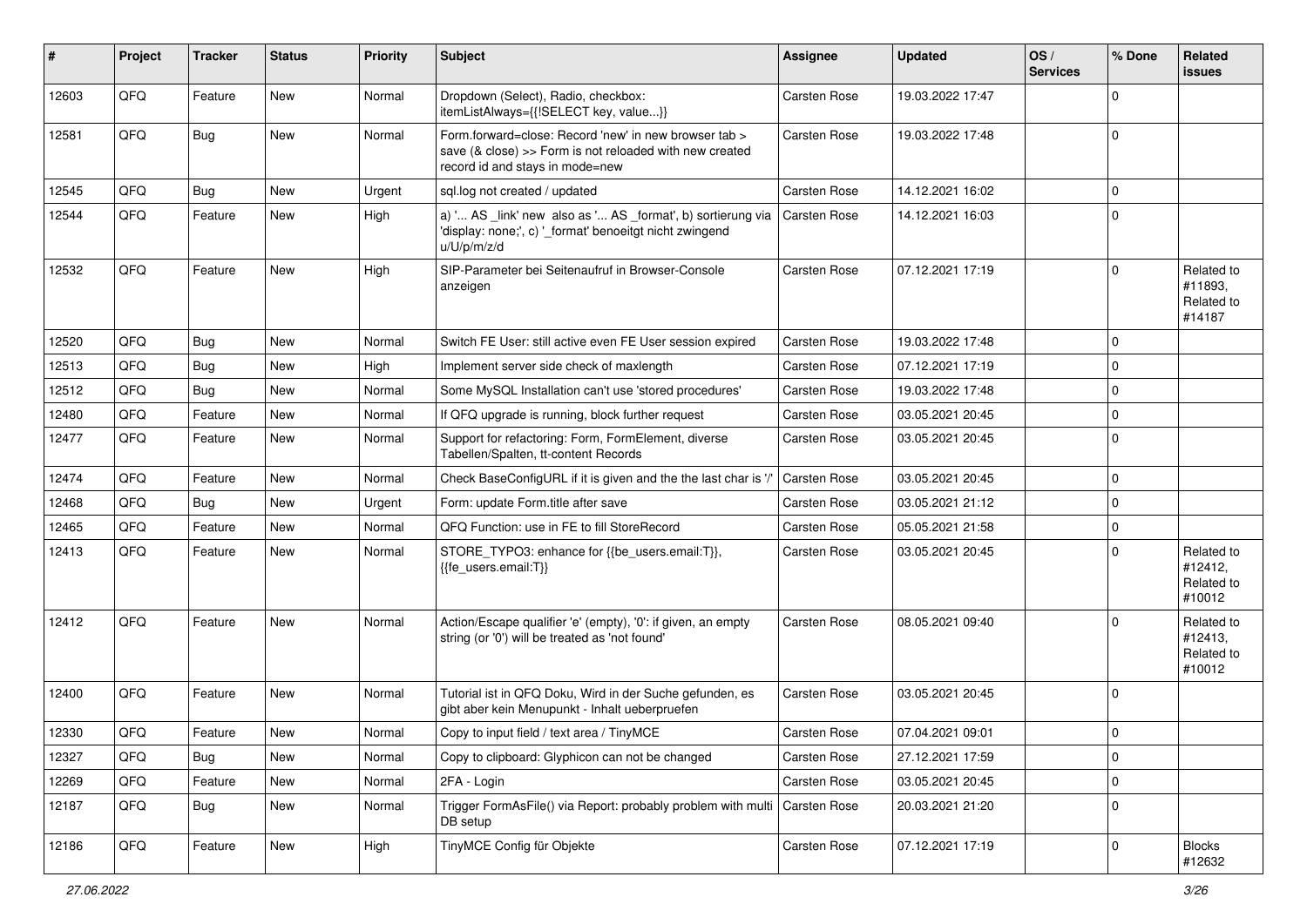| #     | Project | <b>Tracker</b> | <b>Status</b> | <b>Priority</b> | <b>Subject</b>                                                                                                                                      | Assignee     | <b>Updated</b>   | OS/<br><b>Services</b> | % Done      | Related<br>issues                             |
|-------|---------|----------------|---------------|-----------------|-----------------------------------------------------------------------------------------------------------------------------------------------------|--------------|------------------|------------------------|-------------|-----------------------------------------------|
| 12603 | QFQ     | Feature        | New           | Normal          | Dropdown (Select), Radio, checkbox:<br>itemListAlways={{!SELECT key, value}}                                                                        | Carsten Rose | 19.03.2022 17:47 |                        | $\Omega$    |                                               |
| 12581 | QFQ     | Bug            | New           | Normal          | Form.forward=close: Record 'new' in new browser tab ><br>save (& close) >> Form is not reloaded with new created<br>record id and stays in mode=new | Carsten Rose | 19.03.2022 17:48 |                        | $\mathbf 0$ |                                               |
| 12545 | QFQ     | Bug            | New           | Urgent          | sql.log not created / updated                                                                                                                       | Carsten Rose | 14.12.2021 16:02 |                        | $\mathbf 0$ |                                               |
| 12544 | QFQ     | Feature        | New           | High            | a) ' AS _link' new also as ' AS _format', b) sortierung via<br>'display: none;', c) '_format' benoeitgt nicht zwingend<br>u/U/p/m/z/d               | Carsten Rose | 14.12.2021 16:03 |                        | $\Omega$    |                                               |
| 12532 | QFQ     | Feature        | New           | High            | SIP-Parameter bei Seitenaufruf in Browser-Console<br>anzeigen                                                                                       | Carsten Rose | 07.12.2021 17:19 |                        | $\Omega$    | Related to<br>#11893,<br>Related to<br>#14187 |
| 12520 | QFQ     | <b>Bug</b>     | <b>New</b>    | Normal          | Switch FE User: still active even FE User session expired                                                                                           | Carsten Rose | 19.03.2022 17:48 |                        | $\Omega$    |                                               |
| 12513 | QFQ     | <b>Bug</b>     | New           | High            | Implement server side check of maxlength                                                                                                            | Carsten Rose | 07.12.2021 17:19 |                        | $\Omega$    |                                               |
| 12512 | QFQ     | <b>Bug</b>     | New           | Normal          | Some MySQL Installation can't use 'stored procedures'                                                                                               | Carsten Rose | 19.03.2022 17:48 |                        | $\mathbf 0$ |                                               |
| 12480 | QFQ     | Feature        | New           | Normal          | If QFQ upgrade is running, block further request                                                                                                    | Carsten Rose | 03.05.2021 20:45 |                        | $\Omega$    |                                               |
| 12477 | QFQ     | Feature        | New           | Normal          | Support for refactoring: Form, FormElement, diverse<br>Tabellen/Spalten, tt-content Records                                                         | Carsten Rose | 03.05.2021 20:45 |                        | $\Omega$    |                                               |
| 12474 | QFQ     | Feature        | <b>New</b>    | Normal          | Check BaseConfigURL if it is given and the the last char is '/'                                                                                     | Carsten Rose | 03.05.2021 20:45 |                        | $\mathbf 0$ |                                               |
| 12468 | QFQ     | <b>Bug</b>     | New           | Urgent          | Form: update Form.title after save                                                                                                                  | Carsten Rose | 03.05.2021 21:12 |                        | $\mathbf 0$ |                                               |
| 12465 | QFQ     | Feature        | New           | Normal          | QFQ Function: use in FE to fill StoreRecord                                                                                                         | Carsten Rose | 05.05.2021 21:58 |                        | $\mathbf 0$ |                                               |
| 12413 | QFQ     | Feature        | New           | Normal          | STORE_TYPO3: enhance for {{be_users.email:T}},<br>{{fe_users.email:T}}                                                                              | Carsten Rose | 03.05.2021 20:45 |                        | $\Omega$    | Related to<br>#12412,<br>Related to<br>#10012 |
| 12412 | QFQ     | Feature        | New           | Normal          | Action/Escape qualifier 'e' (empty), '0': if given, an empty<br>string (or '0') will be treated as 'not found'                                      | Carsten Rose | 08.05.2021 09:40 |                        | $\Omega$    | Related to<br>#12413,<br>Related to<br>#10012 |
| 12400 | QFQ     | Feature        | New           | Normal          | Tutorial ist in QFQ Doku, Wird in der Suche gefunden, es<br>gibt aber kein Menupunkt - Inhalt ueberpruefen                                          | Carsten Rose | 03.05.2021 20:45 |                        | $\Omega$    |                                               |
| 12330 | QFQ     | Feature        | <b>New</b>    | Normal          | Copy to input field / text area / TinyMCE                                                                                                           | Carsten Rose | 07.04.2021 09:01 |                        | $\mathbf 0$ |                                               |
| 12327 | QFQ     | Bug            | New           | Normal          | Copy to clipboard: Glyphicon can not be changed                                                                                                     | Carsten Rose | 27.12.2021 17:59 |                        | 0           |                                               |
| 12269 | QFQ     | Feature        | New           | Normal          | 2FA - Login                                                                                                                                         | Carsten Rose | 03.05.2021 20:45 |                        | 0           |                                               |
| 12187 | QFQ     | Bug            | New           | Normal          | Trigger FormAsFile() via Report: probably problem with multi   Carsten Rose<br>DB setup                                                             |              | 20.03.2021 21:20 |                        | $\Omega$    |                                               |
| 12186 | QFQ     | Feature        | New           | High            | TinyMCE Config für Objekte                                                                                                                          | Carsten Rose | 07.12.2021 17:19 |                        | $\pmb{0}$   | <b>Blocks</b><br>#12632                       |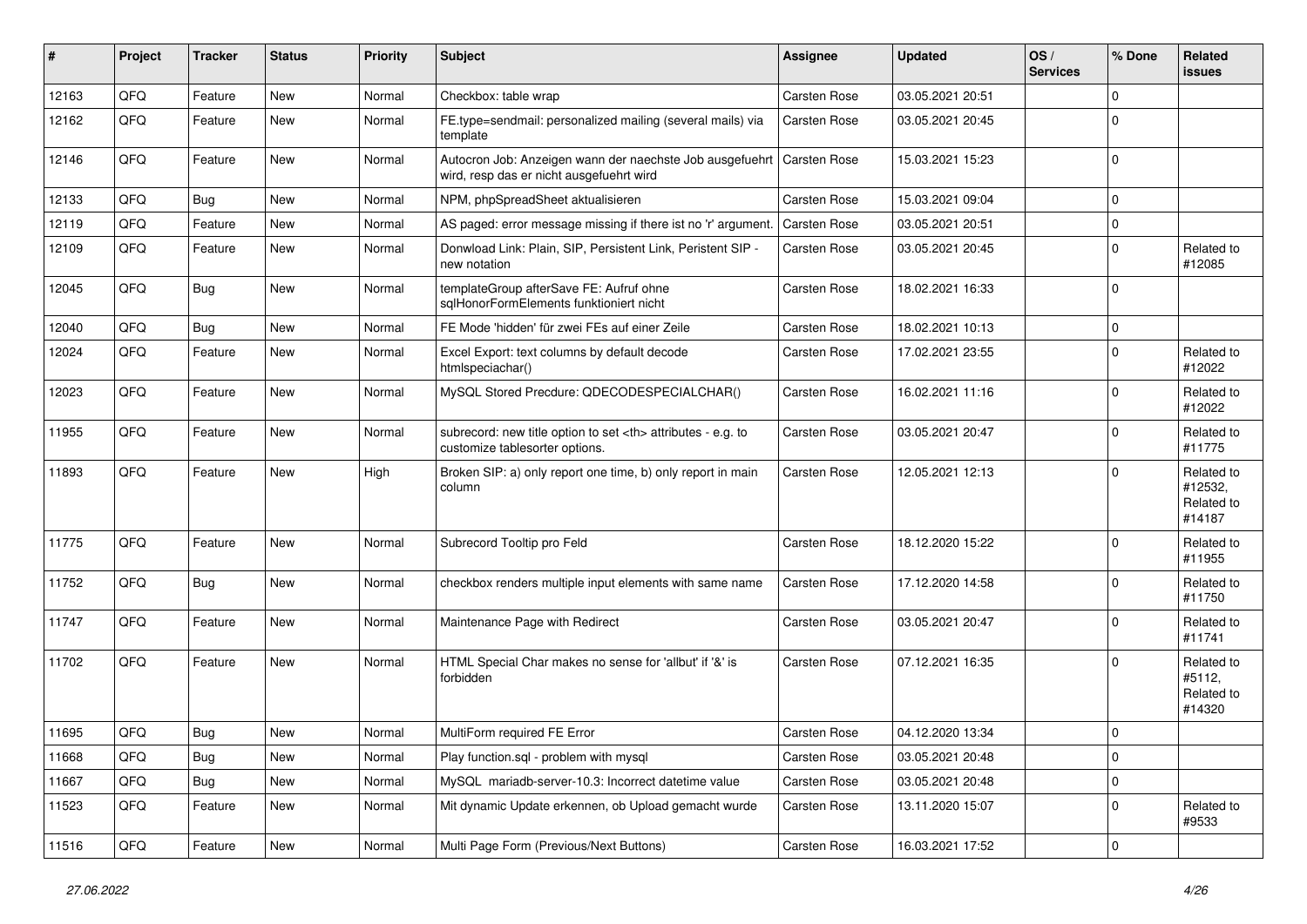| #     | Project | <b>Tracker</b> | <b>Status</b> | <b>Priority</b> | <b>Subject</b>                                                                                       | <b>Assignee</b>                                        | <b>Updated</b>   | OS/<br><b>Services</b> | % Done      | Related<br><b>issues</b>                      |                      |
|-------|---------|----------------|---------------|-----------------|------------------------------------------------------------------------------------------------------|--------------------------------------------------------|------------------|------------------------|-------------|-----------------------------------------------|----------------------|
| 12163 | QFQ     | Feature        | New           | Normal          | Checkbox: table wrap                                                                                 | Carsten Rose                                           | 03.05.2021 20:51 |                        | $\mathbf 0$ |                                               |                      |
| 12162 | QFQ     | Feature        | New           | Normal          | FE.type=sendmail: personalized mailing (several mails) via<br>template                               | Carsten Rose                                           | 03.05.2021 20:45 |                        | $\mathbf 0$ |                                               |                      |
| 12146 | QFQ     | Feature        | New           | Normal          | Autocron Job: Anzeigen wann der naechste Job ausgefuehrt<br>wird, resp das er nicht ausgefuehrt wird | Carsten Rose                                           | 15.03.2021 15:23 |                        | $\mathbf 0$ |                                               |                      |
| 12133 | QFQ     | Bug            | <b>New</b>    | Normal          | NPM, phpSpreadSheet aktualisieren                                                                    | Carsten Rose                                           | 15.03.2021 09:04 |                        | $\mathbf 0$ |                                               |                      |
| 12119 | QFQ     | Feature        | New           | Normal          | AS paged: error message missing if there ist no 'r' argument.                                        | Carsten Rose                                           | 03.05.2021 20:51 |                        | $\mathbf 0$ |                                               |                      |
| 12109 | QFQ     | Feature        | New           | Normal          | Donwload Link: Plain, SIP, Persistent Link, Peristent SIP -<br>new notation                          | Carsten Rose                                           | 03.05.2021 20:45 |                        | $\mathbf 0$ | Related to<br>#12085                          |                      |
| 12045 | QFQ     | <b>Bug</b>     | New           | Normal          | templateGroup afterSave FE: Aufruf ohne<br>sqlHonorFormElements funktioniert nicht                   | Carsten Rose                                           | 18.02.2021 16:33 |                        | $\mathbf 0$ |                                               |                      |
| 12040 | QFQ     | <b>Bug</b>     | New           | Normal          | FE Mode 'hidden' für zwei FEs auf einer Zeile                                                        | Carsten Rose                                           | 18.02.2021 10:13 |                        | $\mathbf 0$ |                                               |                      |
| 12024 | QFQ     | Feature        | New           | Normal          | Excel Export: text columns by default decode<br>htmlspeciachar()                                     | Carsten Rose                                           | 17.02.2021 23:55 |                        | $\mathbf 0$ | Related to<br>#12022                          |                      |
| 12023 | QFQ     | Feature        | New           | Normal          | MySQL Stored Precdure: QDECODESPECIALCHAR()                                                          | Carsten Rose                                           | 16.02.2021 11:16 |                        | $\mathbf 0$ | Related to<br>#12022                          |                      |
| 11955 | QFQ     | Feature        | New           | Normal          | subrecord: new title option to set <th> attributes - e.g. to<br/>customize tablesorter options.</th> | attributes - e.g. to<br>customize tablesorter options. | Carsten Rose     | 03.05.2021 20:47       |             | $\mathbf 0$                                   | Related to<br>#11775 |
| 11893 | QFQ     | Feature        | New           | High            | Broken SIP: a) only report one time, b) only report in main<br>column                                | Carsten Rose                                           | 12.05.2021 12:13 |                        | $\mathbf 0$ | Related to<br>#12532,<br>Related to<br>#14187 |                      |
| 11775 | QFQ     | Feature        | New           | Normal          | Subrecord Tooltip pro Feld                                                                           | Carsten Rose                                           | 18.12.2020 15:22 |                        | $\mathbf 0$ | Related to<br>#11955                          |                      |
| 11752 | QFQ     | Bug            | New           | Normal          | checkbox renders multiple input elements with same name                                              | Carsten Rose                                           | 17.12.2020 14:58 |                        | $\mathbf 0$ | Related to<br>#11750                          |                      |
| 11747 | QFQ     | Feature        | New           | Normal          | Maintenance Page with Redirect                                                                       | Carsten Rose                                           | 03.05.2021 20:47 |                        | $\mathbf 0$ | Related to<br>#11741                          |                      |
| 11702 | QFQ     | Feature        | New           | Normal          | HTML Special Char makes no sense for 'allbut' if '&' is<br>forbidden                                 | Carsten Rose                                           | 07.12.2021 16:35 |                        | $\mathbf 0$ | Related to<br>#5112,<br>Related to<br>#14320  |                      |
| 11695 | QFQ     | Bug            | New           | Normal          | MultiForm required FE Error                                                                          | Carsten Rose                                           | 04.12.2020 13:34 |                        | $\mathbf 0$ |                                               |                      |
| 11668 | QFQ     | Bug            | New           | Normal          | Play function.sql - problem with mysql                                                               | Carsten Rose                                           | 03.05.2021 20:48 |                        | $\mathbf 0$ |                                               |                      |
| 11667 | QFQ     | Bug            | New           | Normal          | MySQL mariadb-server-10.3: Incorrect datetime value                                                  | Carsten Rose                                           | 03.05.2021 20:48 |                        | $\pmb{0}$   |                                               |                      |
| 11523 | QFQ     | Feature        | New           | Normal          | Mit dynamic Update erkennen, ob Upload gemacht wurde                                                 | Carsten Rose                                           | 13.11.2020 15:07 |                        | $\mathbf 0$ | Related to<br>#9533                           |                      |
| 11516 | QFQ     | Feature        | New           | Normal          | Multi Page Form (Previous/Next Buttons)                                                              | Carsten Rose                                           | 16.03.2021 17:52 |                        | $\pmb{0}$   |                                               |                      |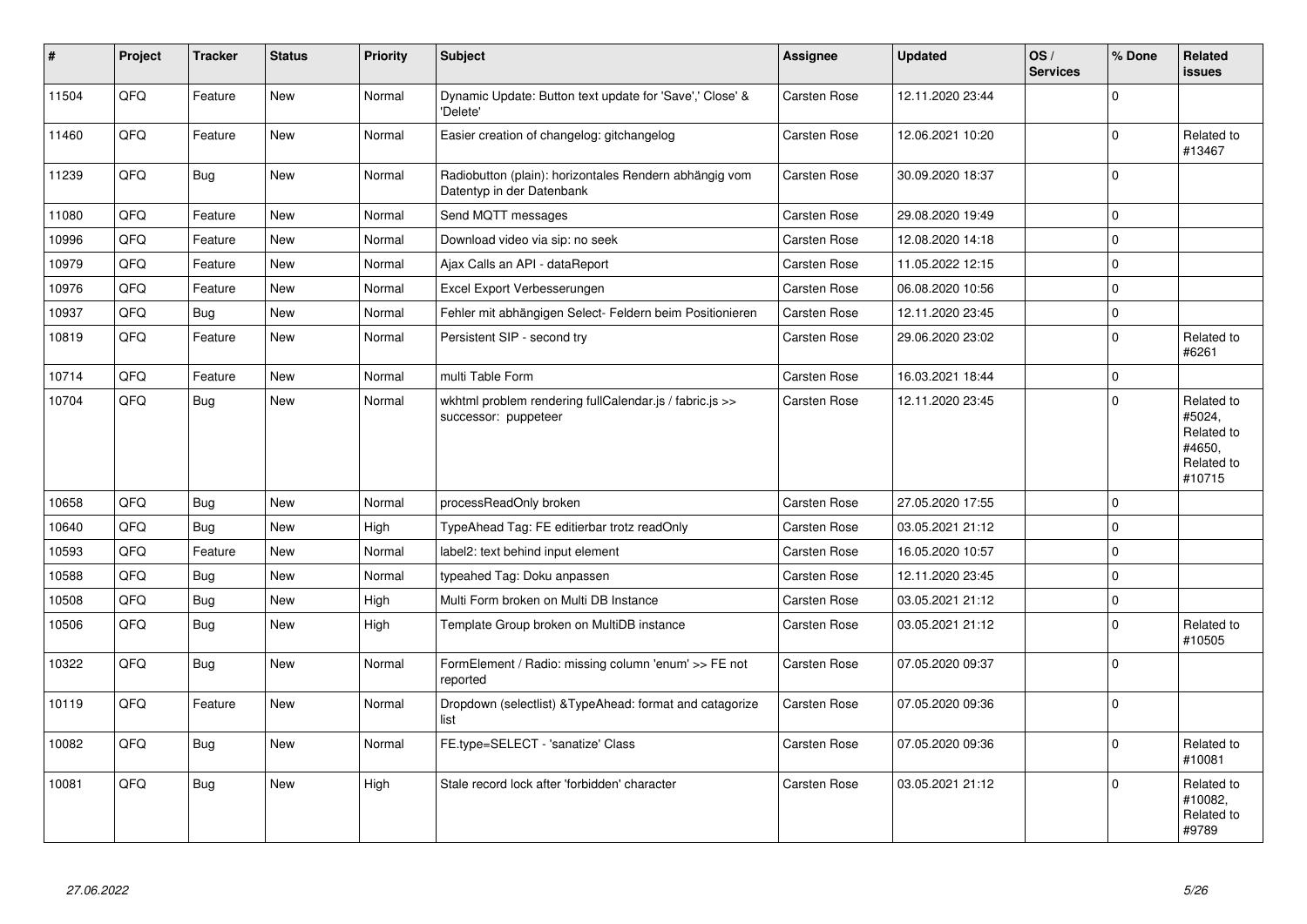| $\pmb{\sharp}$ | Project | <b>Tracker</b> | <b>Status</b> | <b>Priority</b> | <b>Subject</b>                                                                      | Assignee     | <b>Updated</b>   | OS/<br><b>Services</b> | % Done      | Related<br><b>issues</b>                                             |
|----------------|---------|----------------|---------------|-----------------|-------------------------------------------------------------------------------------|--------------|------------------|------------------------|-------------|----------------------------------------------------------------------|
| 11504          | QFQ     | Feature        | New           | Normal          | Dynamic Update: Button text update for 'Save',' Close' &<br>'Delete'                | Carsten Rose | 12.11.2020 23:44 |                        | $\Omega$    |                                                                      |
| 11460          | QFQ     | Feature        | <b>New</b>    | Normal          | Easier creation of changelog: gitchangelog                                          | Carsten Rose | 12.06.2021 10:20 |                        | $\mathbf 0$ | Related to<br>#13467                                                 |
| 11239          | QFQ     | Bug            | New           | Normal          | Radiobutton (plain): horizontales Rendern abhängig vom<br>Datentyp in der Datenbank | Carsten Rose | 30.09.2020 18:37 |                        | $\mathbf 0$ |                                                                      |
| 11080          | QFQ     | Feature        | <b>New</b>    | Normal          | Send MQTT messages                                                                  | Carsten Rose | 29.08.2020 19:49 |                        | $\mathbf 0$ |                                                                      |
| 10996          | QFQ     | Feature        | New           | Normal          | Download video via sip: no seek                                                     | Carsten Rose | 12.08.2020 14:18 |                        | $\pmb{0}$   |                                                                      |
| 10979          | QFQ     | Feature        | <b>New</b>    | Normal          | Ajax Calls an API - dataReport                                                      | Carsten Rose | 11.05.2022 12:15 |                        | $\mathbf 0$ |                                                                      |
| 10976          | QFQ     | Feature        | New           | Normal          | Excel Export Verbesserungen                                                         | Carsten Rose | 06.08.2020 10:56 |                        | $\mathbf 0$ |                                                                      |
| 10937          | QFQ     | <b>Bug</b>     | New           | Normal          | Fehler mit abhängigen Select- Feldern beim Positionieren                            | Carsten Rose | 12.11.2020 23:45 |                        | $\pmb{0}$   |                                                                      |
| 10819          | QFQ     | Feature        | New           | Normal          | Persistent SIP - second try                                                         | Carsten Rose | 29.06.2020 23:02 |                        | $\mathbf 0$ | Related to<br>#6261                                                  |
| 10714          | QFQ     | Feature        | New           | Normal          | multi Table Form                                                                    | Carsten Rose | 16.03.2021 18:44 |                        | $\mathbf 0$ |                                                                      |
| 10704          | QFQ     | Bug            | New           | Normal          | wkhtml problem rendering fullCalendar.js / fabric.js >><br>successor: puppeteer     | Carsten Rose | 12.11.2020 23:45 |                        | $\mathbf 0$ | Related to<br>#5024,<br>Related to<br>#4650,<br>Related to<br>#10715 |
| 10658          | QFQ     | Bug            | New           | Normal          | processReadOnly broken                                                              | Carsten Rose | 27.05.2020 17:55 |                        | $\mathbf 0$ |                                                                      |
| 10640          | QFQ     | <b>Bug</b>     | <b>New</b>    | High            | TypeAhead Tag: FE editierbar trotz readOnly                                         | Carsten Rose | 03.05.2021 21:12 |                        | $\mathbf 0$ |                                                                      |
| 10593          | QFQ     | Feature        | New           | Normal          | label2: text behind input element                                                   | Carsten Rose | 16.05.2020 10:57 |                        | $\pmb{0}$   |                                                                      |
| 10588          | QFQ     | <b>Bug</b>     | <b>New</b>    | Normal          | typeahed Tag: Doku anpassen                                                         | Carsten Rose | 12.11.2020 23:45 |                        | $\mathbf 0$ |                                                                      |
| 10508          | QFQ     | <b>Bug</b>     | New           | High            | Multi Form broken on Multi DB Instance                                              | Carsten Rose | 03.05.2021 21:12 |                        | $\pmb{0}$   |                                                                      |
| 10506          | QFQ     | <b>Bug</b>     | New           | High            | Template Group broken on MultiDB instance                                           | Carsten Rose | 03.05.2021 21:12 |                        | $\mathbf 0$ | Related to<br>#10505                                                 |
| 10322          | QFQ     | <b>Bug</b>     | New           | Normal          | FormElement / Radio: missing column 'enum' >> FE not<br>reported                    | Carsten Rose | 07.05.2020 09:37 |                        | $\mathbf 0$ |                                                                      |
| 10119          | QFQ     | Feature        | New           | Normal          | Dropdown (selectlist) & TypeAhead: format and catagorize<br>list                    | Carsten Rose | 07.05.2020 09:36 |                        | $\mathbf 0$ |                                                                      |
| 10082          | QFQ     | <b>Bug</b>     | New           | Normal          | FE.type=SELECT - 'sanatize' Class                                                   | Carsten Rose | 07.05.2020 09:36 |                        | $\Omega$    | Related to<br>#10081                                                 |
| 10081          | QFQ     | <b>Bug</b>     | <b>New</b>    | High            | Stale record lock after 'forbidden' character                                       | Carsten Rose | 03.05.2021 21:12 |                        | $\mathbf 0$ | Related to<br>#10082,<br>Related to<br>#9789                         |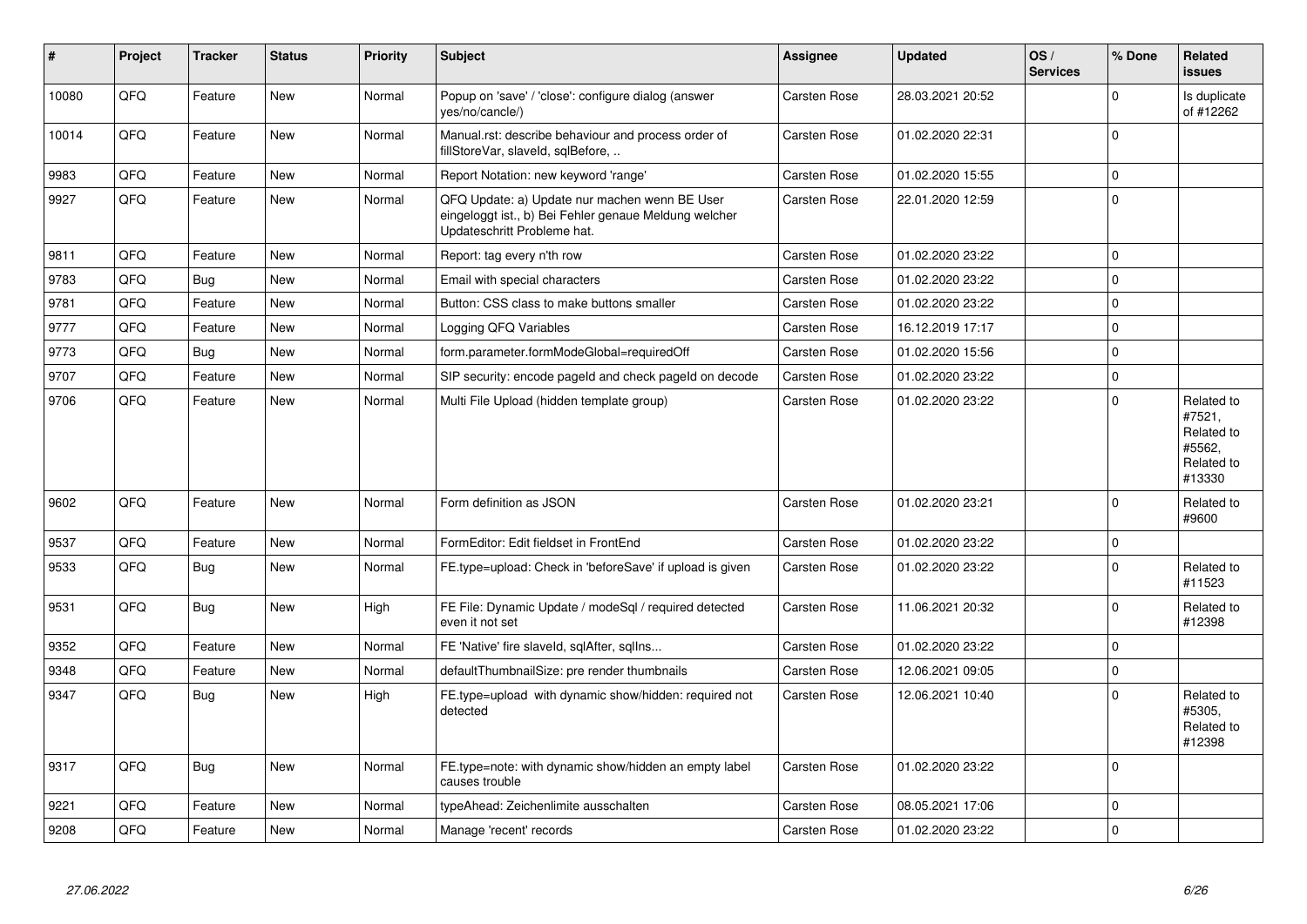| #     | Project | <b>Tracker</b> | <b>Status</b> | <b>Priority</b> | <b>Subject</b>                                                                                                                        | <b>Assignee</b>     | <b>Updated</b>   | OS/<br><b>Services</b> | % Done      | Related<br><b>issues</b>                                             |
|-------|---------|----------------|---------------|-----------------|---------------------------------------------------------------------------------------------------------------------------------------|---------------------|------------------|------------------------|-------------|----------------------------------------------------------------------|
| 10080 | QFQ     | Feature        | <b>New</b>    | Normal          | Popup on 'save' / 'close': configure dialog (answer<br>yes/no/cancle/)                                                                | Carsten Rose        | 28.03.2021 20:52 |                        | $\Omega$    | Is duplicate<br>of #12262                                            |
| 10014 | QFQ     | Feature        | <b>New</b>    | Normal          | Manual.rst: describe behaviour and process order of<br>fillStoreVar, slaveld, sqlBefore,                                              | Carsten Rose        | 01.02.2020 22:31 |                        | $\Omega$    |                                                                      |
| 9983  | QFQ     | Feature        | New           | Normal          | Report Notation: new keyword 'range'                                                                                                  | Carsten Rose        | 01.02.2020 15:55 |                        | $\mathbf 0$ |                                                                      |
| 9927  | QFQ     | Feature        | <b>New</b>    | Normal          | QFQ Update: a) Update nur machen wenn BE User<br>eingeloggt ist., b) Bei Fehler genaue Meldung welcher<br>Updateschritt Probleme hat. | Carsten Rose        | 22.01.2020 12:59 |                        | $\Omega$    |                                                                      |
| 9811  | QFQ     | Feature        | <b>New</b>    | Normal          | Report: tag every n'th row                                                                                                            | Carsten Rose        | 01.02.2020 23:22 |                        | $\Omega$    |                                                                      |
| 9783  | QFQ     | Bug            | <b>New</b>    | Normal          | Email with special characters                                                                                                         | Carsten Rose        | 01.02.2020 23:22 |                        | $\mathbf 0$ |                                                                      |
| 9781  | QFQ     | Feature        | <b>New</b>    | Normal          | Button: CSS class to make buttons smaller                                                                                             | Carsten Rose        | 01.02.2020 23:22 |                        | $\mathbf 0$ |                                                                      |
| 9777  | QFQ     | Feature        | <b>New</b>    | Normal          | Logging QFQ Variables                                                                                                                 | Carsten Rose        | 16.12.2019 17:17 |                        | $\mathbf 0$ |                                                                      |
| 9773  | QFQ     | Bug            | <b>New</b>    | Normal          | form.parameter.formModeGlobal=requiredOff                                                                                             | Carsten Rose        | 01.02.2020 15:56 |                        | $\mathbf 0$ |                                                                      |
| 9707  | QFQ     | Feature        | New           | Normal          | SIP security: encode pageld and check pageld on decode                                                                                | Carsten Rose        | 01.02.2020 23:22 |                        | $\mathbf 0$ |                                                                      |
| 9706  | QFQ     | Feature        | <b>New</b>    | Normal          | Multi File Upload (hidden template group)                                                                                             | Carsten Rose        | 01.02.2020 23:22 |                        | $\mathbf 0$ | Related to<br>#7521,<br>Related to<br>#5562,<br>Related to<br>#13330 |
| 9602  | QFQ     | Feature        | <b>New</b>    | Normal          | Form definition as JSON                                                                                                               | Carsten Rose        | 01.02.2020 23:21 |                        | $\mathbf 0$ | Related to<br>#9600                                                  |
| 9537  | QFQ     | Feature        | <b>New</b>    | Normal          | FormEditor: Edit fieldset in FrontEnd                                                                                                 | Carsten Rose        | 01.02.2020 23:22 |                        | $\mathbf 0$ |                                                                      |
| 9533  | QFQ     | Bug            | <b>New</b>    | Normal          | FE.type=upload: Check in 'beforeSave' if upload is given                                                                              | Carsten Rose        | 01.02.2020 23:22 |                        | $\Omega$    | Related to<br>#11523                                                 |
| 9531  | QFQ     | <b>Bug</b>     | <b>New</b>    | High            | FE File: Dynamic Update / modeSql / required detected<br>even it not set                                                              | Carsten Rose        | 11.06.2021 20:32 |                        | $\mathbf 0$ | Related to<br>#12398                                                 |
| 9352  | QFQ     | Feature        | <b>New</b>    | Normal          | FE 'Native' fire slaveld, sqlAfter, sqllns                                                                                            | Carsten Rose        | 01.02.2020 23:22 |                        | $\mathbf 0$ |                                                                      |
| 9348  | QFQ     | Feature        | <b>New</b>    | Normal          | defaultThumbnailSize: pre render thumbnails                                                                                           | Carsten Rose        | 12.06.2021 09:05 |                        | $\mathbf 0$ |                                                                      |
| 9347  | QFQ     | Bug            | New           | High            | FE.type=upload with dynamic show/hidden: required not<br>detected                                                                     | Carsten Rose        | 12.06.2021 10:40 |                        | $\mathbf 0$ | Related to<br>#5305.<br>Related to<br>#12398                         |
| 9317  | QFQ     | Bug            | <b>New</b>    | Normal          | FE.type=note: with dynamic show/hidden an empty label<br>causes trouble                                                               | Carsten Rose        | 01.02.2020 23:22 |                        | $\Omega$    |                                                                      |
| 9221  | QFQ     | Feature        | <b>New</b>    | Normal          | typeAhead: Zeichenlimite ausschalten                                                                                                  | Carsten Rose        | 08.05.2021 17:06 |                        | $\mathbf 0$ |                                                                      |
| 9208  | QFQ     | Feature        | New           | Normal          | Manage 'recent' records                                                                                                               | <b>Carsten Rose</b> | 01.02.2020 23:22 |                        | $\mathbf 0$ |                                                                      |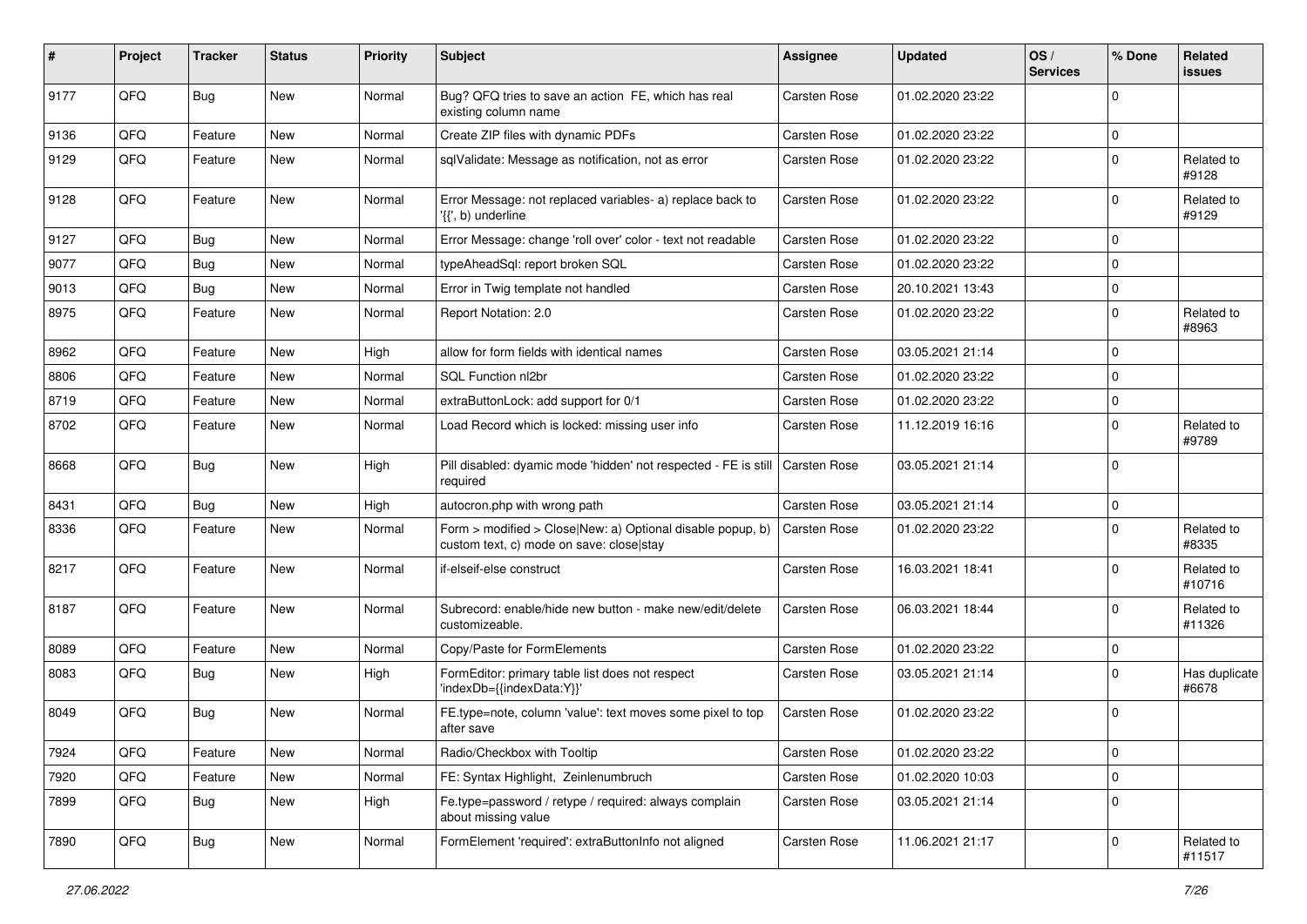| #    | Project | <b>Tracker</b> | <b>Status</b> | <b>Priority</b> | <b>Subject</b>                                                                                         | <b>Assignee</b>     | <b>Updated</b>   | OS/<br><b>Services</b> | % Done      | <b>Related</b><br><b>issues</b> |
|------|---------|----------------|---------------|-----------------|--------------------------------------------------------------------------------------------------------|---------------------|------------------|------------------------|-------------|---------------------------------|
| 9177 | QFQ     | Bug            | New           | Normal          | Bug? QFQ tries to save an action FE, which has real<br>existing column name                            | Carsten Rose        | 01.02.2020 23:22 |                        | 0           |                                 |
| 9136 | QFQ     | Feature        | New           | Normal          | Create ZIP files with dynamic PDFs                                                                     | <b>Carsten Rose</b> | 01.02.2020 23:22 |                        | $\mathbf 0$ |                                 |
| 9129 | QFQ     | Feature        | New           | Normal          | sqlValidate: Message as notification, not as error                                                     | Carsten Rose        | 01.02.2020 23:22 |                        | $\mathbf 0$ | Related to<br>#9128             |
| 9128 | QFQ     | Feature        | New           | Normal          | Error Message: not replaced variables- a) replace back to<br>'{{', b) underline                        | Carsten Rose        | 01.02.2020 23:22 |                        | $\pmb{0}$   | Related to<br>#9129             |
| 9127 | QFQ     | Bug            | New           | Normal          | Error Message: change 'roll over' color - text not readable                                            | Carsten Rose        | 01.02.2020 23:22 |                        | 0           |                                 |
| 9077 | QFQ     | <b>Bug</b>     | <b>New</b>    | Normal          | typeAheadSql: report broken SQL                                                                        | Carsten Rose        | 01.02.2020 23:22 |                        | $\pmb{0}$   |                                 |
| 9013 | QFQ     | Bug            | New           | Normal          | Error in Twig template not handled                                                                     | Carsten Rose        | 20.10.2021 13:43 |                        | $\mathbf 0$ |                                 |
| 8975 | QFQ     | Feature        | New           | Normal          | Report Notation: 2.0                                                                                   | Carsten Rose        | 01.02.2020 23:22 |                        | $\mathbf 0$ | Related to<br>#8963             |
| 8962 | QFQ     | Feature        | New           | High            | allow for form fields with identical names                                                             | Carsten Rose        | 03.05.2021 21:14 |                        | 0           |                                 |
| 8806 | QFQ     | Feature        | New           | Normal          | <b>SQL Function nl2br</b>                                                                              | Carsten Rose        | 01.02.2020 23:22 |                        | $\pmb{0}$   |                                 |
| 8719 | QFQ     | Feature        | New           | Normal          | extraButtonLock: add support for 0/1                                                                   | Carsten Rose        | 01.02.2020 23:22 |                        | $\mathbf 0$ |                                 |
| 8702 | QFQ     | Feature        | New           | Normal          | Load Record which is locked: missing user info                                                         | Carsten Rose        | 11.12.2019 16:16 |                        | $\mathbf 0$ | Related to<br>#9789             |
| 8668 | QFQ     | Bug            | New           | High            | Pill disabled: dyamic mode 'hidden' not respected - FE is still<br>required                            | <b>Carsten Rose</b> | 03.05.2021 21:14 |                        | $\mathbf 0$ |                                 |
| 8431 | QFQ     | Bug            | New           | High            | autocron.php with wrong path                                                                           | Carsten Rose        | 03.05.2021 21:14 |                        | $\mathbf 0$ |                                 |
| 8336 | QFQ     | Feature        | New           | Normal          | Form > modified > Close New: a) Optional disable popup, b)<br>custom text, c) mode on save: close stay | Carsten Rose        | 01.02.2020 23:22 |                        | $\mathbf 0$ | Related to<br>#8335             |
| 8217 | QFQ     | Feature        | <b>New</b>    | Normal          | if-elseif-else construct                                                                               | Carsten Rose        | 16.03.2021 18:41 |                        | $\mathbf 0$ | Related to<br>#10716            |
| 8187 | QFQ     | Feature        | New           | Normal          | Subrecord: enable/hide new button - make new/edit/delete<br>customizeable.                             | Carsten Rose        | 06.03.2021 18:44 |                        | $\mathbf 0$ | Related to<br>#11326            |
| 8089 | QFQ     | Feature        | New           | Normal          | Copy/Paste for FormElements                                                                            | Carsten Rose        | 01.02.2020 23:22 |                        | 0           |                                 |
| 8083 | QFQ     | Bug            | New           | High            | FormEditor: primary table list does not respect<br>'indexDb={{indexData:Y}}'                           | Carsten Rose        | 03.05.2021 21:14 |                        | $\mathbf 0$ | Has duplicate<br>#6678          |
| 8049 | QFQ     | Bug            | New           | Normal          | FE.type=note, column 'value': text moves some pixel to top<br>after save                               | Carsten Rose        | 01.02.2020 23:22 |                        | $\mathbf 0$ |                                 |
| 7924 | QFQ     | Feature        | New           | Normal          | Radio/Checkbox with Tooltip                                                                            | Carsten Rose        | 01.02.2020 23:22 |                        | $\pmb{0}$   |                                 |
| 7920 | QFQ     | Feature        | New           | Normal          | FE: Syntax Highlight, Zeinlenumbruch                                                                   | Carsten Rose        | 01.02.2020 10:03 |                        | $\pmb{0}$   |                                 |
| 7899 | QFQ     | <b>Bug</b>     | New           | High            | Fe.type=password / retype / required: always complain<br>about missing value                           | Carsten Rose        | 03.05.2021 21:14 |                        | $\mathbf 0$ |                                 |
| 7890 | QFQ     | <b>Bug</b>     | New           | Normal          | FormElement 'required': extraButtonInfo not aligned                                                    | Carsten Rose        | 11.06.2021 21:17 |                        | $\mathbf 0$ | Related to<br>#11517            |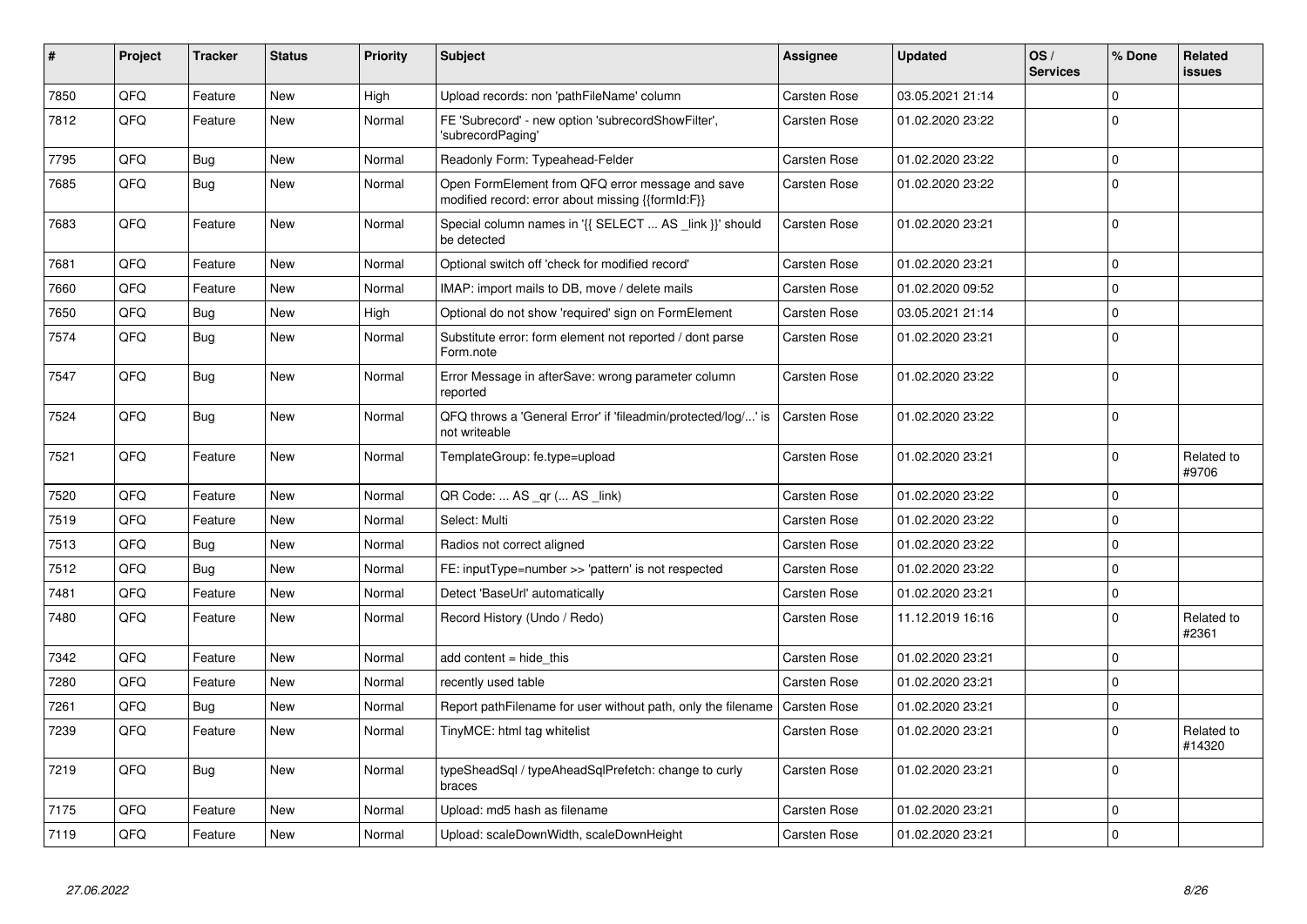| #    | Project | <b>Tracker</b> | <b>Status</b> | <b>Priority</b> | <b>Subject</b>                                                                                        | <b>Assignee</b>     | <b>Updated</b>   | OS/<br><b>Services</b> | % Done      | <b>Related</b><br><b>issues</b> |
|------|---------|----------------|---------------|-----------------|-------------------------------------------------------------------------------------------------------|---------------------|------------------|------------------------|-------------|---------------------------------|
| 7850 | QFQ     | Feature        | <b>New</b>    | High            | Upload records: non 'pathFileName' column                                                             | Carsten Rose        | 03.05.2021 21:14 |                        | $\Omega$    |                                 |
| 7812 | QFQ     | Feature        | <b>New</b>    | Normal          | FE 'Subrecord' - new option 'subrecordShowFilter',<br>'subrecordPaging'                               | Carsten Rose        | 01.02.2020 23:22 |                        | $\Omega$    |                                 |
| 7795 | QFQ     | <b>Bug</b>     | <b>New</b>    | Normal          | Readonly Form: Typeahead-Felder                                                                       | Carsten Rose        | 01.02.2020 23:22 |                        | $\mathbf 0$ |                                 |
| 7685 | QFQ     | <b>Bug</b>     | <b>New</b>    | Normal          | Open FormElement from QFQ error message and save<br>modified record: error about missing {{formId:F}} | Carsten Rose        | 01.02.2020 23:22 |                        | $\Omega$    |                                 |
| 7683 | QFQ     | Feature        | <b>New</b>    | Normal          | Special column names in '{{ SELECT  AS _link }}' should<br>be detected                                | Carsten Rose        | 01.02.2020 23:21 |                        | $\Omega$    |                                 |
| 7681 | QFQ     | Feature        | <b>New</b>    | Normal          | Optional switch off 'check for modified record'                                                       | Carsten Rose        | 01.02.2020 23:21 |                        | $\Omega$    |                                 |
| 7660 | QFQ     | Feature        | New           | Normal          | IMAP: import mails to DB, move / delete mails                                                         | Carsten Rose        | 01.02.2020 09:52 |                        | $\mathbf 0$ |                                 |
| 7650 | QFQ     | <b>Bug</b>     | New           | High            | Optional do not show 'required' sign on FormElement                                                   | Carsten Rose        | 03.05.2021 21:14 |                        | $\Omega$    |                                 |
| 7574 | QFQ     | <b>Bug</b>     | <b>New</b>    | Normal          | Substitute error: form element not reported / dont parse<br>Form.note                                 | Carsten Rose        | 01.02.2020 23:21 |                        | $\mathbf 0$ |                                 |
| 7547 | QFQ     | Bug            | <b>New</b>    | Normal          | Error Message in afterSave: wrong parameter column<br>reported                                        | Carsten Rose        | 01.02.2020 23:22 |                        | $\Omega$    |                                 |
| 7524 | QFQ     | <b>Bug</b>     | <b>New</b>    | Normal          | QFQ throws a 'General Error' if 'fileadmin/protected/log/' is<br>not writeable                        | Carsten Rose        | 01.02.2020 23:22 |                        | $\Omega$    |                                 |
| 7521 | QFQ     | Feature        | <b>New</b>    | Normal          | TemplateGroup: fe.type=upload                                                                         | Carsten Rose        | 01.02.2020 23:21 |                        | $\mathbf 0$ | Related to<br>#9706             |
| 7520 | QFQ     | Feature        | New           | Normal          | QR Code:  AS _qr ( AS _link)                                                                          | Carsten Rose        | 01.02.2020 23:22 |                        | $\Omega$    |                                 |
| 7519 | QFQ     | Feature        | <b>New</b>    | Normal          | Select: Multi                                                                                         | Carsten Rose        | 01.02.2020 23:22 |                        | $\mathbf 0$ |                                 |
| 7513 | QFQ     | <b>Bug</b>     | <b>New</b>    | Normal          | Radios not correct aligned                                                                            | Carsten Rose        | 01.02.2020 23:22 |                        | $\Omega$    |                                 |
| 7512 | QFQ     | Bug            | <b>New</b>    | Normal          | FE: inputType=number >> 'pattern' is not respected                                                    | Carsten Rose        | 01.02.2020 23:22 |                        | $\mathbf 0$ |                                 |
| 7481 | QFQ     | Feature        | New           | Normal          | Detect 'BaseUrl' automatically                                                                        | Carsten Rose        | 01.02.2020 23:21 |                        | $\mathbf 0$ |                                 |
| 7480 | QFQ     | Feature        | <b>New</b>    | Normal          | Record History (Undo / Redo)                                                                          | Carsten Rose        | 11.12.2019 16:16 |                        | $\mathbf 0$ | Related to<br>#2361             |
| 7342 | QFQ     | Feature        | New           | Normal          | add content $=$ hide this                                                                             | Carsten Rose        | 01.02.2020 23:21 |                        | $\Omega$    |                                 |
| 7280 | QFQ     | Feature        | <b>New</b>    | Normal          | recently used table                                                                                   | Carsten Rose        | 01.02.2020 23:21 |                        | $\mathbf 0$ |                                 |
| 7261 | QFQ     | <b>Bug</b>     | <b>New</b>    | Normal          | Report pathFilename for user without path, only the filename                                          | <b>Carsten Rose</b> | 01.02.2020 23:21 |                        | $\mathbf 0$ |                                 |
| 7239 | QFQ     | Feature        | New           | Normal          | TinyMCE: html tag whitelist                                                                           | Carsten Rose        | 01.02.2020 23:21 |                        | $\Omega$    | Related to<br>#14320            |
| 7219 | QFQ     | Bug            | New           | Normal          | typeSheadSql / typeAheadSqlPrefetch: change to curly<br>braces                                        | Carsten Rose        | 01.02.2020 23:21 |                        | $\mathbf 0$ |                                 |
| 7175 | QFQ     | Feature        | <b>New</b>    | Normal          | Upload: md5 hash as filename                                                                          | Carsten Rose        | 01.02.2020 23:21 |                        | $\mathbf 0$ |                                 |
| 7119 | QFQ     | Feature        | New           | Normal          | Upload: scaleDownWidth, scaleDownHeight                                                               | Carsten Rose        | 01.02.2020 23:21 |                        | $\mathbf 0$ |                                 |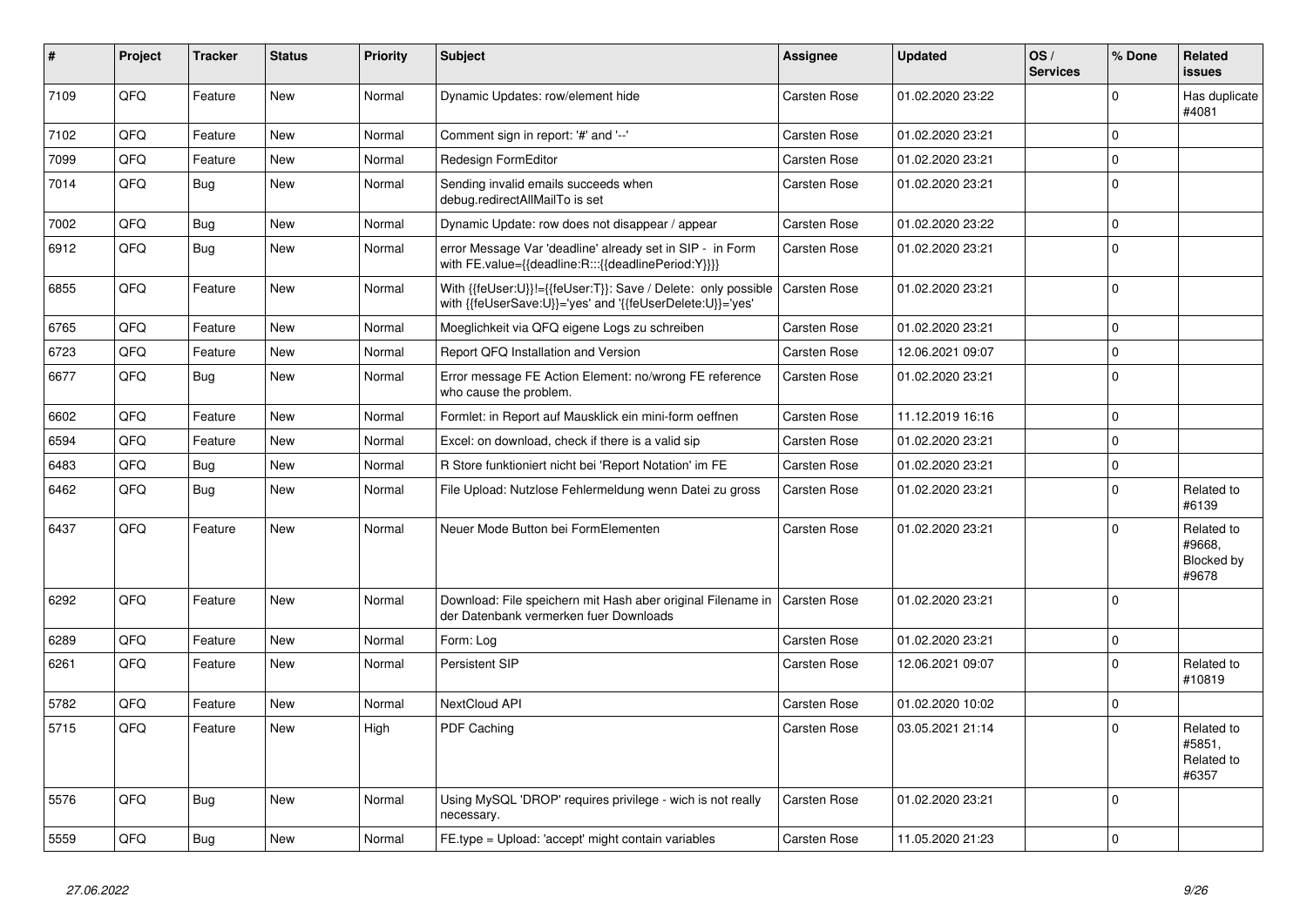| #    | Project | <b>Tracker</b> | <b>Status</b> | <b>Priority</b> | <b>Subject</b>                                                                                                             | Assignee            | <b>Updated</b>   | OS/<br><b>Services</b> | % Done      | Related<br><b>issues</b>                    |
|------|---------|----------------|---------------|-----------------|----------------------------------------------------------------------------------------------------------------------------|---------------------|------------------|------------------------|-------------|---------------------------------------------|
| 7109 | QFQ     | Feature        | <b>New</b>    | Normal          | Dynamic Updates: row/element hide                                                                                          | Carsten Rose        | 01.02.2020 23:22 |                        | $\Omega$    | Has duplicate<br>#4081                      |
| 7102 | QFQ     | Feature        | <b>New</b>    | Normal          | Comment sign in report: '#' and '--'                                                                                       | Carsten Rose        | 01.02.2020 23:21 |                        | $\mathbf 0$ |                                             |
| 7099 | QFQ     | Feature        | <b>New</b>    | Normal          | <b>Redesign FormEditor</b>                                                                                                 | Carsten Rose        | 01.02.2020 23:21 |                        | $\mathbf 0$ |                                             |
| 7014 | QFQ     | <b>Bug</b>     | <b>New</b>    | Normal          | Sending invalid emails succeeds when<br>debug.redirectAllMailTo is set                                                     | Carsten Rose        | 01.02.2020 23:21 |                        | $\mathbf 0$ |                                             |
| 7002 | QFQ     | <b>Bug</b>     | <b>New</b>    | Normal          | Dynamic Update: row does not disappear / appear                                                                            | Carsten Rose        | 01.02.2020 23:22 |                        | $\mathbf 0$ |                                             |
| 6912 | QFQ     | Bug            | New           | Normal          | error Message Var 'deadline' already set in SIP - in Form<br>with FE.value={{deadline:R:::{{deadlinePeriod:Y}}}}           | <b>Carsten Rose</b> | 01.02.2020 23:21 |                        | $\mathbf 0$ |                                             |
| 6855 | QFQ     | Feature        | New           | Normal          | With {{feUser:U}}!={{feUser:T}}: Save / Delete: only possible<br>with {{feUserSave:U}}='yes' and '{{feUserDelete:U}}='yes' | Carsten Rose        | 01.02.2020 23:21 |                        | $\Omega$    |                                             |
| 6765 | QFQ     | Feature        | <b>New</b>    | Normal          | Moeglichkeit via QFQ eigene Logs zu schreiben                                                                              | Carsten Rose        | 01.02.2020 23:21 |                        | $\mathbf 0$ |                                             |
| 6723 | QFQ     | Feature        | New           | Normal          | Report QFQ Installation and Version                                                                                        | Carsten Rose        | 12.06.2021 09:07 |                        | $\mathbf 0$ |                                             |
| 6677 | QFQ     | Bug            | New           | Normal          | Error message FE Action Element: no/wrong FE reference<br>who cause the problem.                                           | Carsten Rose        | 01.02.2020 23:21 |                        | $\mathbf 0$ |                                             |
| 6602 | QFQ     | Feature        | <b>New</b>    | Normal          | Formlet: in Report auf Mausklick ein mini-form oeffnen                                                                     | Carsten Rose        | 11.12.2019 16:16 |                        | $\mathbf 0$ |                                             |
| 6594 | QFQ     | Feature        | <b>New</b>    | Normal          | Excel: on download, check if there is a valid sip                                                                          | Carsten Rose        | 01.02.2020 23:21 |                        | $\mathbf 0$ |                                             |
| 6483 | QFQ     | Bug            | New           | Normal          | R Store funktioniert nicht bei 'Report Notation' im FE                                                                     | Carsten Rose        | 01.02.2020 23:21 |                        | $\pmb{0}$   |                                             |
| 6462 | QFQ     | <b>Bug</b>     | New           | Normal          | File Upload: Nutzlose Fehlermeldung wenn Datei zu gross                                                                    | Carsten Rose        | 01.02.2020 23:21 |                        | $\pmb{0}$   | Related to<br>#6139                         |
| 6437 | QFQ     | Feature        | New           | Normal          | Neuer Mode Button bei FormElementen                                                                                        | Carsten Rose        | 01.02.2020 23:21 |                        | $\mathbf 0$ | Related to<br>#9668.<br>Blocked by<br>#9678 |
| 6292 | QFQ     | Feature        | <b>New</b>    | Normal          | Download: File speichern mit Hash aber original Filename in<br>der Datenbank vermerken fuer Downloads                      | Carsten Rose        | 01.02.2020 23:21 |                        | $\mathbf 0$ |                                             |
| 6289 | QFQ     | Feature        | New           | Normal          | Form: Log                                                                                                                  | Carsten Rose        | 01.02.2020 23:21 |                        | $\pmb{0}$   |                                             |
| 6261 | QFQ     | Feature        | New           | Normal          | Persistent SIP                                                                                                             | Carsten Rose        | 12.06.2021 09:07 |                        | $\pmb{0}$   | Related to<br>#10819                        |
| 5782 | QFQ     | Feature        | <b>New</b>    | Normal          | NextCloud API                                                                                                              | Carsten Rose        | 01.02.2020 10:02 |                        | $\mathbf 0$ |                                             |
| 5715 | QFQ     | Feature        | New           | High            | PDF Caching                                                                                                                | Carsten Rose        | 03.05.2021 21:14 |                        | $\mathbf 0$ | Related to<br>#5851,<br>Related to<br>#6357 |
| 5576 | QFQ     | Bug            | New           | Normal          | Using MySQL 'DROP' requires privilege - wich is not really<br>necessary.                                                   | Carsten Rose        | 01.02.2020 23:21 |                        | $\mathbf 0$ |                                             |
| 5559 | QFQ     | <b>Bug</b>     | <b>New</b>    | Normal          | FE.type = Upload: 'accept' might contain variables                                                                         | Carsten Rose        | 11.05.2020 21:23 |                        | $\mathbf 0$ |                                             |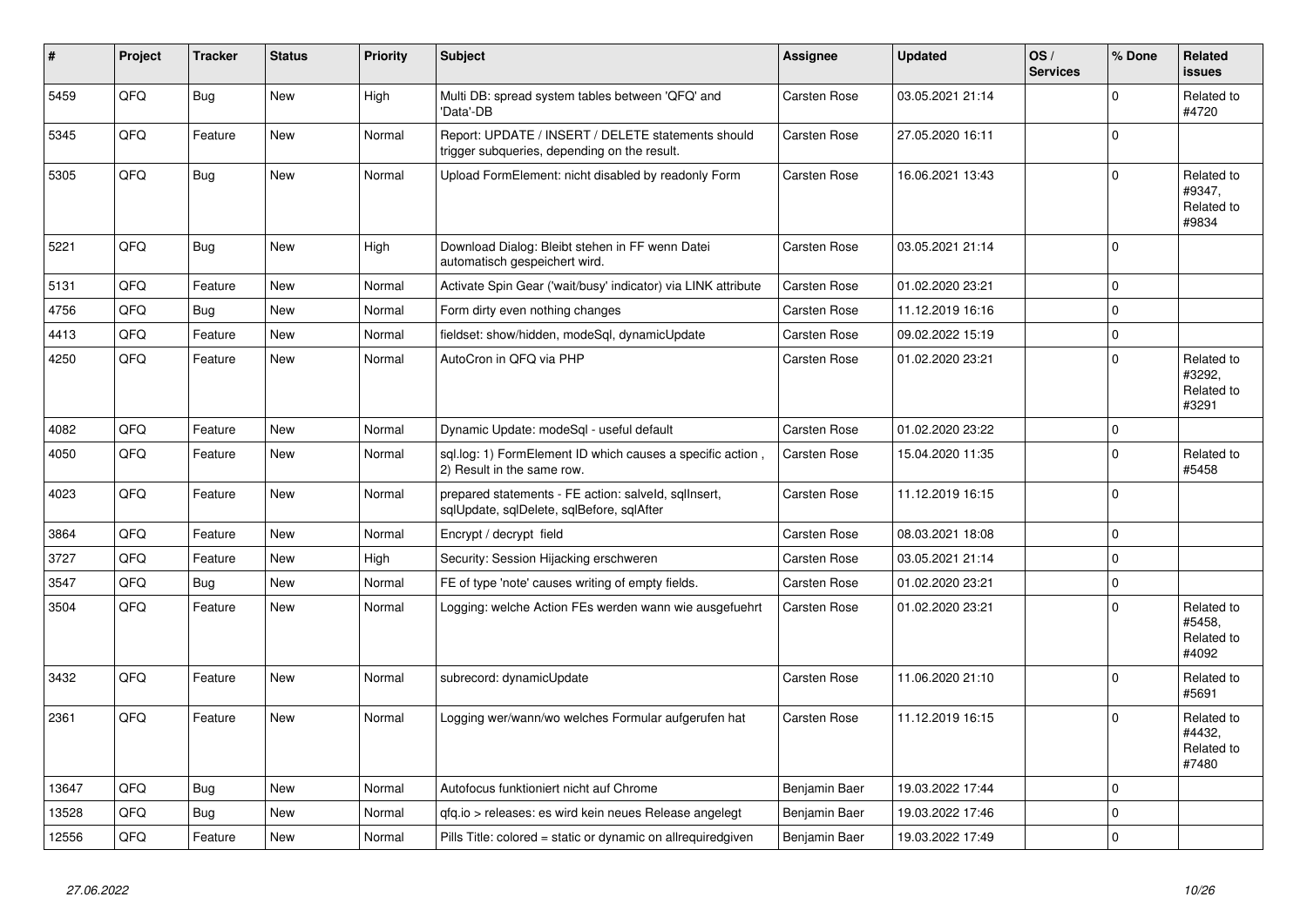| #     | Project | <b>Tracker</b> | <b>Status</b> | <b>Priority</b> | <b>Subject</b>                                                                                     | <b>Assignee</b> | <b>Updated</b>   | OS/<br><b>Services</b> | % Done      | Related<br><b>issues</b>                    |
|-------|---------|----------------|---------------|-----------------|----------------------------------------------------------------------------------------------------|-----------------|------------------|------------------------|-------------|---------------------------------------------|
| 5459  | QFQ     | <b>Bug</b>     | <b>New</b>    | High            | Multi DB: spread system tables between 'QFQ' and<br>'Data'-DB                                      | Carsten Rose    | 03.05.2021 21:14 |                        | $\Omega$    | Related to<br>#4720                         |
| 5345  | OFO.    | Feature        | New           | Normal          | Report: UPDATE / INSERT / DELETE statements should<br>trigger subqueries, depending on the result. | Carsten Rose    | 27.05.2020 16:11 |                        | $\Omega$    |                                             |
| 5305  | QFQ     | Bug            | New           | Normal          | Upload FormElement: nicht disabled by readonly Form                                                | Carsten Rose    | 16.06.2021 13:43 |                        | $\Omega$    | Related to<br>#9347,<br>Related to<br>#9834 |
| 5221  | QFQ     | <b>Bug</b>     | <b>New</b>    | High            | Download Dialog: Bleibt stehen in FF wenn Datei<br>automatisch gespeichert wird.                   | Carsten Rose    | 03.05.2021 21:14 |                        | $\Omega$    |                                             |
| 5131  | QFQ     | Feature        | <b>New</b>    | Normal          | Activate Spin Gear ('wait/busy' indicator) via LINK attribute                                      | Carsten Rose    | 01.02.2020 23:21 |                        | $\mathbf 0$ |                                             |
| 4756  | QFQ     | <b>Bug</b>     | <b>New</b>    | Normal          | Form dirty even nothing changes                                                                    | Carsten Rose    | 11.12.2019 16:16 |                        | $\Omega$    |                                             |
| 4413  | QFQ     | Feature        | New           | Normal          | fieldset: show/hidden, modeSgl, dynamicUpdate                                                      | Carsten Rose    | 09.02.2022 15:19 |                        | $\mathbf 0$ |                                             |
| 4250  | QFQ     | Feature        | New           | Normal          | AutoCron in QFQ via PHP                                                                            | Carsten Rose    | 01.02.2020 23:21 |                        | $\Omega$    | Related to<br>#3292,<br>Related to<br>#3291 |
| 4082  | QFQ     | Feature        | <b>New</b>    | Normal          | Dynamic Update: modeSql - useful default                                                           | Carsten Rose    | 01.02.2020 23:22 |                        | $\Omega$    |                                             |
| 4050  | QFQ     | Feature        | New           | Normal          | sql.log: 1) FormElement ID which causes a specific action,<br>2) Result in the same row.           | Carsten Rose    | 15.04.2020 11:35 |                        | $\Omega$    | Related to<br>#5458                         |
| 4023  | QFQ     | Feature        | <b>New</b>    | Normal          | prepared statements - FE action: salveld, sqllnsert,<br>sqlUpdate, sqlDelete, sqlBefore, sqlAfter  | Carsten Rose    | 11.12.2019 16:15 |                        | $\Omega$    |                                             |
| 3864  | QFQ     | Feature        | <b>New</b>    | Normal          | Encrypt / decrypt field                                                                            | Carsten Rose    | 08.03.2021 18:08 |                        | $\mathbf 0$ |                                             |
| 3727  | QFQ     | Feature        | New           | High            | Security: Session Hijacking erschweren                                                             | Carsten Rose    | 03.05.2021 21:14 |                        | $\Omega$    |                                             |
| 3547  | QFQ     | Bug            | <b>New</b>    | Normal          | FE of type 'note' causes writing of empty fields.                                                  | Carsten Rose    | 01.02.2020 23:21 |                        | $\mathbf 0$ |                                             |
| 3504  | QFQ     | Feature        | New           | Normal          | Logging: welche Action FEs werden wann wie ausgefuehrt                                             | Carsten Rose    | 01.02.2020 23:21 |                        | $\Omega$    | Related to<br>#5458,<br>Related to<br>#4092 |
| 3432  | QFQ     | Feature        | <b>New</b>    | Normal          | subrecord: dynamicUpdate                                                                           | Carsten Rose    | 11.06.2020 21:10 |                        | $\Omega$    | Related to<br>#5691                         |
| 2361  | QFQ     | Feature        | New           | Normal          | Logging wer/wann/wo welches Formular aufgerufen hat                                                | Carsten Rose    | 11.12.2019 16:15 |                        | $\Omega$    | Related to<br>#4432,<br>Related to<br>#7480 |
| 13647 | QFQ     | <b>Bug</b>     | <b>New</b>    | Normal          | Autofocus funktioniert nicht auf Chrome                                                            | Benjamin Baer   | 19.03.2022 17:44 |                        | $\Omega$    |                                             |
| 13528 | QFQ     | Bug            | <b>New</b>    | Normal          | gfg.io > releases: es wird kein neues Release angelegt                                             | Benjamin Baer   | 19.03.2022 17:46 |                        | $\Omega$    |                                             |
| 12556 | QFQ     | Feature        | New           | Normal          | Pills Title: colored = static or dynamic on allrequiredgiven                                       | Benjamin Baer   | 19.03.2022 17:49 |                        | $\Omega$    |                                             |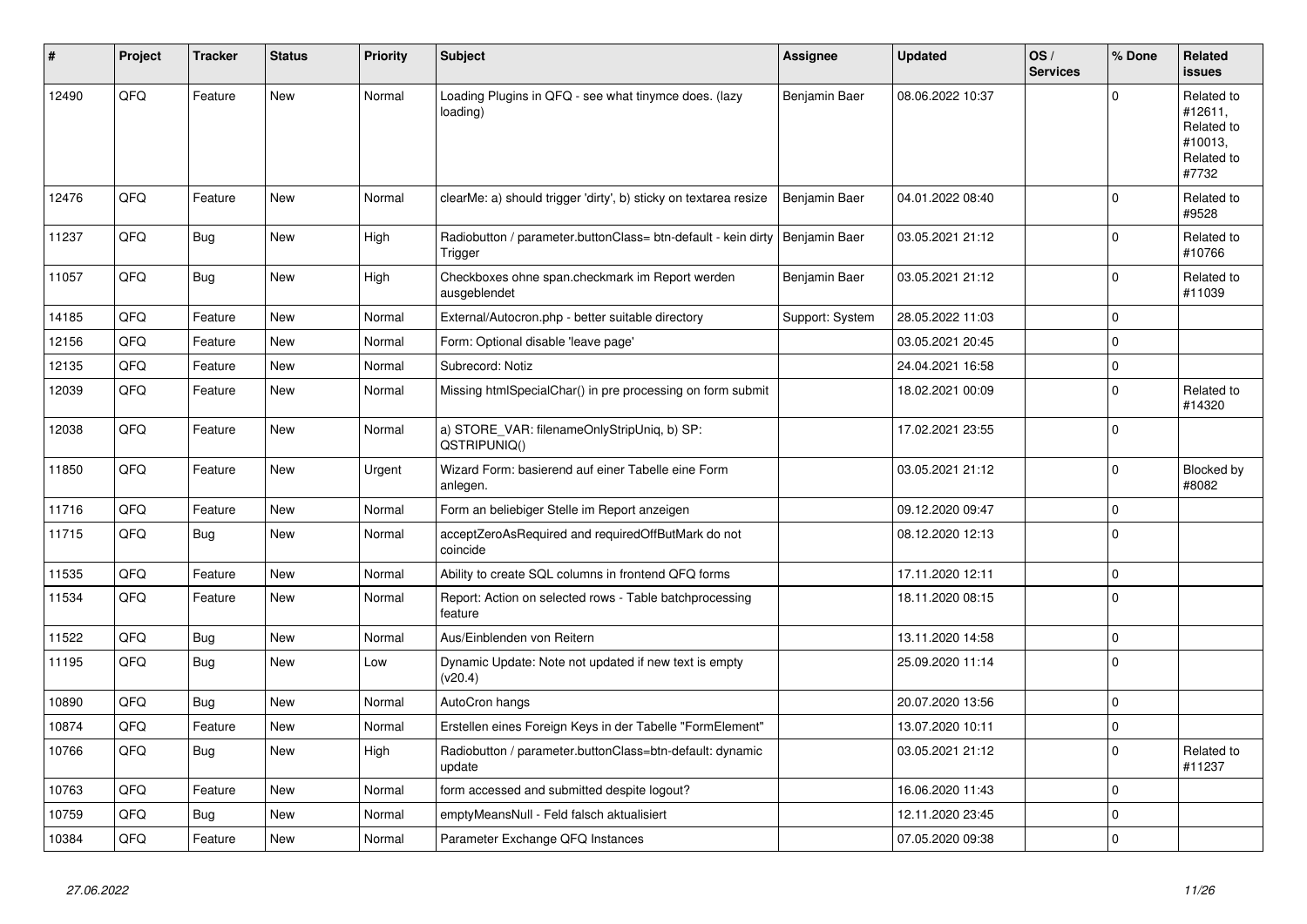| #     | Project | <b>Tracker</b> | <b>Status</b> | <b>Priority</b> | <b>Subject</b>                                                           | <b>Assignee</b> | <b>Updated</b>   | OS/<br><b>Services</b> | % Done      | Related<br><b>issues</b>                                              |
|-------|---------|----------------|---------------|-----------------|--------------------------------------------------------------------------|-----------------|------------------|------------------------|-------------|-----------------------------------------------------------------------|
| 12490 | QFQ     | Feature        | <b>New</b>    | Normal          | Loading Plugins in QFQ - see what tinymce does. (lazy<br>loading)        | Benjamin Baer   | 08.06.2022 10:37 |                        | $\Omega$    | Related to<br>#12611,<br>Related to<br>#10013,<br>Related to<br>#7732 |
| 12476 | QFQ     | Feature        | <b>New</b>    | Normal          | clearMe: a) should trigger 'dirty', b) sticky on textarea resize         | Benjamin Baer   | 04.01.2022 08:40 |                        | $\Omega$    | Related to<br>#9528                                                   |
| 11237 | QFQ     | <b>Bug</b>     | <b>New</b>    | High            | Radiobutton / parameter.buttonClass= btn-default - kein dirty<br>Trigger | Benjamin Baer   | 03.05.2021 21:12 |                        | $\Omega$    | Related to<br>#10766                                                  |
| 11057 | QFQ     | Bug            | New           | High            | Checkboxes ohne span.checkmark im Report werden<br>ausgeblendet          | Benjamin Baer   | 03.05.2021 21:12 |                        | $\Omega$    | Related to<br>#11039                                                  |
| 14185 | QFQ     | Feature        | <b>New</b>    | Normal          | External/Autocron.php - better suitable directory                        | Support: System | 28.05.2022 11:03 |                        | $\mathbf 0$ |                                                                       |
| 12156 | QFQ     | Feature        | <b>New</b>    | Normal          | Form: Optional disable 'leave page'                                      |                 | 03.05.2021 20:45 |                        | $\Omega$    |                                                                       |
| 12135 | QFQ     | Feature        | <b>New</b>    | Normal          | Subrecord: Notiz                                                         |                 | 24.04.2021 16:58 |                        | $\Omega$    |                                                                       |
| 12039 | QFQ     | Feature        | New           | Normal          | Missing htmlSpecialChar() in pre processing on form submit               |                 | 18.02.2021 00:09 |                        | $\Omega$    | Related to<br>#14320                                                  |
| 12038 | QFQ     | Feature        | <b>New</b>    | Normal          | a) STORE_VAR: filenameOnlyStripUniq, b) SP:<br>QSTRIPUNIQ()              |                 | 17.02.2021 23:55 |                        | $\Omega$    |                                                                       |
| 11850 | QFQ     | Feature        | New           | Urgent          | Wizard Form: basierend auf einer Tabelle eine Form<br>anlegen.           |                 | 03.05.2021 21:12 |                        | 0           | Blocked by<br>#8082                                                   |
| 11716 | QFQ     | Feature        | New           | Normal          | Form an beliebiger Stelle im Report anzeigen                             |                 | 09.12.2020 09:47 |                        | $\Omega$    |                                                                       |
| 11715 | QFQ     | Bug            | New           | Normal          | acceptZeroAsRequired and requiredOffButMark do not<br>coincide           |                 | 08.12.2020 12:13 |                        | $\Omega$    |                                                                       |
| 11535 | QFQ     | Feature        | <b>New</b>    | Normal          | Ability to create SQL columns in frontend QFQ forms                      |                 | 17.11.2020 12:11 |                        | $\Omega$    |                                                                       |
| 11534 | QFQ     | Feature        | New           | Normal          | Report: Action on selected rows - Table batchprocessing<br>feature       |                 | 18.11.2020 08:15 |                        | $\Omega$    |                                                                       |
| 11522 | QFQ     | Bug            | New           | Normal          | Aus/Einblenden von Reitern                                               |                 | 13.11.2020 14:58 |                        | $\mathbf 0$ |                                                                       |
| 11195 | QFQ     | <b>Bug</b>     | New           | Low             | Dynamic Update: Note not updated if new text is empty<br>(v20.4)         |                 | 25.09.2020 11:14 |                        | $\Omega$    |                                                                       |
| 10890 | QFQ     | Bug            | <b>New</b>    | Normal          | AutoCron hangs                                                           |                 | 20.07.2020 13:56 |                        | $\mathbf 0$ |                                                                       |
| 10874 | QFQ     | Feature        | New           | Normal          | Erstellen eines Foreign Keys in der Tabelle "FormElement"                |                 | 13.07.2020 10:11 |                        | $\mathbf 0$ |                                                                       |
| 10766 | QFQ     | <b>Bug</b>     | New           | High            | Radiobutton / parameter.buttonClass=btn-default: dynamic<br>update       |                 | 03.05.2021 21:12 |                        | 0           | Related to<br>#11237                                                  |
| 10763 | QFQ     | Feature        | New           | Normal          | form accessed and submitted despite logout?                              |                 | 16.06.2020 11:43 |                        | $\Omega$    |                                                                       |
| 10759 | QFQ     | <b>Bug</b>     | <b>New</b>    | Normal          | emptyMeansNull - Feld falsch aktualisiert                                |                 | 12.11.2020 23:45 |                        | $\mathbf 0$ |                                                                       |
| 10384 | QFQ     | Feature        | <b>New</b>    | Normal          | Parameter Exchange QFQ Instances                                         |                 | 07.05.2020 09:38 |                        | $\Omega$    |                                                                       |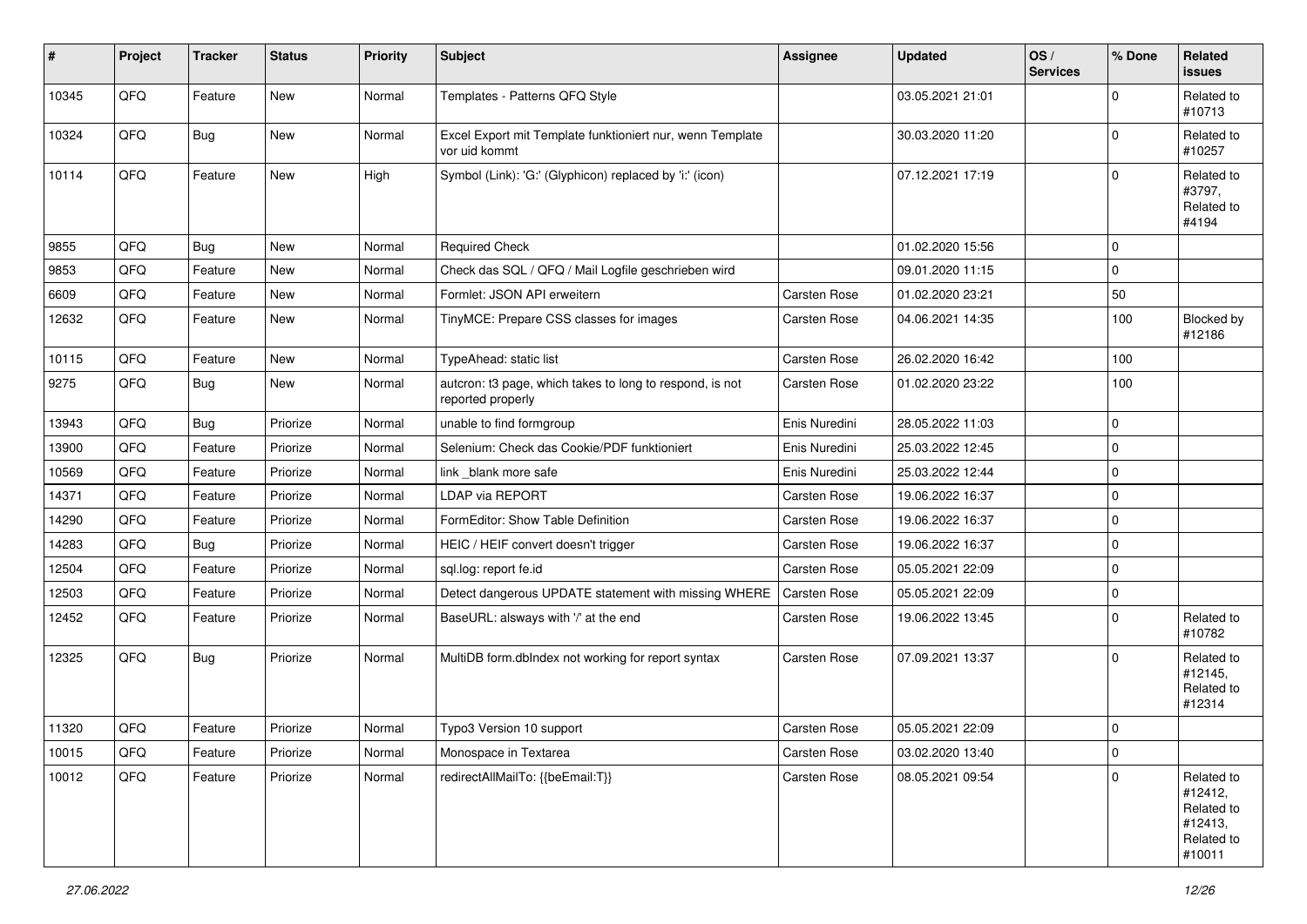| $\sharp$ | Project | <b>Tracker</b> | <b>Status</b> | <b>Priority</b> | <b>Subject</b>                                                                | <b>Assignee</b> | <b>Updated</b>   | OS/<br><b>Services</b> | % Done      | Related<br><b>issues</b>                                               |
|----------|---------|----------------|---------------|-----------------|-------------------------------------------------------------------------------|-----------------|------------------|------------------------|-------------|------------------------------------------------------------------------|
| 10345    | QFQ     | Feature        | New           | Normal          | Templates - Patterns QFQ Style                                                |                 | 03.05.2021 21:01 |                        | $\mathbf 0$ | Related to<br>#10713                                                   |
| 10324    | QFQ     | Bug            | New           | Normal          | Excel Export mit Template funktioniert nur, wenn Template<br>vor uid kommt    |                 | 30.03.2020 11:20 |                        | $\mathbf 0$ | Related to<br>#10257                                                   |
| 10114    | QFQ     | Feature        | New           | High            | Symbol (Link): 'G:' (Glyphicon) replaced by 'i:' (icon)                       |                 | 07.12.2021 17:19 |                        | $\mathbf 0$ | Related to<br>#3797,<br>Related to<br>#4194                            |
| 9855     | QFQ     | <b>Bug</b>     | <b>New</b>    | Normal          | <b>Required Check</b>                                                         |                 | 01.02.2020 15:56 |                        | $\mathbf 0$ |                                                                        |
| 9853     | QFQ     | Feature        | New           | Normal          | Check das SQL / QFQ / Mail Logfile geschrieben wird                           |                 | 09.01.2020 11:15 |                        | $\mathbf 0$ |                                                                        |
| 6609     | QFQ     | Feature        | New           | Normal          | Formlet: JSON API erweitern                                                   | Carsten Rose    | 01.02.2020 23:21 |                        | 50          |                                                                        |
| 12632    | QFQ     | Feature        | New           | Normal          | TinyMCE: Prepare CSS classes for images                                       | Carsten Rose    | 04.06.2021 14:35 |                        | 100         | Blocked by<br>#12186                                                   |
| 10115    | QFQ     | Feature        | New           | Normal          | TypeAhead: static list                                                        | Carsten Rose    | 26.02.2020 16:42 |                        | 100         |                                                                        |
| 9275     | QFQ     | <b>Bug</b>     | New           | Normal          | autcron: t3 page, which takes to long to respond, is not<br>reported properly | Carsten Rose    | 01.02.2020 23:22 |                        | 100         |                                                                        |
| 13943    | QFQ     | <b>Bug</b>     | Priorize      | Normal          | unable to find formgroup                                                      | Enis Nuredini   | 28.05.2022 11:03 |                        | $\mathbf 0$ |                                                                        |
| 13900    | QFQ     | Feature        | Priorize      | Normal          | Selenium: Check das Cookie/PDF funktioniert                                   | Enis Nuredini   | 25.03.2022 12:45 |                        | $\mathbf 0$ |                                                                        |
| 10569    | QFQ     | Feature        | Priorize      | Normal          | link _blank more safe                                                         | Enis Nuredini   | 25.03.2022 12:44 |                        | $\pmb{0}$   |                                                                        |
| 14371    | QFQ     | Feature        | Priorize      | Normal          | LDAP via REPORT                                                               | Carsten Rose    | 19.06.2022 16:37 |                        | $\mathbf 0$ |                                                                        |
| 14290    | QFQ     | Feature        | Priorize      | Normal          | FormEditor: Show Table Definition                                             | Carsten Rose    | 19.06.2022 16:37 |                        | $\mathbf 0$ |                                                                        |
| 14283    | QFQ     | Bug            | Priorize      | Normal          | HEIC / HEIF convert doesn't trigger                                           | Carsten Rose    | 19.06.2022 16:37 |                        | $\pmb{0}$   |                                                                        |
| 12504    | QFQ     | Feature        | Priorize      | Normal          | sql.log: report fe.id                                                         | Carsten Rose    | 05.05.2021 22:09 |                        | $\mathbf 0$ |                                                                        |
| 12503    | QFQ     | Feature        | Priorize      | Normal          | Detect dangerous UPDATE statement with missing WHERE                          | Carsten Rose    | 05.05.2021 22:09 |                        | $\pmb{0}$   |                                                                        |
| 12452    | QFQ     | Feature        | Priorize      | Normal          | BaseURL: alsways with '/' at the end                                          | Carsten Rose    | 19.06.2022 13:45 |                        | $\mathbf 0$ | Related to<br>#10782                                                   |
| 12325    | QFQ     | Bug            | Priorize      | Normal          | MultiDB form.dblndex not working for report syntax                            | Carsten Rose    | 07.09.2021 13:37 |                        | $\mathbf 0$ | Related to<br>#12145,<br>Related to<br>#12314                          |
| 11320    | QFQ     | Feature        | Priorize      | Normal          | Typo3 Version 10 support                                                      | Carsten Rose    | 05.05.2021 22:09 |                        | $\mathbf 0$ |                                                                        |
| 10015    | QFQ     | Feature        | Priorize      | Normal          | Monospace in Textarea                                                         | Carsten Rose    | 03.02.2020 13:40 |                        | $\pmb{0}$   |                                                                        |
| 10012    | QFQ     | Feature        | Priorize      | Normal          | redirectAllMailTo: {{beEmail:T}}                                              | Carsten Rose    | 08.05.2021 09:54 |                        | $\mathbf 0$ | Related to<br>#12412,<br>Related to<br>#12413,<br>Related to<br>#10011 |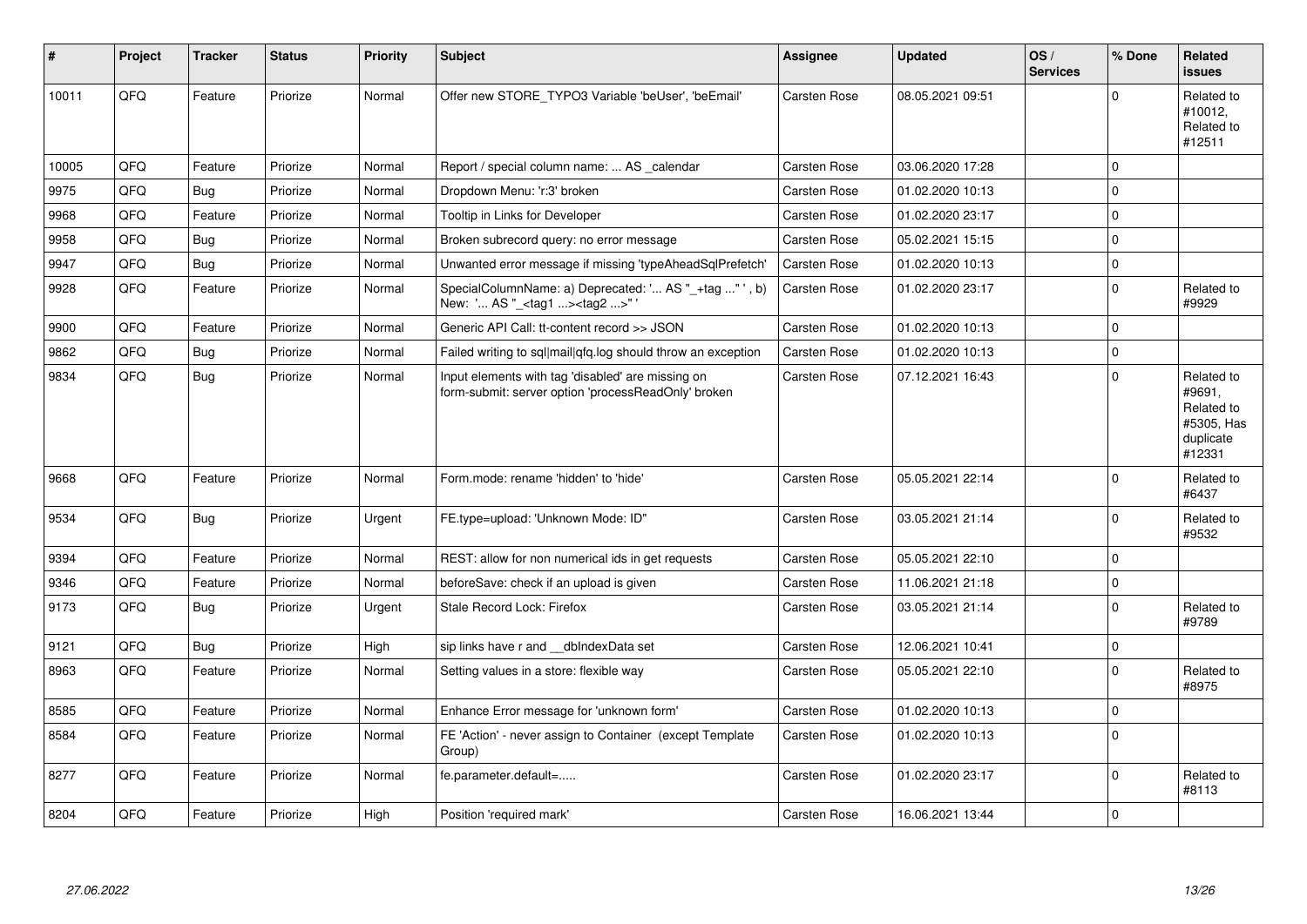| $\vert$ # | <b>Project</b> | <b>Tracker</b> | <b>Status</b> | <b>Priority</b> | <b>Subject</b>                                                                                           | <b>Assignee</b>     | <b>Updated</b>   | OS/<br><b>Services</b> | % Done       | <b>Related</b><br><b>issues</b>                                         |
|-----------|----------------|----------------|---------------|-----------------|----------------------------------------------------------------------------------------------------------|---------------------|------------------|------------------------|--------------|-------------------------------------------------------------------------|
| 10011     | QFQ            | Feature        | Priorize      | Normal          | Offer new STORE TYPO3 Variable 'beUser', 'beEmail'                                                       | Carsten Rose        | 08.05.2021 09:51 |                        | $\Omega$     | Related to<br>#10012,<br>Related to<br>#12511                           |
| 10005     | QFQ            | Feature        | Priorize      | Normal          | Report / special column name:  AS _calendar                                                              | Carsten Rose        | 03.06.2020 17:28 |                        | $\Omega$     |                                                                         |
| 9975      | QFQ            | <b>Bug</b>     | Priorize      | Normal          | Dropdown Menu: 'r:3' broken                                                                              | Carsten Rose        | 01.02.2020 10:13 |                        | $\Omega$     |                                                                         |
| 9968      | QFQ            | Feature        | Priorize      | Normal          | Tooltip in Links for Developer                                                                           | Carsten Rose        | 01.02.2020 23:17 |                        | $\mathbf 0$  |                                                                         |
| 9958      | QFQ            | <b>Bug</b>     | Priorize      | Normal          | Broken subrecord query: no error message                                                                 | Carsten Rose        | 05.02.2021 15:15 |                        | $\mathbf{0}$ |                                                                         |
| 9947      | QFQ            | <b>Bug</b>     | Priorize      | Normal          | Unwanted error message if missing 'typeAheadSqlPrefetch'                                                 | <b>Carsten Rose</b> | 01.02.2020 10:13 |                        | $\mathbf{0}$ |                                                                         |
| 9928      | QFQ            | Feature        | Priorize      | Normal          | SpecialColumnName: a) Deprecated: ' AS "_+tag " ', b)<br>New: ' AS "_ <tag1><tag2>"</tag2></tag1>        | Carsten Rose        | 01.02.2020 23:17 |                        | $\mathbf 0$  | Related to<br>#9929                                                     |
| 9900      | QFQ            | Feature        | Priorize      | Normal          | Generic API Call: tt-content record >> JSON                                                              | Carsten Rose        | 01.02.2020 10:13 |                        | $\Omega$     |                                                                         |
| 9862      | QFQ            | <b>Bug</b>     | Priorize      | Normal          | Failed writing to sql mail qfq.log should throw an exception                                             | Carsten Rose        | 01.02.2020 10:13 |                        | $\mathbf{0}$ |                                                                         |
| 9834      | QFQ            | Bug            | Priorize      | Normal          | Input elements with tag 'disabled' are missing on<br>form-submit: server option 'processReadOnly' broken | Carsten Rose        | 07.12.2021 16:43 |                        | $\mathbf 0$  | Related to<br>#9691,<br>Related to<br>#5305, Has<br>duplicate<br>#12331 |
| 9668      | QFQ            | Feature        | Priorize      | Normal          | Form.mode: rename 'hidden' to 'hide'                                                                     | Carsten Rose        | 05.05.2021 22:14 |                        | $\mathbf 0$  | Related to<br>#6437                                                     |
| 9534      | QFQ            | <b>Bug</b>     | Priorize      | Urgent          | FE.type=upload: 'Unknown Mode: ID"                                                                       | Carsten Rose        | 03.05.2021 21:14 |                        | $\Omega$     | Related to<br>#9532                                                     |
| 9394      | QFQ            | Feature        | Priorize      | Normal          | REST: allow for non numerical ids in get requests                                                        | Carsten Rose        | 05.05.2021 22:10 |                        | $\Omega$     |                                                                         |
| 9346      | QFQ            | Feature        | Priorize      | Normal          | beforeSave: check if an upload is given                                                                  | Carsten Rose        | 11.06.2021 21:18 |                        | $\mathbf 0$  |                                                                         |
| 9173      | QFQ            | Bug            | Priorize      | Urgent          | Stale Record Lock: Firefox                                                                               | Carsten Rose        | 03.05.2021 21:14 |                        | $\Omega$     | Related to<br>#9789                                                     |
| 9121      | QFQ            | <b>Bug</b>     | Priorize      | High            | sip links have r and dblndexData set                                                                     | Carsten Rose        | 12.06.2021 10:41 |                        | $\mathbf 0$  |                                                                         |
| 8963      | QFQ            | Feature        | Priorize      | Normal          | Setting values in a store: flexible way                                                                  | Carsten Rose        | 05.05.2021 22:10 |                        | $\Omega$     | Related to<br>#8975                                                     |
| 8585      | QFQ            | Feature        | Priorize      | Normal          | Enhance Error message for 'unknown form'                                                                 | <b>Carsten Rose</b> | 01.02.2020 10:13 |                        | $\mathbf 0$  |                                                                         |
| 8584      | QFQ            | Feature        | Priorize      | Normal          | FE 'Action' - never assign to Container (except Template<br>Group)                                       | Carsten Rose        | 01.02.2020 10:13 |                        | $\mathbf{0}$ |                                                                         |
| 8277      | QFQ            | Feature        | Priorize      | Normal          | fe.parameter.default=                                                                                    | Carsten Rose        | 01.02.2020 23:17 |                        | $\mathbf 0$  | Related to<br>#8113                                                     |
| 8204      | QFQ            | Feature        | Priorize      | High            | Position 'required mark'                                                                                 | Carsten Rose        | 16.06.2021 13:44 |                        | $\mathbf 0$  |                                                                         |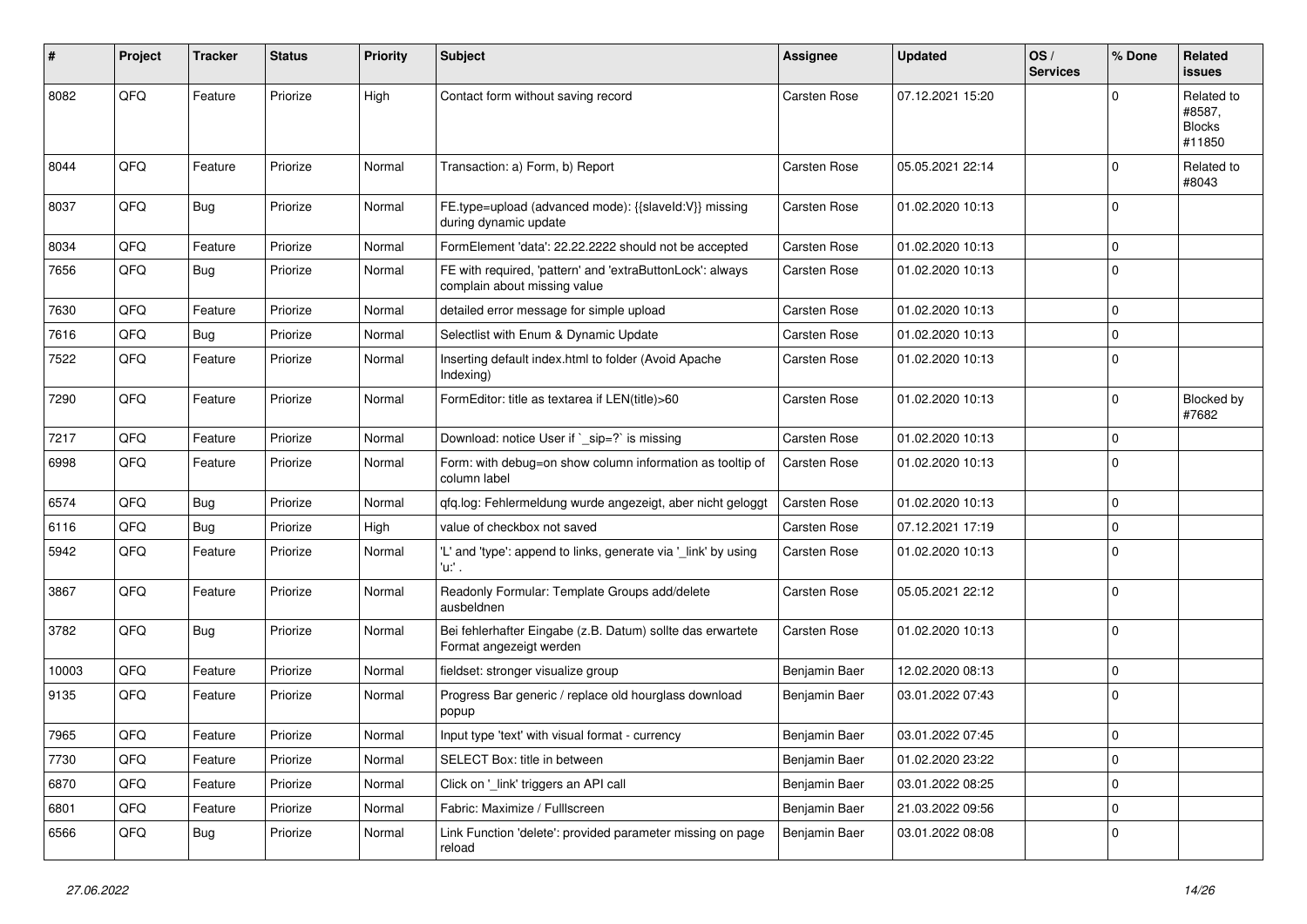| $\pmb{\#}$ | Project | <b>Tracker</b> | <b>Status</b> | <b>Priority</b> | <b>Subject</b>                                                                            | <b>Assignee</b> | <b>Updated</b>   | OS/<br><b>Services</b> | % Done      | Related<br><b>issues</b>                        |
|------------|---------|----------------|---------------|-----------------|-------------------------------------------------------------------------------------------|-----------------|------------------|------------------------|-------------|-------------------------------------------------|
| 8082       | QFQ     | Feature        | Priorize      | High            | Contact form without saving record                                                        | Carsten Rose    | 07.12.2021 15:20 |                        | $\Omega$    | Related to<br>#8587,<br><b>Blocks</b><br>#11850 |
| 8044       | QFQ     | Feature        | Priorize      | Normal          | Transaction: a) Form, b) Report                                                           | Carsten Rose    | 05.05.2021 22:14 |                        | $\mathbf 0$ | Related to<br>#8043                             |
| 8037       | QFQ     | <b>Bug</b>     | Priorize      | Normal          | FE.type=upload (advanced mode): {{slaveld:V}} missing<br>during dynamic update            | Carsten Rose    | 01.02.2020 10:13 |                        | $\mathbf 0$ |                                                 |
| 8034       | QFQ     | Feature        | Priorize      | Normal          | FormElement 'data': 22.22.2222 should not be accepted                                     | Carsten Rose    | 01.02.2020 10:13 |                        | $\mathbf 0$ |                                                 |
| 7656       | QFQ     | <b>Bug</b>     | Priorize      | Normal          | FE with required, 'pattern' and 'extraButtonLock': always<br>complain about missing value | Carsten Rose    | 01.02.2020 10:13 |                        | $\mathbf 0$ |                                                 |
| 7630       | QFQ     | Feature        | Priorize      | Normal          | detailed error message for simple upload                                                  | Carsten Rose    | 01.02.2020 10:13 |                        | $\mathbf 0$ |                                                 |
| 7616       | QFQ     | <b>Bug</b>     | Priorize      | Normal          | Selectlist with Enum & Dynamic Update                                                     | Carsten Rose    | 01.02.2020 10:13 |                        | $\mathbf 0$ |                                                 |
| 7522       | QFQ     | Feature        | Priorize      | Normal          | Inserting default index.html to folder (Avoid Apache<br>Indexing)                         | Carsten Rose    | 01.02.2020 10:13 |                        | $\mathbf 0$ |                                                 |
| 7290       | QFQ     | Feature        | Priorize      | Normal          | FormEditor: title as textarea if LEN(title)>60                                            | Carsten Rose    | 01.02.2020 10:13 |                        | $\mathbf 0$ | Blocked by<br>#7682                             |
| 7217       | QFQ     | Feature        | Priorize      | Normal          | Download: notice User if `_sip=?` is missing                                              | Carsten Rose    | 01.02.2020 10:13 |                        | $\mathbf 0$ |                                                 |
| 6998       | QFQ     | Feature        | Priorize      | Normal          | Form: with debug=on show column information as tooltip of<br>column label                 | Carsten Rose    | 01.02.2020 10:13 |                        | $\Omega$    |                                                 |
| 6574       | QFQ     | <b>Bug</b>     | Priorize      | Normal          | qfq.log: Fehlermeldung wurde angezeigt, aber nicht geloggt                                | Carsten Rose    | 01.02.2020 10:13 |                        | $\mathbf 0$ |                                                 |
| 6116       | QFQ     | Bug            | Priorize      | High            | value of checkbox not saved                                                               | Carsten Rose    | 07.12.2021 17:19 |                        | $\mathbf 0$ |                                                 |
| 5942       | QFQ     | Feature        | Priorize      | Normal          | 'L' and 'type': append to links, generate via '_link' by using<br>'u:' .                  | Carsten Rose    | 01.02.2020 10:13 |                        | $\Omega$    |                                                 |
| 3867       | QFQ     | Feature        | Priorize      | Normal          | Readonly Formular: Template Groups add/delete<br>ausbeldnen                               | Carsten Rose    | 05.05.2021 22:12 |                        | $\Omega$    |                                                 |
| 3782       | QFQ     | <b>Bug</b>     | Priorize      | Normal          | Bei fehlerhafter Eingabe (z.B. Datum) sollte das erwartete<br>Format angezeigt werden     | Carsten Rose    | 01.02.2020 10:13 |                        | $\mathbf 0$ |                                                 |
| 10003      | QFQ     | Feature        | Priorize      | Normal          | fieldset: stronger visualize group                                                        | Benjamin Baer   | 12.02.2020 08:13 |                        | $\mathbf 0$ |                                                 |
| 9135       | QFQ     | Feature        | Priorize      | Normal          | Progress Bar generic / replace old hourglass download<br>popup                            | Benjamin Baer   | 03.01.2022 07:43 |                        | $\mathbf 0$ |                                                 |
| 7965       | QFQ     | Feature        | Priorize      | Normal          | Input type 'text' with visual format - currency                                           | Benjamin Baer   | 03.01.2022 07:45 |                        | $\pmb{0}$   |                                                 |
| 7730       | QFQ     | Feature        | Priorize      | Normal          | SELECT Box: title in between                                                              | Benjamin Baer   | 01.02.2020 23:22 |                        | $\mathbf 0$ |                                                 |
| 6870       | QFQ     | Feature        | Priorize      | Normal          | Click on '_link' triggers an API call                                                     | Benjamin Baer   | 03.01.2022 08:25 |                        | $\mathbf 0$ |                                                 |
| 6801       | QFQ     | Feature        | Priorize      | Normal          | Fabric: Maximize / FullIscreen                                                            | Benjamin Baer   | 21.03.2022 09:56 |                        | $\mathbf 0$ |                                                 |
| 6566       | QFQ     | Bug            | Priorize      | Normal          | Link Function 'delete': provided parameter missing on page<br>reload                      | Benjamin Baer   | 03.01.2022 08:08 |                        | $\mathbf 0$ |                                                 |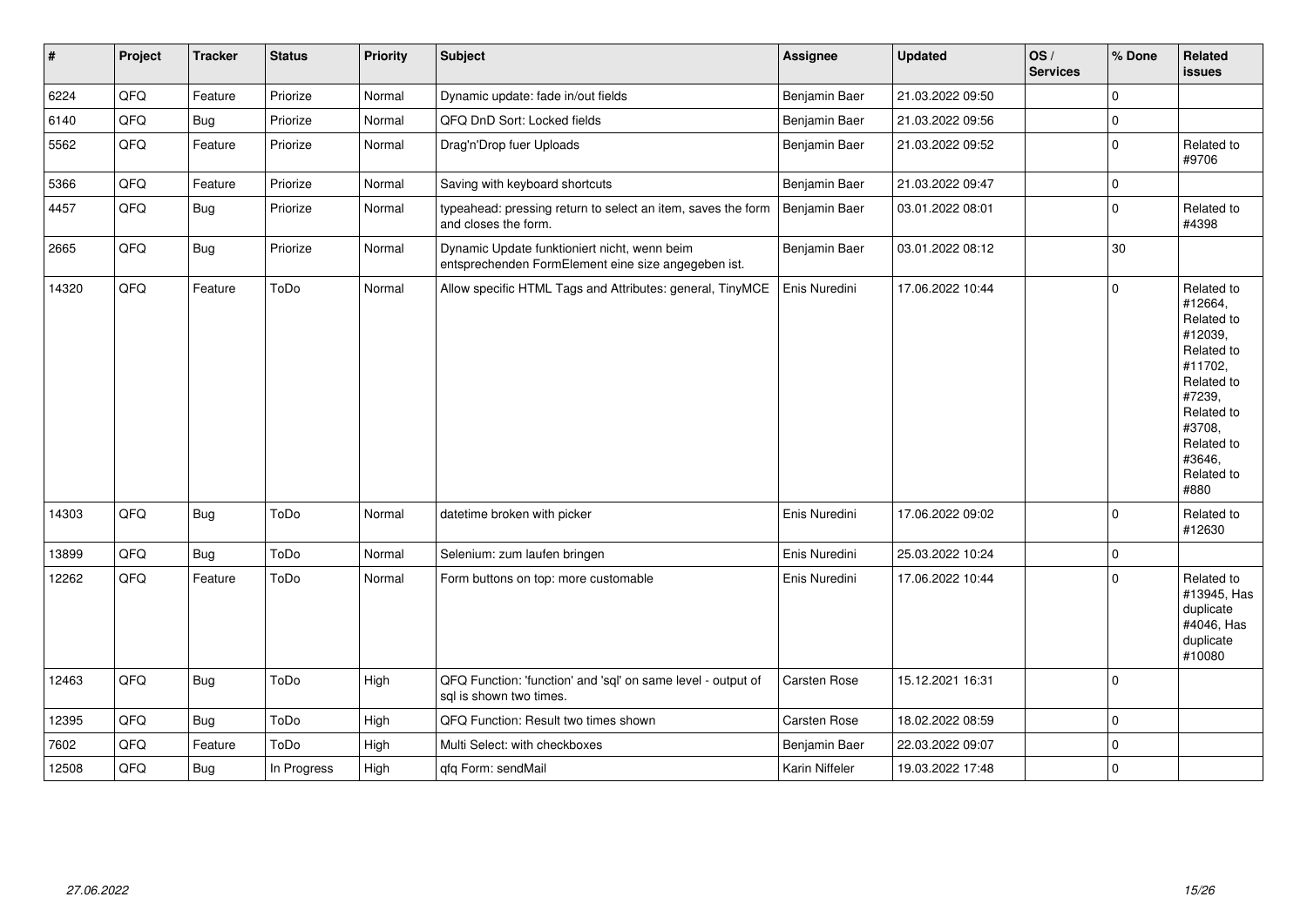| $\sharp$ | Project | <b>Tracker</b> | <b>Status</b> | <b>Priority</b> | <b>Subject</b>                                                                                      | Assignee       | <b>Updated</b>   | OS/<br><b>Services</b> | % Done      | Related<br><b>issues</b>                                                                                                                                              |
|----------|---------|----------------|---------------|-----------------|-----------------------------------------------------------------------------------------------------|----------------|------------------|------------------------|-------------|-----------------------------------------------------------------------------------------------------------------------------------------------------------------------|
| 6224     | QFQ     | Feature        | Priorize      | Normal          | Dynamic update: fade in/out fields                                                                  | Benjamin Baer  | 21.03.2022 09:50 |                        | $\mathbf 0$ |                                                                                                                                                                       |
| 6140     | QFQ     | Bug            | Priorize      | Normal          | QFQ DnD Sort: Locked fields                                                                         | Benjamin Baer  | 21.03.2022 09:56 |                        | $\mathbf 0$ |                                                                                                                                                                       |
| 5562     | QFQ     | Feature        | Priorize      | Normal          | Drag'n'Drop fuer Uploads                                                                            | Benjamin Baer  | 21.03.2022 09:52 |                        | 0           | Related to<br>#9706                                                                                                                                                   |
| 5366     | QFQ     | Feature        | Priorize      | Normal          | Saving with keyboard shortcuts                                                                      | Benjamin Baer  | 21.03.2022 09:47 |                        | 0           |                                                                                                                                                                       |
| 4457     | QFQ     | Bug            | Priorize      | Normal          | typeahead: pressing return to select an item, saves the form<br>and closes the form.                | Benjamin Baer  | 03.01.2022 08:01 |                        | $\Omega$    | Related to<br>#4398                                                                                                                                                   |
| 2665     | QFQ     | <b>Bug</b>     | Priorize      | Normal          | Dynamic Update funktioniert nicht, wenn beim<br>entsprechenden FormElement eine size angegeben ist. | Benjamin Baer  | 03.01.2022 08:12 |                        | $30\,$      |                                                                                                                                                                       |
| 14320    | QFQ     | Feature        | ToDo          | Normal          | Allow specific HTML Tags and Attributes: general, TinyMCE                                           | Enis Nuredini  | 17.06.2022 10:44 |                        | $\mathbf 0$ | Related to<br>#12664,<br>Related to<br>#12039,<br>Related to<br>#11702,<br>Related to<br>#7239,<br>Related to<br>#3708,<br>Related to<br>#3646,<br>Related to<br>#880 |
| 14303    | QFQ     | <b>Bug</b>     | ToDo          | Normal          | datetime broken with picker                                                                         | Enis Nuredini  | 17.06.2022 09:02 |                        | $\Omega$    | Related to<br>#12630                                                                                                                                                  |
| 13899    | QFQ     | Bug            | ToDo          | Normal          | Selenium: zum laufen bringen                                                                        | Enis Nuredini  | 25.03.2022 10:24 |                        | $\Omega$    |                                                                                                                                                                       |
| 12262    | QFQ     | Feature        | ToDo          | Normal          | Form buttons on top: more customable                                                                | Enis Nuredini  | 17.06.2022 10:44 |                        | $\mathbf 0$ | Related to<br>#13945, Has<br>duplicate<br>#4046, Has<br>duplicate<br>#10080                                                                                           |
| 12463    | QFQ     | <b>Bug</b>     | ToDo          | High            | QFQ Function: 'function' and 'sql' on same level - output of<br>sal is shown two times.             | Carsten Rose   | 15.12.2021 16:31 |                        | $\Omega$    |                                                                                                                                                                       |
| 12395    | QFQ     | <b>Bug</b>     | ToDo          | High            | QFQ Function: Result two times shown                                                                | Carsten Rose   | 18.02.2022 08:59 |                        | 0           |                                                                                                                                                                       |
| 7602     | QFQ     | Feature        | ToDo          | High            | Multi Select: with checkboxes                                                                       | Benjamin Baer  | 22.03.2022 09:07 |                        | $\mathbf 0$ |                                                                                                                                                                       |
| 12508    | QFQ     | <b>Bug</b>     | In Progress   | High            | qfq Form: sendMail                                                                                  | Karin Niffeler | 19.03.2022 17:48 |                        | 0           |                                                                                                                                                                       |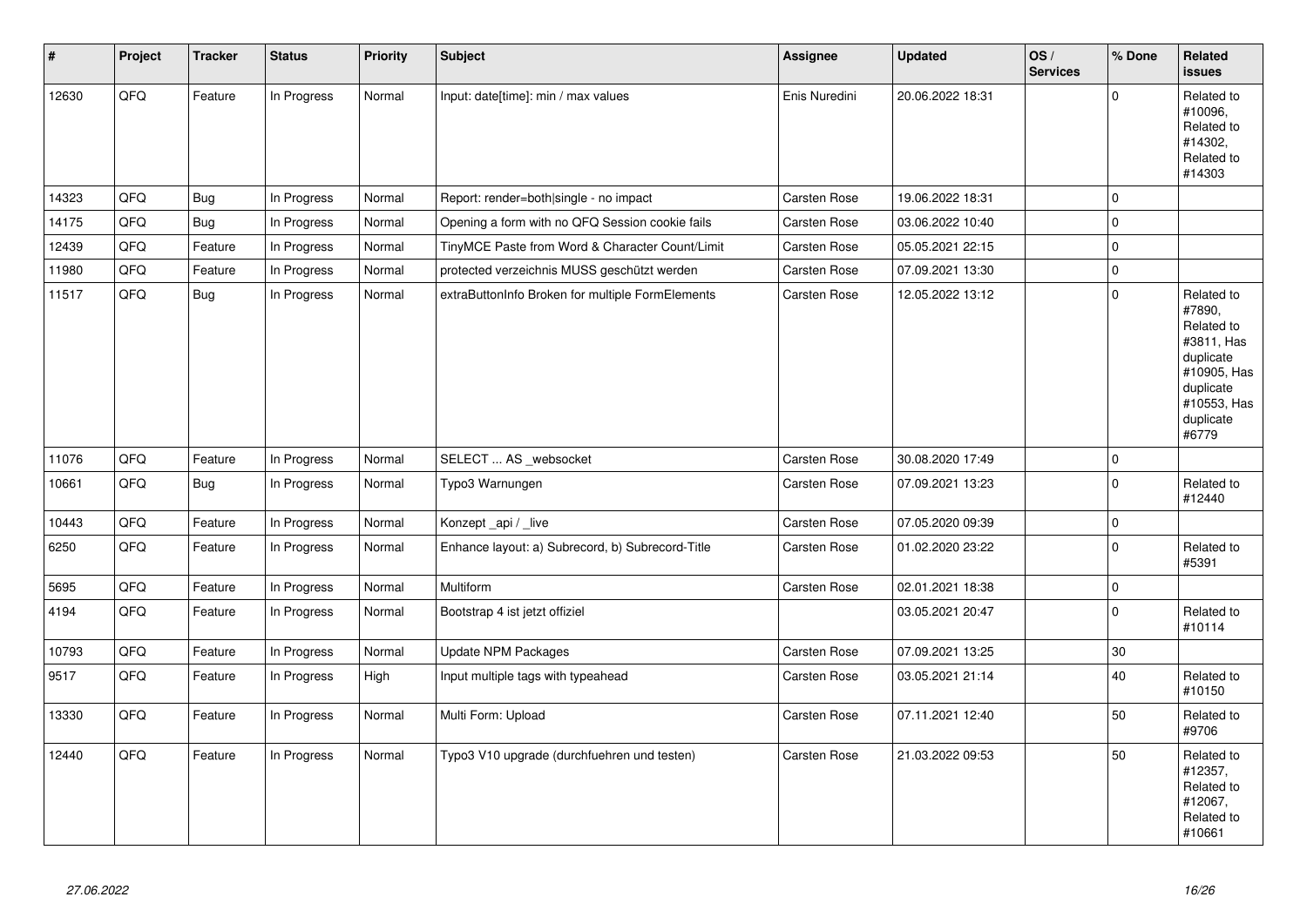| $\vert$ # | Project | <b>Tracker</b> | <b>Status</b> | <b>Priority</b> | <b>Subject</b>                                   | <b>Assignee</b> | <b>Updated</b>   | OS/<br><b>Services</b> | % Done      | Related<br><b>issues</b>                                                                                                       |
|-----------|---------|----------------|---------------|-----------------|--------------------------------------------------|-----------------|------------------|------------------------|-------------|--------------------------------------------------------------------------------------------------------------------------------|
| 12630     | QFQ     | Feature        | In Progress   | Normal          | Input: date[time]: min / max values              | Enis Nuredini   | 20.06.2022 18:31 |                        | $\Omega$    | Related to<br>#10096.<br>Related to<br>#14302.<br>Related to<br>#14303                                                         |
| 14323     | QFQ     | <b>Bug</b>     | In Progress   | Normal          | Report: render=both single - no impact           | Carsten Rose    | 19.06.2022 18:31 |                        | 0           |                                                                                                                                |
| 14175     | QFQ     | Bug            | In Progress   | Normal          | Opening a form with no QFQ Session cookie fails  | Carsten Rose    | 03.06.2022 10:40 |                        | $\Omega$    |                                                                                                                                |
| 12439     | QFQ     | Feature        | In Progress   | Normal          | TinyMCE Paste from Word & Character Count/Limit  | Carsten Rose    | 05.05.2021 22:15 |                        | $\mathbf 0$ |                                                                                                                                |
| 11980     | QFQ     | Feature        | In Progress   | Normal          | protected verzeichnis MUSS geschützt werden      | Carsten Rose    | 07.09.2021 13:30 |                        | $\mathbf 0$ |                                                                                                                                |
| 11517     | QFQ     | <b>Bug</b>     | In Progress   | Normal          | extraButtonInfo Broken for multiple FormElements | Carsten Rose    | 12.05.2022 13:12 |                        | $\Omega$    | Related to<br>#7890,<br>Related to<br>#3811, Has<br>duplicate<br>#10905, Has<br>duplicate<br>#10553, Has<br>duplicate<br>#6779 |
| 11076     | QFQ     | Feature        | In Progress   | Normal          | SELECT  AS _websocket                            | Carsten Rose    | 30.08.2020 17:49 |                        | $\mathbf 0$ |                                                                                                                                |
| 10661     | QFQ     | <b>Bug</b>     | In Progress   | Normal          | Typo3 Warnungen                                  | Carsten Rose    | 07.09.2021 13:23 |                        | $\Omega$    | Related to<br>#12440                                                                                                           |
| 10443     | QFQ     | Feature        | In Progress   | Normal          | Konzept_api / _live                              | Carsten Rose    | 07.05.2020 09:39 |                        | $\pmb{0}$   |                                                                                                                                |
| 6250      | QFQ     | Feature        | In Progress   | Normal          | Enhance layout: a) Subrecord, b) Subrecord-Title | Carsten Rose    | 01.02.2020 23:22 |                        | $\Omega$    | Related to<br>#5391                                                                                                            |
| 5695      | QFQ     | Feature        | In Progress   | Normal          | <b>Multiform</b>                                 | Carsten Rose    | 02.01.2021 18:38 |                        | $\pmb{0}$   |                                                                                                                                |
| 4194      | QFQ     | Feature        | In Progress   | Normal          | Bootstrap 4 ist jetzt offiziel                   |                 | 03.05.2021 20:47 |                        | $\Omega$    | Related to<br>#10114                                                                                                           |
| 10793     | QFQ     | Feature        | In Progress   | Normal          | <b>Update NPM Packages</b>                       | Carsten Rose    | 07.09.2021 13:25 |                        | $30\,$      |                                                                                                                                |
| 9517      | QFQ     | Feature        | In Progress   | High            | Input multiple tags with typeahead               | Carsten Rose    | 03.05.2021 21:14 |                        | 40          | Related to<br>#10150                                                                                                           |
| 13330     | QFQ     | Feature        | In Progress   | Normal          | Multi Form: Upload                               | Carsten Rose    | 07.11.2021 12:40 |                        | 50          | Related to<br>#9706                                                                                                            |
| 12440     | QFQ     | Feature        | In Progress   | Normal          | Typo3 V10 upgrade (durchfuehren und testen)      | Carsten Rose    | 21.03.2022 09:53 |                        | 50          | Related to<br>#12357,<br>Related to<br>#12067,<br>Related to<br>#10661                                                         |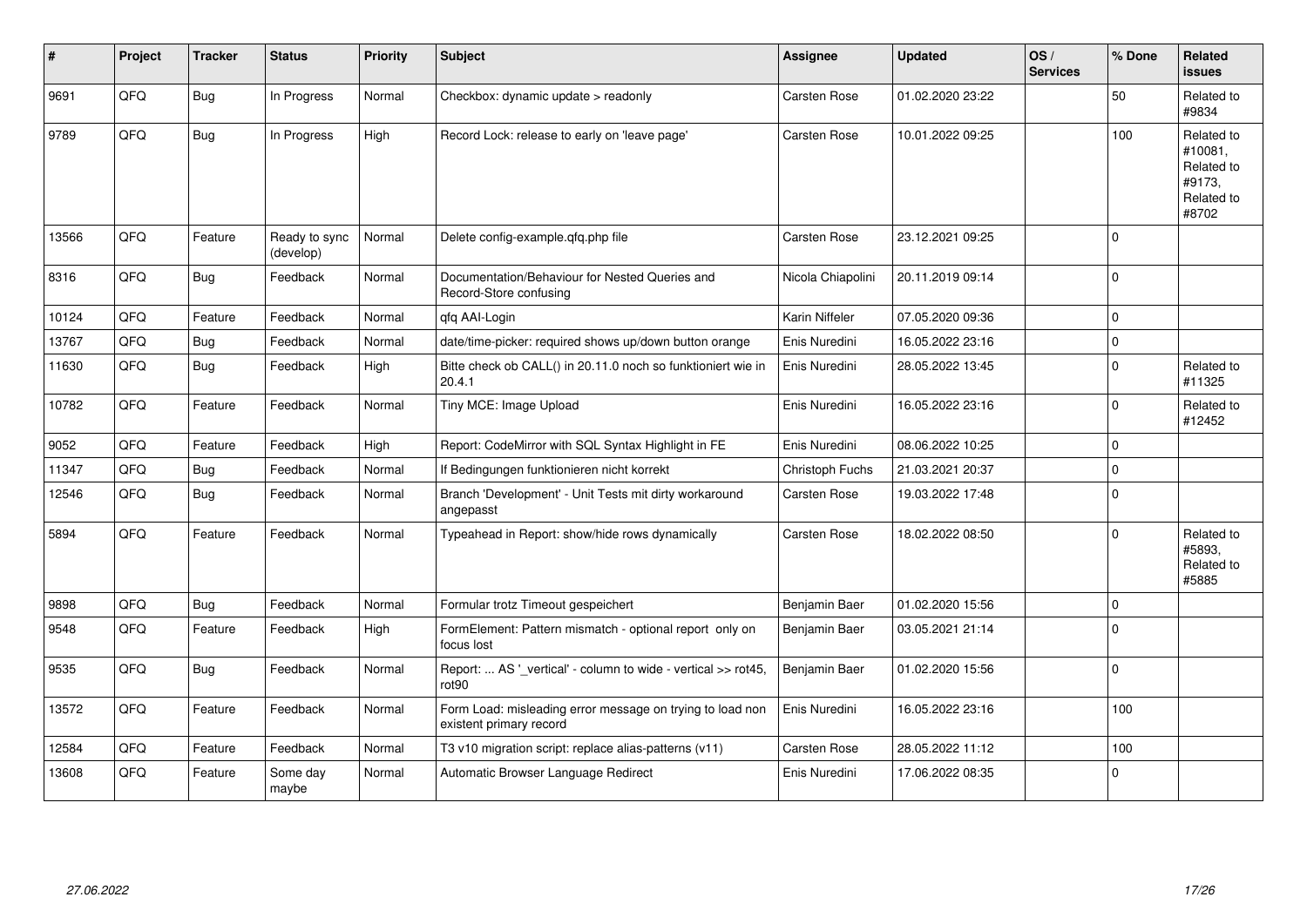| #     | Project | <b>Tracker</b> | <b>Status</b>              | <b>Priority</b> | <b>Subject</b>                                                                       | Assignee            | <b>Updated</b>   | OS/<br><b>Services</b> | % Done      | Related<br><b>issues</b>                                             |
|-------|---------|----------------|----------------------------|-----------------|--------------------------------------------------------------------------------------|---------------------|------------------|------------------------|-------------|----------------------------------------------------------------------|
| 9691  | QFQ     | <b>Bug</b>     | In Progress                | Normal          | Checkbox: dynamic update > readonly                                                  | Carsten Rose        | 01.02.2020 23:22 |                        | 50          | Related to<br>#9834                                                  |
| 9789  | QFQ     | Bug            | In Progress                | High            | Record Lock: release to early on 'leave page'                                        | <b>Carsten Rose</b> | 10.01.2022 09:25 |                        | 100         | Related to<br>#10081,<br>Related to<br>#9173.<br>Related to<br>#8702 |
| 13566 | QFQ     | Feature        | Ready to sync<br>(develop) | Normal          | Delete config-example.qfq.php file                                                   | Carsten Rose        | 23.12.2021 09:25 |                        | $\Omega$    |                                                                      |
| 8316  | QFQ     | Bug            | Feedback                   | Normal          | Documentation/Behaviour for Nested Queries and<br>Record-Store confusing             | Nicola Chiapolini   | 20.11.2019 09:14 |                        | $\Omega$    |                                                                      |
| 10124 | QFQ     | Feature        | Feedback                   | Normal          | qfq AAI-Login                                                                        | Karin Niffeler      | 07.05.2020 09:36 |                        | $\mathbf 0$ |                                                                      |
| 13767 | QFQ     | Bug            | Feedback                   | Normal          | date/time-picker: required shows up/down button orange                               | Enis Nuredini       | 16.05.2022 23:16 |                        | $\mathbf 0$ |                                                                      |
| 11630 | QFQ     | <b>Bug</b>     | Feedback                   | High            | Bitte check ob CALL() in 20.11.0 noch so funktioniert wie in<br>20.4.1               | Enis Nuredini       | 28.05.2022 13:45 |                        | $\mathbf 0$ | Related to<br>#11325                                                 |
| 10782 | QFQ     | Feature        | Feedback                   | Normal          | Tiny MCE: Image Upload                                                               | Enis Nuredini       | 16.05.2022 23:16 |                        | $\Omega$    | Related to<br>#12452                                                 |
| 9052  | QFQ     | Feature        | Feedback                   | High            | Report: CodeMirror with SQL Syntax Highlight in FE                                   | Enis Nuredini       | 08.06.2022 10:25 |                        | $\Omega$    |                                                                      |
| 11347 | QFQ     | Bug            | Feedback                   | Normal          | If Bedingungen funktionieren nicht korrekt                                           | Christoph Fuchs     | 21.03.2021 20:37 |                        | $\mathbf 0$ |                                                                      |
| 12546 | QFQ     | <b>Bug</b>     | Feedback                   | Normal          | Branch 'Development' - Unit Tests mit dirty workaround<br>angepasst                  | Carsten Rose        | 19.03.2022 17:48 |                        | $\mathbf 0$ |                                                                      |
| 5894  | QFQ     | Feature        | Feedback                   | Normal          | Typeahead in Report: show/hide rows dynamically                                      | Carsten Rose        | 18.02.2022 08:50 |                        | $\Omega$    | Related to<br>#5893,<br>Related to<br>#5885                          |
| 9898  | QFQ     | Bug            | Feedback                   | Normal          | Formular trotz Timeout gespeichert                                                   | Benjamin Baer       | 01.02.2020 15:56 |                        | $\Omega$    |                                                                      |
| 9548  | QFQ     | Feature        | Feedback                   | High            | FormElement: Pattern mismatch - optional report only on<br>focus lost                | Benjamin Baer       | 03.05.2021 21:14 |                        | $\mathbf 0$ |                                                                      |
| 9535  | QFQ     | Bug            | Feedback                   | Normal          | Report:  AS '_vertical' - column to wide - vertical >> rot45,<br>rot90               | Benjamin Baer       | 01.02.2020 15:56 |                        | $\mathbf 0$ |                                                                      |
| 13572 | QFQ     | Feature        | Feedback                   | Normal          | Form Load: misleading error message on trying to load non<br>existent primary record | Enis Nuredini       | 16.05.2022 23:16 |                        | 100         |                                                                      |
| 12584 | QFQ     | Feature        | Feedback                   | Normal          | T3 v10 migration script: replace alias-patterns (v11)                                | <b>Carsten Rose</b> | 28.05.2022 11:12 |                        | 100         |                                                                      |
| 13608 | QFQ     | Feature        | Some day<br>maybe          | Normal          | Automatic Browser Language Redirect                                                  | Enis Nuredini       | 17.06.2022 08:35 |                        | $\mathbf 0$ |                                                                      |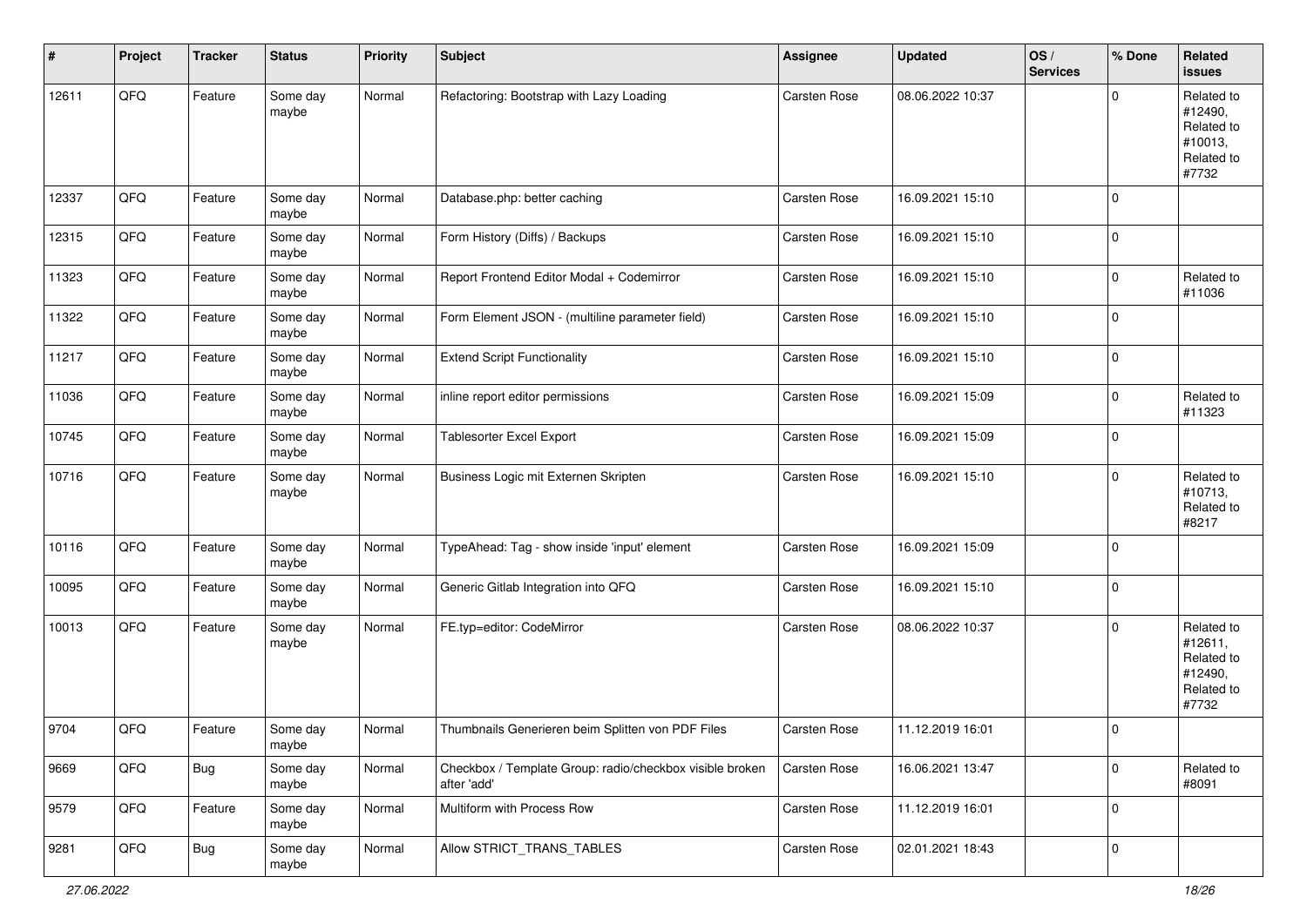| $\sharp$ | Project | <b>Tracker</b> | <b>Status</b>     | <b>Priority</b> | <b>Subject</b>                                                          | <b>Assignee</b> | <b>Updated</b>   | OS/<br><b>Services</b> | % Done      | Related<br><b>issues</b>                                              |
|----------|---------|----------------|-------------------|-----------------|-------------------------------------------------------------------------|-----------------|------------------|------------------------|-------------|-----------------------------------------------------------------------|
| 12611    | QFQ     | Feature        | Some day<br>maybe | Normal          | Refactoring: Bootstrap with Lazy Loading                                | Carsten Rose    | 08.06.2022 10:37 |                        | $\Omega$    | Related to<br>#12490,<br>Related to<br>#10013,<br>Related to<br>#7732 |
| 12337    | QFQ     | Feature        | Some day<br>maybe | Normal          | Database.php: better caching                                            | Carsten Rose    | 16.09.2021 15:10 |                        | $\Omega$    |                                                                       |
| 12315    | QFQ     | Feature        | Some day<br>maybe | Normal          | Form History (Diffs) / Backups                                          | Carsten Rose    | 16.09.2021 15:10 |                        | $\mathbf 0$ |                                                                       |
| 11323    | QFQ     | Feature        | Some day<br>maybe | Normal          | Report Frontend Editor Modal + Codemirror                               | Carsten Rose    | 16.09.2021 15:10 |                        | $\Omega$    | Related to<br>#11036                                                  |
| 11322    | QFQ     | Feature        | Some day<br>maybe | Normal          | Form Element JSON - (multiline parameter field)                         | Carsten Rose    | 16.09.2021 15:10 |                        | $\Omega$    |                                                                       |
| 11217    | QFQ     | Feature        | Some day<br>maybe | Normal          | <b>Extend Script Functionality</b>                                      | Carsten Rose    | 16.09.2021 15:10 |                        | $\mathbf 0$ |                                                                       |
| 11036    | QFQ     | Feature        | Some day<br>maybe | Normal          | inline report editor permissions                                        | Carsten Rose    | 16.09.2021 15:09 |                        | $\mathbf 0$ | Related to<br>#11323                                                  |
| 10745    | QFQ     | Feature        | Some day<br>maybe | Normal          | <b>Tablesorter Excel Export</b>                                         | Carsten Rose    | 16.09.2021 15:09 |                        | $\Omega$    |                                                                       |
| 10716    | QFQ     | Feature        | Some day<br>maybe | Normal          | Business Logic mit Externen Skripten                                    | Carsten Rose    | 16.09.2021 15:10 |                        | $\Omega$    | Related to<br>#10713,<br>Related to<br>#8217                          |
| 10116    | QFQ     | Feature        | Some day<br>maybe | Normal          | TypeAhead: Tag - show inside 'input' element                            | Carsten Rose    | 16.09.2021 15:09 |                        | $\Omega$    |                                                                       |
| 10095    | QFQ     | Feature        | Some day<br>maybe | Normal          | Generic Gitlab Integration into QFQ                                     | Carsten Rose    | 16.09.2021 15:10 |                        | $\Omega$    |                                                                       |
| 10013    | QFQ     | Feature        | Some day<br>maybe | Normal          | FE.typ=editor: CodeMirror                                               | Carsten Rose    | 08.06.2022 10:37 |                        | $\Omega$    | Related to<br>#12611,<br>Related to<br>#12490,<br>Related to<br>#7732 |
| 9704     | QFQ     | Feature        | Some day<br>maybe | Normal          | Thumbnails Generieren beim Splitten von PDF Files                       | Carsten Rose    | 11.12.2019 16:01 |                        | $\Omega$    |                                                                       |
| 9669     | QFQ     | <b>Bug</b>     | Some day<br>maybe | Normal          | Checkbox / Template Group: radio/checkbox visible broken<br>after 'add' | Carsten Rose    | 16.06.2021 13:47 |                        | $\mathbf 0$ | Related to<br>#8091                                                   |
| 9579     | QFQ     | Feature        | Some day<br>maybe | Normal          | Multiform with Process Row                                              | Carsten Rose    | 11.12.2019 16:01 |                        | 0           |                                                                       |
| 9281     | QFQ     | <b>Bug</b>     | Some day<br>maybe | Normal          | Allow STRICT TRANS TABLES                                               | Carsten Rose    | 02.01.2021 18:43 |                        | $\pmb{0}$   |                                                                       |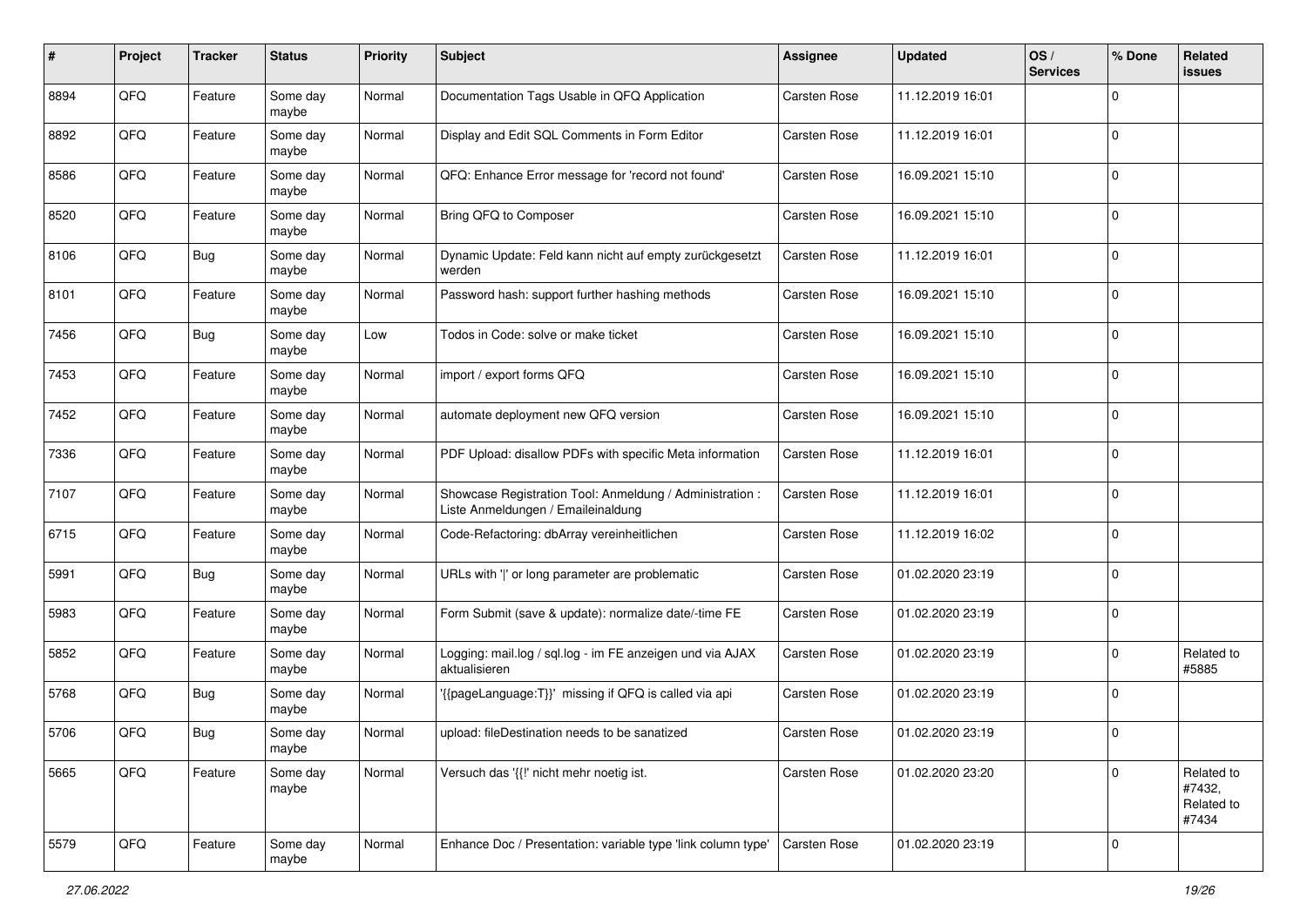| $\pmb{\#}$ | Project | <b>Tracker</b> | <b>Status</b>     | <b>Priority</b> | <b>Subject</b>                                                                                 | <b>Assignee</b>     | <b>Updated</b>   | OS/<br><b>Services</b> | % Done      | Related<br><b>issues</b>                    |
|------------|---------|----------------|-------------------|-----------------|------------------------------------------------------------------------------------------------|---------------------|------------------|------------------------|-------------|---------------------------------------------|
| 8894       | QFQ     | Feature        | Some day<br>maybe | Normal          | Documentation Tags Usable in QFQ Application                                                   | Carsten Rose        | 11.12.2019 16:01 |                        | $\mathbf 0$ |                                             |
| 8892       | QFQ     | Feature        | Some day<br>maybe | Normal          | Display and Edit SQL Comments in Form Editor                                                   | Carsten Rose        | 11.12.2019 16:01 |                        | $\mathbf 0$ |                                             |
| 8586       | QFQ     | Feature        | Some day<br>maybe | Normal          | QFQ: Enhance Error message for 'record not found'                                              | Carsten Rose        | 16.09.2021 15:10 |                        | $\mathbf 0$ |                                             |
| 8520       | QFQ     | Feature        | Some day<br>maybe | Normal          | Bring QFQ to Composer                                                                          | Carsten Rose        | 16.09.2021 15:10 |                        | $\mathbf 0$ |                                             |
| 8106       | QFQ     | <b>Bug</b>     | Some day<br>maybe | Normal          | Dynamic Update: Feld kann nicht auf empty zurückgesetzt<br>werden                              | Carsten Rose        | 11.12.2019 16:01 |                        | $\mathbf 0$ |                                             |
| 8101       | QFQ     | Feature        | Some day<br>maybe | Normal          | Password hash: support further hashing methods                                                 | Carsten Rose        | 16.09.2021 15:10 |                        | $\mathbf 0$ |                                             |
| 7456       | QFQ     | Bug            | Some day<br>maybe | Low             | Todos in Code: solve or make ticket                                                            | Carsten Rose        | 16.09.2021 15:10 |                        | $\mathbf 0$ |                                             |
| 7453       | QFQ     | Feature        | Some day<br>maybe | Normal          | import / export forms QFQ                                                                      | Carsten Rose        | 16.09.2021 15:10 |                        | $\mathbf 0$ |                                             |
| 7452       | QFQ     | Feature        | Some day<br>maybe | Normal          | automate deployment new QFQ version                                                            | Carsten Rose        | 16.09.2021 15:10 |                        | $\mathbf 0$ |                                             |
| 7336       | QFQ     | Feature        | Some day<br>maybe | Normal          | PDF Upload: disallow PDFs with specific Meta information                                       | Carsten Rose        | 11.12.2019 16:01 |                        | $\mathbf 0$ |                                             |
| 7107       | QFQ     | Feature        | Some day<br>maybe | Normal          | Showcase Registration Tool: Anmeldung / Administration :<br>Liste Anmeldungen / Emaileinaldung | Carsten Rose        | 11.12.2019 16:01 |                        | $\mathbf 0$ |                                             |
| 6715       | QFQ     | Feature        | Some day<br>maybe | Normal          | Code-Refactoring: dbArray vereinheitlichen                                                     | Carsten Rose        | 11.12.2019 16:02 |                        | $\mathbf 0$ |                                             |
| 5991       | QFQ     | <b>Bug</b>     | Some day<br>maybe | Normal          | URLs with ' ' or long parameter are problematic                                                | Carsten Rose        | 01.02.2020 23:19 |                        | $\mathbf 0$ |                                             |
| 5983       | QFQ     | Feature        | Some day<br>maybe | Normal          | Form Submit (save & update): normalize date/-time FE                                           | Carsten Rose        | 01.02.2020 23:19 |                        | $\mathbf 0$ |                                             |
| 5852       | QFQ     | Feature        | Some day<br>maybe | Normal          | Logging: mail.log / sql.log - im FE anzeigen und via AJAX<br>aktualisieren                     | Carsten Rose        | 01.02.2020 23:19 |                        | $\mathbf 0$ | Related to<br>#5885                         |
| 5768       | QFQ     | <b>Bug</b>     | Some day<br>maybe | Normal          | '{{pageLanguage:T}}' missing if QFQ is called via api                                          | Carsten Rose        | 01.02.2020 23:19 |                        | $\mathbf 0$ |                                             |
| 5706       | QFQ     | Bug            | Some day<br>maybe | Normal          | upload: fileDestination needs to be sanatized                                                  | <b>Carsten Rose</b> | 01.02.2020 23:19 |                        | $\mathbf 0$ |                                             |
| 5665       | QFQ     | Feature        | Some day<br>maybe | Normal          | Versuch das '{{" nicht mehr noetig ist.                                                        | Carsten Rose        | 01.02.2020 23:20 |                        | $\mathbf 0$ | Related to<br>#7432,<br>Related to<br>#7434 |
| 5579       | QFQ     | Feature        | Some day<br>maybe | Normal          | Enhance Doc / Presentation: variable type 'link column type'                                   | Carsten Rose        | 01.02.2020 23:19 |                        | $\mathsf 0$ |                                             |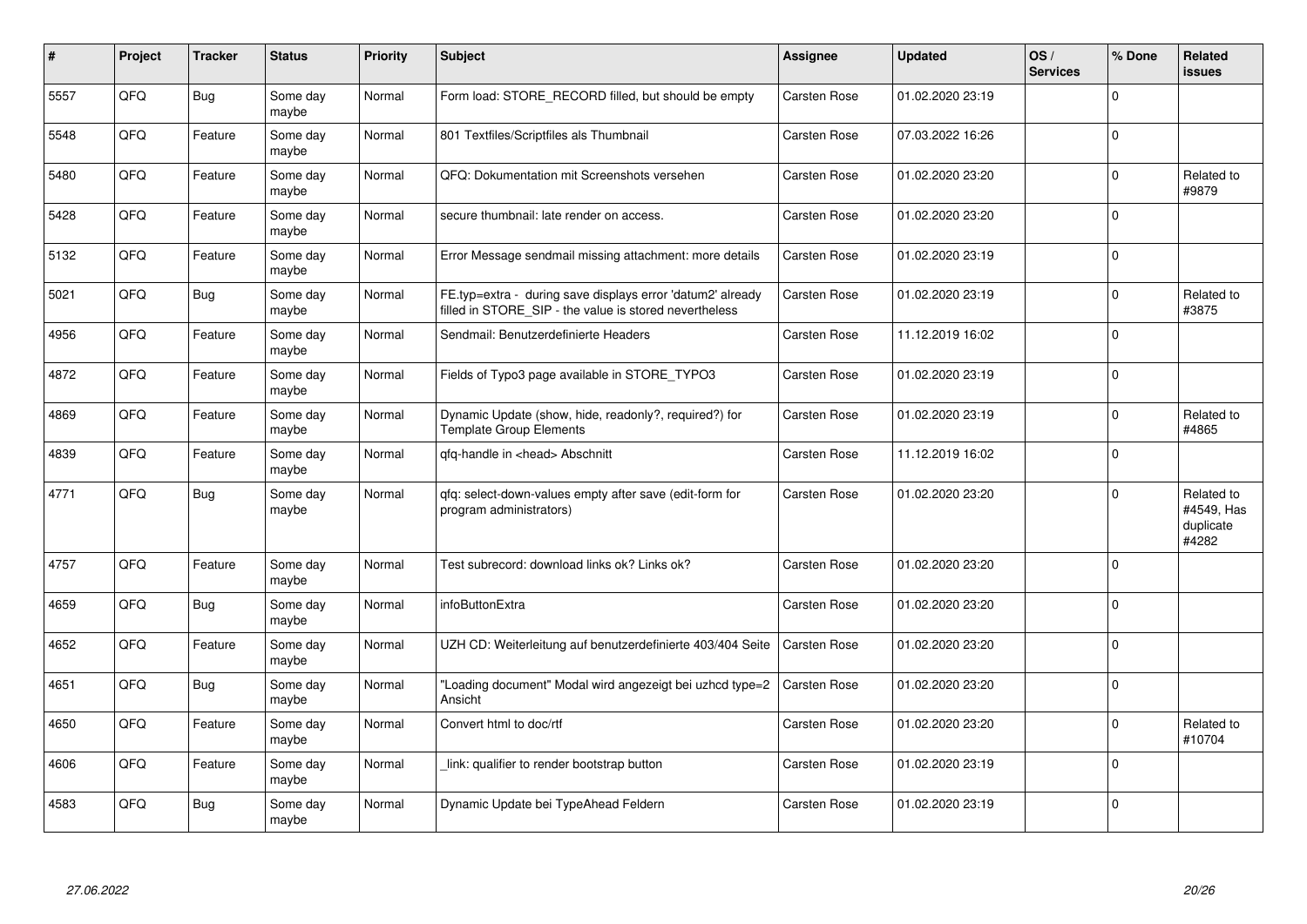| ∦    | Project | <b>Tracker</b> | <b>Status</b>     | <b>Priority</b> | <b>Subject</b>                                                                                                       | <b>Assignee</b>     | <b>Updated</b>   | OS/<br><b>Services</b> | % Done      | Related<br>issues                              |
|------|---------|----------------|-------------------|-----------------|----------------------------------------------------------------------------------------------------------------------|---------------------|------------------|------------------------|-------------|------------------------------------------------|
| 5557 | QFQ     | <b>Bug</b>     | Some day<br>maybe | Normal          | Form load: STORE_RECORD filled, but should be empty                                                                  | Carsten Rose        | 01.02.2020 23:19 |                        | $\Omega$    |                                                |
| 5548 | QFQ     | Feature        | Some day<br>maybe | Normal          | 801 Textfiles/Scriptfiles als Thumbnail                                                                              | Carsten Rose        | 07.03.2022 16:26 |                        | $\Omega$    |                                                |
| 5480 | QFQ     | Feature        | Some day<br>maybe | Normal          | QFQ: Dokumentation mit Screenshots versehen                                                                          | Carsten Rose        | 01.02.2020 23:20 |                        | $\mathbf 0$ | Related to<br>#9879                            |
| 5428 | QFQ     | Feature        | Some day<br>maybe | Normal          | secure thumbnail: late render on access.                                                                             | Carsten Rose        | 01.02.2020 23:20 |                        | $\Omega$    |                                                |
| 5132 | QFQ     | Feature        | Some day<br>maybe | Normal          | Error Message sendmail missing attachment: more details                                                              | Carsten Rose        | 01.02.2020 23:19 |                        | $\Omega$    |                                                |
| 5021 | QFQ     | <b>Bug</b>     | Some day<br>maybe | Normal          | FE.typ=extra - during save displays error 'datum2' already<br>filled in STORE_SIP - the value is stored nevertheless | Carsten Rose        | 01.02.2020 23:19 |                        | $\Omega$    | Related to<br>#3875                            |
| 4956 | QFQ     | Feature        | Some day<br>maybe | Normal          | Sendmail: Benutzerdefinierte Headers                                                                                 | Carsten Rose        | 11.12.2019 16:02 |                        | $\Omega$    |                                                |
| 4872 | QFQ     | Feature        | Some day<br>maybe | Normal          | Fields of Typo3 page available in STORE TYPO3                                                                        | Carsten Rose        | 01.02.2020 23:19 |                        | $\Omega$    |                                                |
| 4869 | QFQ     | Feature        | Some day<br>maybe | Normal          | Dynamic Update (show, hide, readonly?, required?) for<br><b>Template Group Elements</b>                              | Carsten Rose        | 01.02.2020 23:19 |                        | $\Omega$    | Related to<br>#4865                            |
| 4839 | QFQ     | Feature        | Some day<br>maybe | Normal          | gfg-handle in <head> Abschnitt</head>                                                                                | Carsten Rose        | 11.12.2019 16:02 |                        | $\Omega$    |                                                |
| 4771 | QFQ     | <b>Bug</b>     | Some day<br>maybe | Normal          | qfq: select-down-values empty after save (edit-form for<br>program administrators)                                   | <b>Carsten Rose</b> | 01.02.2020 23:20 |                        | $\Omega$    | Related to<br>#4549, Has<br>duplicate<br>#4282 |
| 4757 | QFQ     | Feature        | Some day<br>maybe | Normal          | Test subrecord: download links ok? Links ok?                                                                         | <b>Carsten Rose</b> | 01.02.2020 23:20 |                        | $\Omega$    |                                                |
| 4659 | QFQ     | <b>Bug</b>     | Some day<br>maybe | Normal          | infoButtonExtra                                                                                                      | <b>Carsten Rose</b> | 01.02.2020 23:20 |                        | $\Omega$    |                                                |
| 4652 | QFQ     | Feature        | Some day<br>maybe | Normal          | UZH CD: Weiterleitung auf benutzerdefinierte 403/404 Seite                                                           | Carsten Rose        | 01.02.2020 23:20 |                        | $\Omega$    |                                                |
| 4651 | QFQ     | <b>Bug</b>     | Some day<br>maybe | Normal          | "Loading document" Modal wird angezeigt bei uzhcd type=2<br>Ansicht                                                  | Carsten Rose        | 01.02.2020 23:20 |                        | $\Omega$    |                                                |
| 4650 | QFQ     | Feature        | Some day<br>maybe | Normal          | Convert html to doc/rtf                                                                                              | Carsten Rose        | 01.02.2020 23:20 |                        | $\Omega$    | Related to<br>#10704                           |
| 4606 | QFQ     | Feature        | Some day<br>maybe | Normal          | link: qualifier to render bootstrap button                                                                           | Carsten Rose        | 01.02.2020 23:19 |                        | $\Omega$    |                                                |
| 4583 | QFQ     | Bug            | Some day<br>maybe | Normal          | Dynamic Update bei TypeAhead Feldern                                                                                 | Carsten Rose        | 01.02.2020 23:19 |                        | $\Omega$    |                                                |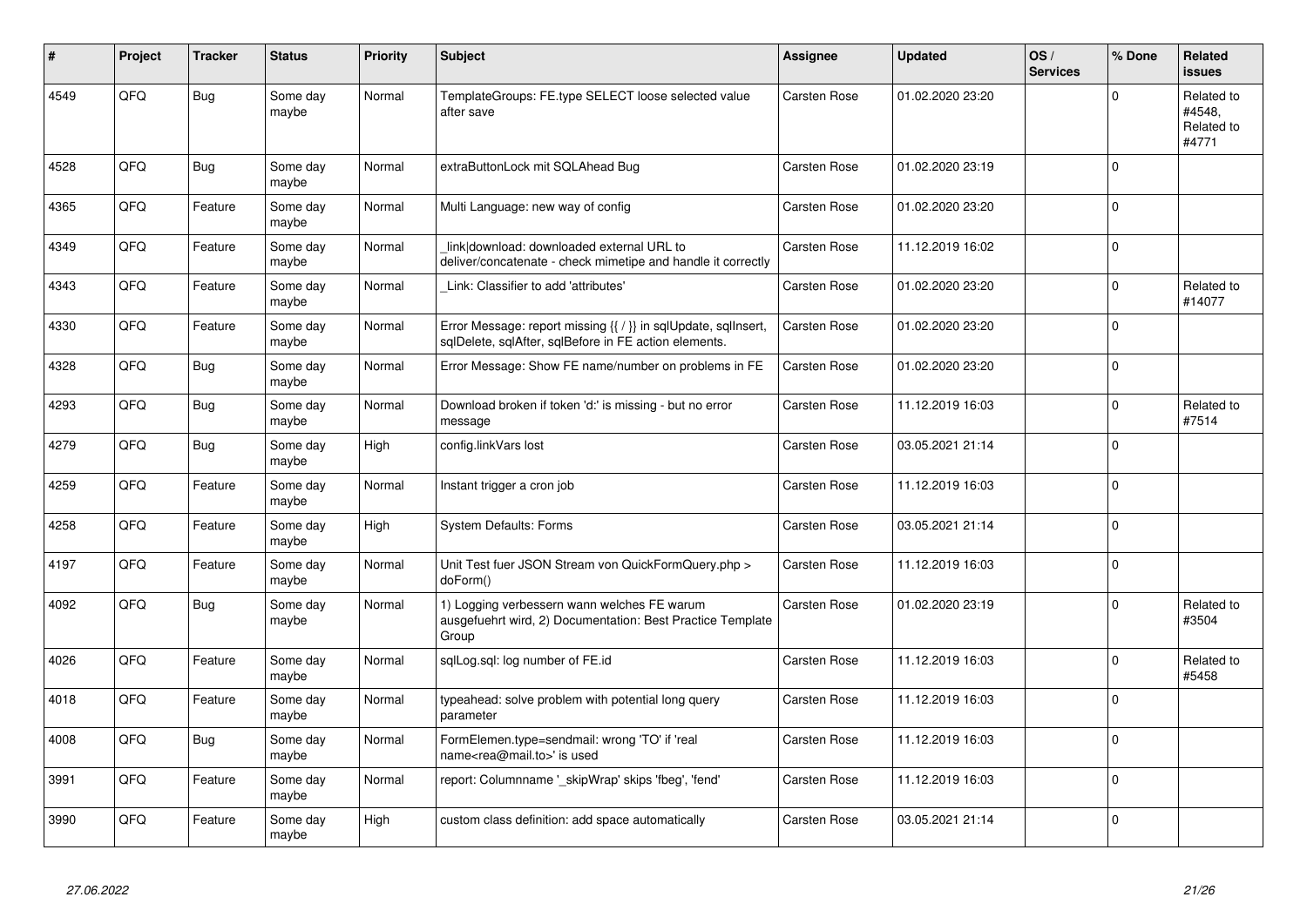| #    | Project | <b>Tracker</b> | <b>Status</b>     | <b>Priority</b> | <b>Subject</b>                                                                                                          | <b>Assignee</b> | <b>Updated</b>   | OS/<br><b>Services</b> | % Done      | Related<br><b>issues</b>                    |
|------|---------|----------------|-------------------|-----------------|-------------------------------------------------------------------------------------------------------------------------|-----------------|------------------|------------------------|-------------|---------------------------------------------|
| 4549 | QFQ     | <b>Bug</b>     | Some day<br>maybe | Normal          | TemplateGroups: FE.type SELECT loose selected value<br>after save                                                       | Carsten Rose    | 01.02.2020 23:20 |                        | $\Omega$    | Related to<br>#4548.<br>Related to<br>#4771 |
| 4528 | QFQ     | <b>Bug</b>     | Some day<br>maybe | Normal          | extraButtonLock mit SQLAhead Bug                                                                                        | Carsten Rose    | 01.02.2020 23:19 |                        | $\mathbf 0$ |                                             |
| 4365 | QFQ     | Feature        | Some day<br>maybe | Normal          | Multi Language: new way of config                                                                                       | Carsten Rose    | 01.02.2020 23:20 |                        | $\Omega$    |                                             |
| 4349 | QFQ     | Feature        | Some day<br>maybe | Normal          | link download: downloaded external URL to<br>deliver/concatenate - check mimetipe and handle it correctly               | Carsten Rose    | 11.12.2019 16:02 |                        | $\Omega$    |                                             |
| 4343 | QFQ     | Feature        | Some day<br>maybe | Normal          | Link: Classifier to add 'attributes'                                                                                    | Carsten Rose    | 01.02.2020 23:20 |                        | $\mathbf 0$ | Related to<br>#14077                        |
| 4330 | QFQ     | Feature        | Some day<br>maybe | Normal          | Error Message: report missing {{ / }} in sqlUpdate, sqlInsert,<br>sqlDelete, sqlAfter, sqlBefore in FE action elements. | Carsten Rose    | 01.02.2020 23:20 |                        | $\mathbf 0$ |                                             |
| 4328 | QFQ     | <b>Bug</b>     | Some day<br>maybe | Normal          | Error Message: Show FE name/number on problems in FE                                                                    | Carsten Rose    | 01.02.2020 23:20 |                        | $\Omega$    |                                             |
| 4293 | QFQ     | <b>Bug</b>     | Some day<br>maybe | Normal          | Download broken if token 'd:' is missing - but no error<br>message                                                      | Carsten Rose    | 11.12.2019 16:03 |                        | $\mathbf 0$ | Related to<br>#7514                         |
| 4279 | QFQ     | <b>Bug</b>     | Some day<br>maybe | High            | config.linkVars lost                                                                                                    | Carsten Rose    | 03.05.2021 21:14 |                        | $\mathbf 0$ |                                             |
| 4259 | QFQ     | Feature        | Some day<br>maybe | Normal          | Instant trigger a cron job                                                                                              | Carsten Rose    | 11.12.2019 16:03 |                        | $\Omega$    |                                             |
| 4258 | QFQ     | Feature        | Some day<br>maybe | High            | <b>System Defaults: Forms</b>                                                                                           | Carsten Rose    | 03.05.2021 21:14 |                        | $\Omega$    |                                             |
| 4197 | QFQ     | Feature        | Some day<br>maybe | Normal          | Unit Test fuer JSON Stream von QuickFormQuery.php ><br>doForm()                                                         | Carsten Rose    | 11.12.2019 16:03 |                        | $\Omega$    |                                             |
| 4092 | QFQ     | Bug            | Some day<br>maybe | Normal          | 1) Logging verbessern wann welches FE warum<br>ausgefuehrt wird, 2) Documentation: Best Practice Template<br>Group      | Carsten Rose    | 01.02.2020 23:19 |                        | $\mathbf 0$ | Related to<br>#3504                         |
| 4026 | QFQ     | Feature        | Some day<br>maybe | Normal          | sqlLog.sql: log number of FE.id                                                                                         | Carsten Rose    | 11.12.2019 16:03 |                        | $\mathbf 0$ | Related to<br>#5458                         |
| 4018 | QFQ     | Feature        | Some day<br>maybe | Normal          | typeahead: solve problem with potential long query<br>parameter                                                         | Carsten Rose    | 11.12.2019 16:03 |                        | $\Omega$    |                                             |
| 4008 | QFQ     | <b>Bug</b>     | Some day<br>maybe | Normal          | FormElemen.type=sendmail: wrong 'TO' if 'real<br>name <rea@mail.to>' is used</rea@mail.to>                              | Carsten Rose    | 11.12.2019 16:03 |                        | $\Omega$    |                                             |
| 3991 | QFQ     | Feature        | Some day<br>maybe | Normal          | report: Columnname '_skipWrap' skips 'fbeg', 'fend'                                                                     | Carsten Rose    | 11.12.2019 16:03 |                        | $\Omega$    |                                             |
| 3990 | QFQ     | Feature        | Some day<br>maybe | High            | custom class definition: add space automatically                                                                        | Carsten Rose    | 03.05.2021 21:14 |                        | $\Omega$    |                                             |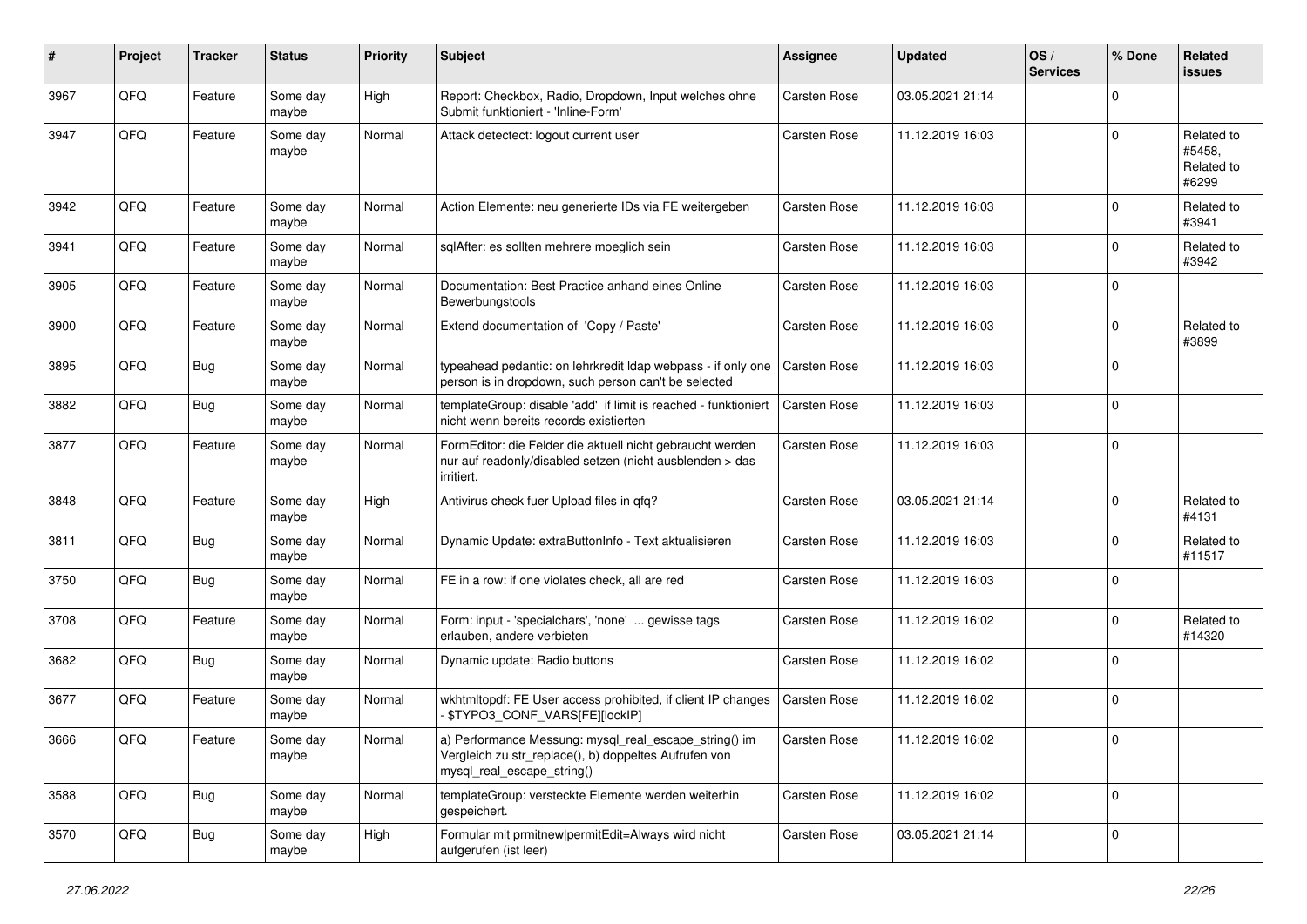| #    | Project        | <b>Tracker</b> | <b>Status</b>     | <b>Priority</b> | <b>Subject</b>                                                                                                                               | <b>Assignee</b>     | <b>Updated</b>   | OS/<br><b>Services</b> | % Done      | Related<br><b>issues</b>                    |
|------|----------------|----------------|-------------------|-----------------|----------------------------------------------------------------------------------------------------------------------------------------------|---------------------|------------------|------------------------|-------------|---------------------------------------------|
| 3967 | QFQ            | Feature        | Some day<br>maybe | High            | Report: Checkbox, Radio, Dropdown, Input welches ohne<br>Submit funktioniert - 'Inline-Form'                                                 | <b>Carsten Rose</b> | 03.05.2021 21:14 |                        | $\Omega$    |                                             |
| 3947 | QFQ            | Feature        | Some day<br>maybe | Normal          | Attack detectect: logout current user                                                                                                        | <b>Carsten Rose</b> | 11.12.2019 16:03 |                        | $\Omega$    | Related to<br>#5458,<br>Related to<br>#6299 |
| 3942 | QFQ            | Feature        | Some day<br>maybe | Normal          | Action Elemente: neu generierte IDs via FE weitergeben                                                                                       | Carsten Rose        | 11.12.2019 16:03 |                        | $\Omega$    | Related to<br>#3941                         |
| 3941 | QFQ            | Feature        | Some day<br>maybe | Normal          | sqlAfter: es sollten mehrere moeglich sein                                                                                                   | <b>Carsten Rose</b> | 11.12.2019 16:03 |                        | $\Omega$    | Related to<br>#3942                         |
| 3905 | QFQ            | Feature        | Some day<br>maybe | Normal          | Documentation: Best Practice anhand eines Online<br>Bewerbungstools                                                                          | Carsten Rose        | 11.12.2019 16:03 |                        | $\Omega$    |                                             |
| 3900 | QFQ            | Feature        | Some day<br>maybe | Normal          | Extend documentation of 'Copy / Paste'                                                                                                       | Carsten Rose        | 11.12.2019 16:03 |                        | $\Omega$    | Related to<br>#3899                         |
| 3895 | QFQ            | <b>Bug</b>     | Some day<br>maybe | Normal          | typeahead pedantic: on lehrkredit Idap webpass - if only one<br>person is in dropdown, such person can't be selected                         | Carsten Rose        | 11.12.2019 16:03 |                        | $\Omega$    |                                             |
| 3882 | QFQ            | Bug            | Some day<br>maybe | Normal          | templateGroup: disable 'add' if limit is reached - funktioniert<br>nicht wenn bereits records existierten                                    | Carsten Rose        | 11.12.2019 16:03 |                        | $\Omega$    |                                             |
| 3877 | QFQ            | Feature        | Some day<br>maybe | Normal          | FormEditor: die Felder die aktuell nicht gebraucht werden<br>nur auf readonly/disabled setzen (nicht ausblenden > das<br>irritiert.          | Carsten Rose        | 11.12.2019 16:03 |                        | $\Omega$    |                                             |
| 3848 | QFQ            | Feature        | Some day<br>maybe | High            | Antivirus check fuer Upload files in qfq?                                                                                                    | <b>Carsten Rose</b> | 03.05.2021 21:14 |                        | $\Omega$    | Related to<br>#4131                         |
| 3811 | QFQ            | Bug            | Some day<br>maybe | Normal          | Dynamic Update: extraButtonInfo - Text aktualisieren                                                                                         | Carsten Rose        | 11.12.2019 16:03 |                        | $\Omega$    | Related to<br>#11517                        |
| 3750 | QFQ            | Bug            | Some day<br>maybe | Normal          | FE in a row: if one violates check, all are red                                                                                              | Carsten Rose        | 11.12.2019 16:03 |                        | $\Omega$    |                                             |
| 3708 | QFQ            | Feature        | Some day<br>maybe | Normal          | Form: input - 'specialchars', 'none'  gewisse tags<br>erlauben, andere verbieten                                                             | Carsten Rose        | 11.12.2019 16:02 |                        | $\Omega$    | Related to<br>#14320                        |
| 3682 | QFQ            | <b>Bug</b>     | Some day<br>maybe | Normal          | Dynamic update: Radio buttons                                                                                                                | <b>Carsten Rose</b> | 11.12.2019 16:02 |                        | $\Omega$    |                                             |
| 3677 | QFQ            | Feature        | Some day<br>maybe | Normal          | wkhtmltopdf: FE User access prohibited, if client IP changes<br>\$TYPO3_CONF_VARS[FE][lockIP]                                                | Carsten Rose        | 11.12.2019 16:02 |                        | $\Omega$    |                                             |
| 3666 | $\mathsf{QFQ}$ | Feature        | Some day<br>maybe | Normal          | a) Performance Messung: mysql_real_escape_string() im<br>Vergleich zu str_replace(), b) doppeltes Aufrufen von<br>mysql real escape string() | Carsten Rose        | 11.12.2019 16:02 |                        |             |                                             |
| 3588 | QFQ            | <b>Bug</b>     | Some day<br>maybe | Normal          | templateGroup: versteckte Elemente werden weiterhin<br>gespeichert.                                                                          | Carsten Rose        | 11.12.2019 16:02 |                        | $\mathbf 0$ |                                             |
| 3570 | QFQ            | <b>Bug</b>     | Some day<br>maybe | High            | Formular mit prmitnew permitEdit=Always wird nicht<br>aufgerufen (ist leer)                                                                  | Carsten Rose        | 03.05.2021 21:14 |                        | $\mathbf 0$ |                                             |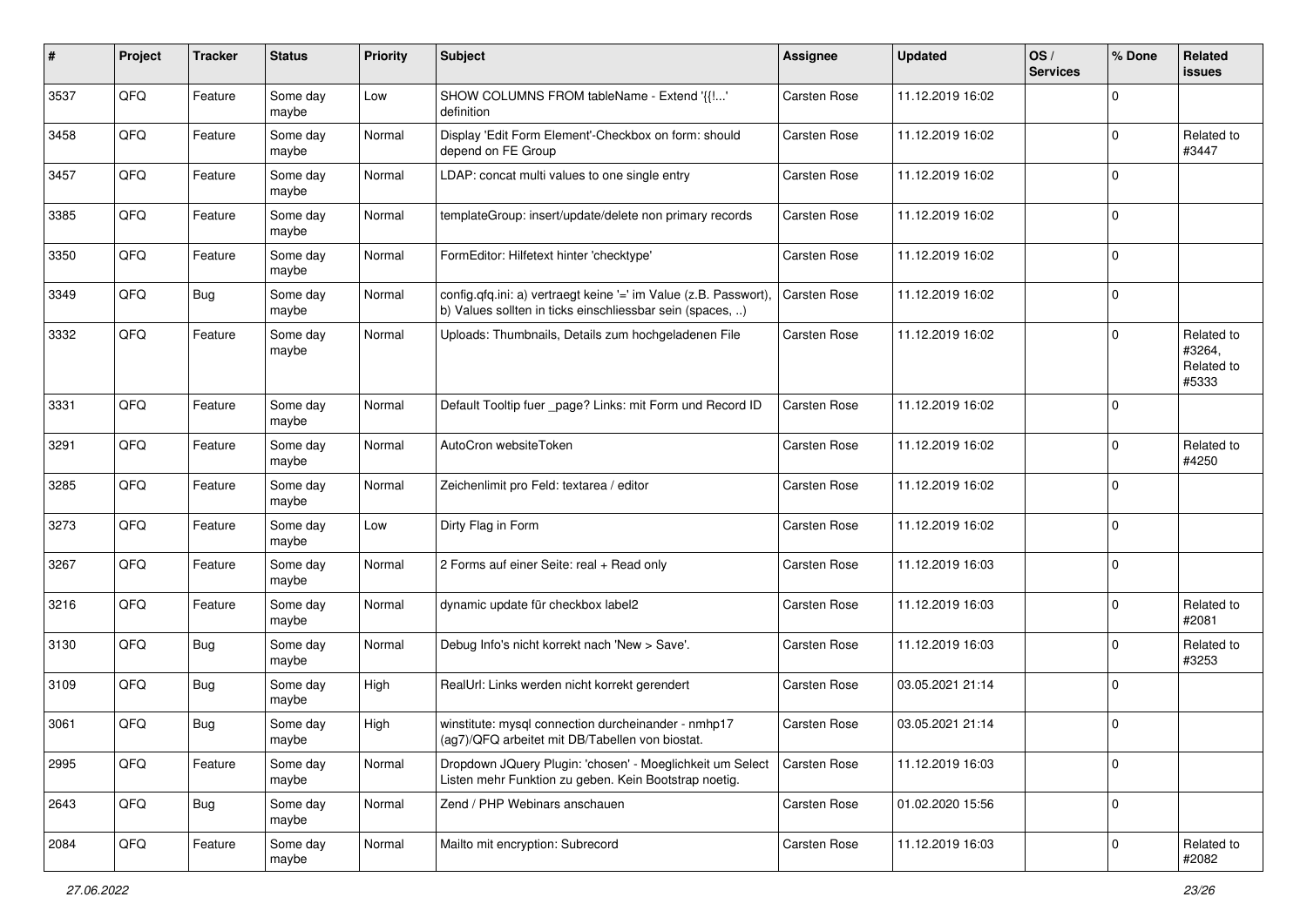| #    | Project | <b>Tracker</b> | <b>Status</b>     | <b>Priority</b> | <b>Subject</b>                                                                                                                | Assignee     | <b>Updated</b>   | OS/<br><b>Services</b> | % Done      | Related<br>issues                           |
|------|---------|----------------|-------------------|-----------------|-------------------------------------------------------------------------------------------------------------------------------|--------------|------------------|------------------------|-------------|---------------------------------------------|
| 3537 | QFQ     | Feature        | Some day<br>maybe | Low             | SHOW COLUMNS FROM tableName - Extend '{{!'<br>definition                                                                      | Carsten Rose | 11.12.2019 16:02 |                        | $\Omega$    |                                             |
| 3458 | QFQ     | Feature        | Some day<br>maybe | Normal          | Display 'Edit Form Element'-Checkbox on form: should<br>depend on FE Group                                                    | Carsten Rose | 11.12.2019 16:02 |                        | $\Omega$    | Related to<br>#3447                         |
| 3457 | QFQ     | Feature        | Some day<br>maybe | Normal          | LDAP: concat multi values to one single entry                                                                                 | Carsten Rose | 11.12.2019 16:02 |                        | $\Omega$    |                                             |
| 3385 | QFQ     | Feature        | Some day<br>maybe | Normal          | templateGroup: insert/update/delete non primary records                                                                       | Carsten Rose | 11.12.2019 16:02 |                        | $\mathbf 0$ |                                             |
| 3350 | QFQ     | Feature        | Some day<br>maybe | Normal          | FormEditor: Hilfetext hinter 'checktype'                                                                                      | Carsten Rose | 11.12.2019 16:02 |                        | $\mathbf 0$ |                                             |
| 3349 | QFQ     | <b>Bug</b>     | Some day<br>maybe | Normal          | config.qfq.ini: a) vertraegt keine '=' im Value (z.B. Passwort),<br>b) Values sollten in ticks einschliessbar sein (spaces, ) | Carsten Rose | 11.12.2019 16:02 |                        | $\Omega$    |                                             |
| 3332 | QFQ     | Feature        | Some day<br>maybe | Normal          | Uploads: Thumbnails, Details zum hochgeladenen File                                                                           | Carsten Rose | 11.12.2019 16:02 |                        | $\Omega$    | Related to<br>#3264,<br>Related to<br>#5333 |
| 3331 | QFQ     | Feature        | Some day<br>maybe | Normal          | Default Tooltip fuer _page? Links: mit Form und Record ID                                                                     | Carsten Rose | 11.12.2019 16:02 |                        | $\mathbf 0$ |                                             |
| 3291 | QFQ     | Feature        | Some day<br>maybe | Normal          | AutoCron websiteToken                                                                                                         | Carsten Rose | 11.12.2019 16:02 |                        | $\Omega$    | Related to<br>#4250                         |
| 3285 | QFQ     | Feature        | Some day<br>maybe | Normal          | Zeichenlimit pro Feld: textarea / editor                                                                                      | Carsten Rose | 11.12.2019 16:02 |                        | $\mathbf 0$ |                                             |
| 3273 | QFQ     | Feature        | Some day<br>maybe | Low             | Dirty Flag in Form                                                                                                            | Carsten Rose | 11.12.2019 16:02 |                        | $\mathbf 0$ |                                             |
| 3267 | QFQ     | Feature        | Some day<br>maybe | Normal          | 2 Forms auf einer Seite: real + Read only                                                                                     | Carsten Rose | 11.12.2019 16:03 |                        | $\Omega$    |                                             |
| 3216 | QFQ     | Feature        | Some day<br>maybe | Normal          | dynamic update für checkbox label2                                                                                            | Carsten Rose | 11.12.2019 16:03 |                        | $\mathbf 0$ | Related to<br>#2081                         |
| 3130 | QFQ     | <b>Bug</b>     | Some day<br>maybe | Normal          | Debug Info's nicht korrekt nach 'New > Save'.                                                                                 | Carsten Rose | 11.12.2019 16:03 |                        | $\Omega$    | Related to<br>#3253                         |
| 3109 | QFQ     | <b>Bug</b>     | Some day<br>maybe | High            | RealUrl: Links werden nicht korrekt gerendert                                                                                 | Carsten Rose | 03.05.2021 21:14 |                        | $\mathbf 0$ |                                             |
| 3061 | QFQ     | <b>Bug</b>     | Some day<br>maybe | High            | winstitute: mysql connection durcheinander - nmhp17<br>(ag7)/QFQ arbeitet mit DB/Tabellen von biostat.                        | Carsten Rose | 03.05.2021 21:14 |                        | $\Omega$    |                                             |
| 2995 | QFQ     | Feature        | Some day<br>maybe | Normal          | Dropdown JQuery Plugin: 'chosen' - Moeglichkeit um Select<br>Listen mehr Funktion zu geben. Kein Bootstrap noetig.            | Carsten Rose | 11.12.2019 16:03 |                        | $\mathbf 0$ |                                             |
| 2643 | QFG     | <b>Bug</b>     | Some day<br>maybe | Normal          | Zend / PHP Webinars anschauen                                                                                                 | Carsten Rose | 01.02.2020 15:56 |                        | $\mathbf 0$ |                                             |
| 2084 | QFQ     | Feature        | Some day<br>maybe | Normal          | Mailto mit encryption: Subrecord                                                                                              | Carsten Rose | 11.12.2019 16:03 |                        | $\mathbf 0$ | Related to<br>#2082                         |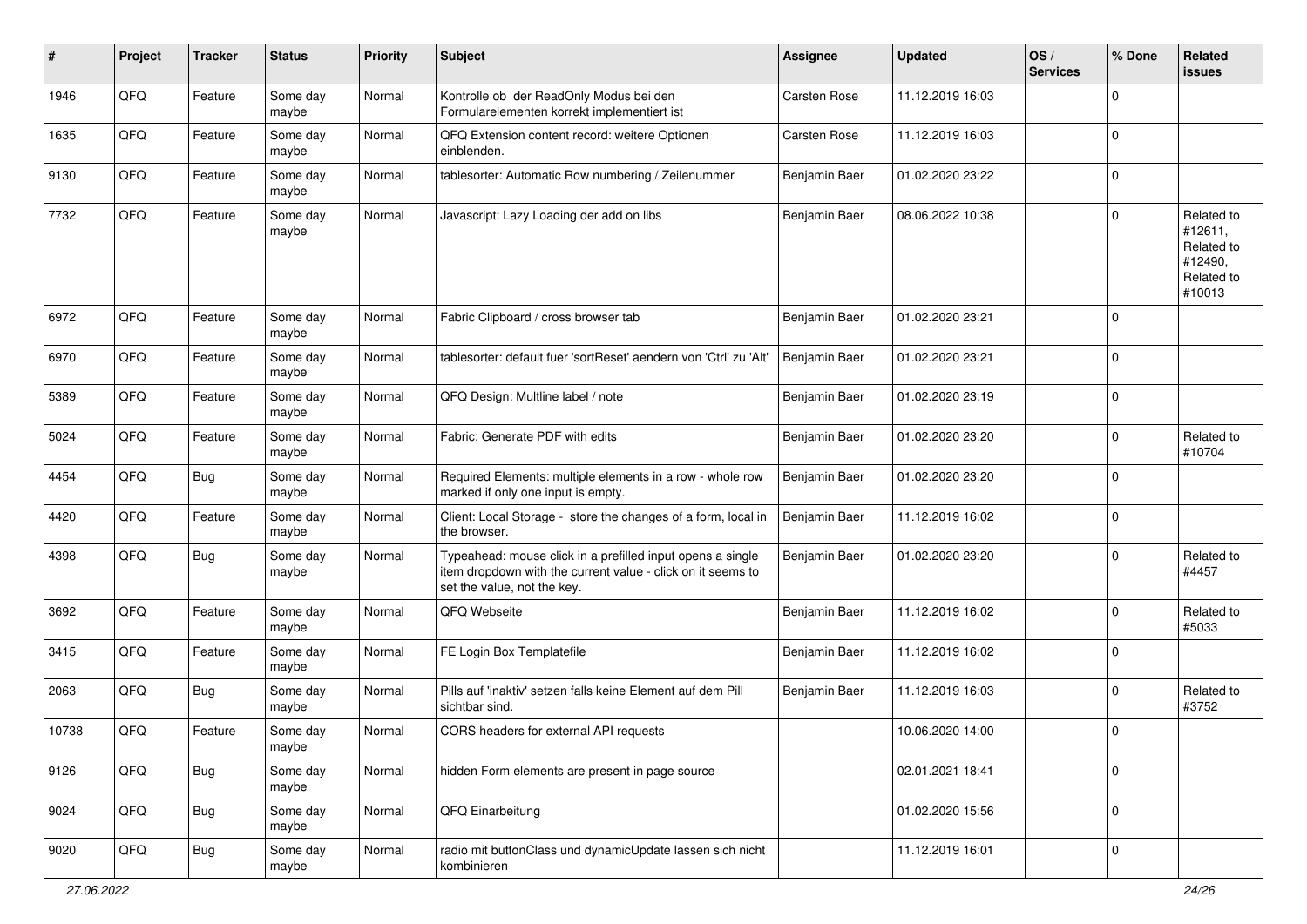| #     | Project | <b>Tracker</b> | <b>Status</b>     | <b>Priority</b> | <b>Subject</b>                                                                                                                                           | <b>Assignee</b>     | <b>Updated</b>   | OS/<br><b>Services</b> | % Done      | <b>Related</b><br>issues                                               |
|-------|---------|----------------|-------------------|-----------------|----------------------------------------------------------------------------------------------------------------------------------------------------------|---------------------|------------------|------------------------|-------------|------------------------------------------------------------------------|
| 1946  | QFQ     | Feature        | Some day<br>maybe | Normal          | Kontrolle ob der ReadOnly Modus bei den<br>Formularelementen korrekt implementiert ist                                                                   | <b>Carsten Rose</b> | 11.12.2019 16:03 |                        | $\Omega$    |                                                                        |
| 1635  | QFQ     | Feature        | Some day<br>maybe | Normal          | QFQ Extension content record: weitere Optionen<br>einblenden.                                                                                            | <b>Carsten Rose</b> | 11.12.2019 16:03 |                        | $\mathbf 0$ |                                                                        |
| 9130  | QFQ     | Feature        | Some day<br>maybe | Normal          | tablesorter: Automatic Row numbering / Zeilenummer                                                                                                       | Benjamin Baer       | 01.02.2020 23:22 |                        | $\mathbf 0$ |                                                                        |
| 7732  | QFQ     | Feature        | Some day<br>maybe | Normal          | Javascript: Lazy Loading der add on libs                                                                                                                 | Benjamin Baer       | 08.06.2022 10:38 |                        | $\mathbf 0$ | Related to<br>#12611,<br>Related to<br>#12490,<br>Related to<br>#10013 |
| 6972  | QFQ     | Feature        | Some day<br>maybe | Normal          | Fabric Clipboard / cross browser tab                                                                                                                     | Benjamin Baer       | 01.02.2020 23:21 |                        | $\mathbf 0$ |                                                                        |
| 6970  | QFQ     | Feature        | Some day<br>maybe | Normal          | tablesorter: default fuer 'sortReset' aendern von 'Ctrl' zu 'Alt'                                                                                        | Benjamin Baer       | 01.02.2020 23:21 |                        | $\mathbf 0$ |                                                                        |
| 5389  | QFQ     | Feature        | Some day<br>maybe | Normal          | QFQ Design: Multline label / note                                                                                                                        | Benjamin Baer       | 01.02.2020 23:19 |                        | $\mathbf 0$ |                                                                        |
| 5024  | QFQ     | Feature        | Some day<br>maybe | Normal          | Fabric: Generate PDF with edits                                                                                                                          | Benjamin Baer       | 01.02.2020 23:20 |                        | $\mathbf 0$ | Related to<br>#10704                                                   |
| 4454  | QFQ     | <b>Bug</b>     | Some day<br>maybe | Normal          | Required Elements: multiple elements in a row - whole row<br>marked if only one input is empty.                                                          | Benjamin Baer       | 01.02.2020 23:20 |                        | $\mathbf 0$ |                                                                        |
| 4420  | QFQ     | Feature        | Some day<br>maybe | Normal          | Client: Local Storage - store the changes of a form, local in<br>the browser.                                                                            | Benjamin Baer       | 11.12.2019 16:02 |                        | $\mathbf 0$ |                                                                        |
| 4398  | QFQ     | <b>Bug</b>     | Some day<br>maybe | Normal          | Typeahead: mouse click in a prefilled input opens a single<br>item dropdown with the current value - click on it seems to<br>set the value, not the key. | Benjamin Baer       | 01.02.2020 23:20 |                        | 0           | Related to<br>#4457                                                    |
| 3692  | QFQ     | Feature        | Some day<br>maybe | Normal          | QFQ Webseite                                                                                                                                             | Benjamin Baer       | 11.12.2019 16:02 |                        | $\mathbf 0$ | Related to<br>#5033                                                    |
| 3415  | QFQ     | Feature        | Some day<br>maybe | Normal          | FE Login Box Templatefile                                                                                                                                | Benjamin Baer       | 11.12.2019 16:02 |                        | $\mathbf 0$ |                                                                        |
| 2063  | QFQ     | <b>Bug</b>     | Some day<br>maybe | Normal          | Pills auf 'inaktiv' setzen falls keine Element auf dem Pill<br>sichtbar sind.                                                                            | Benjamin Baer       | 11.12.2019 16:03 |                        | $\mathbf 0$ | Related to<br>#3752                                                    |
| 10738 | QFQ     | Feature        | Some day<br>maybe | Normal          | CORS headers for external API requests                                                                                                                   |                     | 10.06.2020 14:00 |                        | $\mathbf 0$ |                                                                        |
| 9126  | QFQ     | <b>Bug</b>     | Some day<br>maybe | Normal          | hidden Form elements are present in page source                                                                                                          |                     | 02.01.2021 18:41 |                        | $\mathbf 0$ |                                                                        |
| 9024  | QFQ     | <b>Bug</b>     | Some day<br>maybe | Normal          | QFQ Einarbeitung                                                                                                                                         |                     | 01.02.2020 15:56 |                        | 0           |                                                                        |
| 9020  | QFQ     | <b>Bug</b>     | Some day<br>maybe | Normal          | radio mit buttonClass und dynamicUpdate lassen sich nicht<br>kombinieren                                                                                 |                     | 11.12.2019 16:01 |                        | 0           |                                                                        |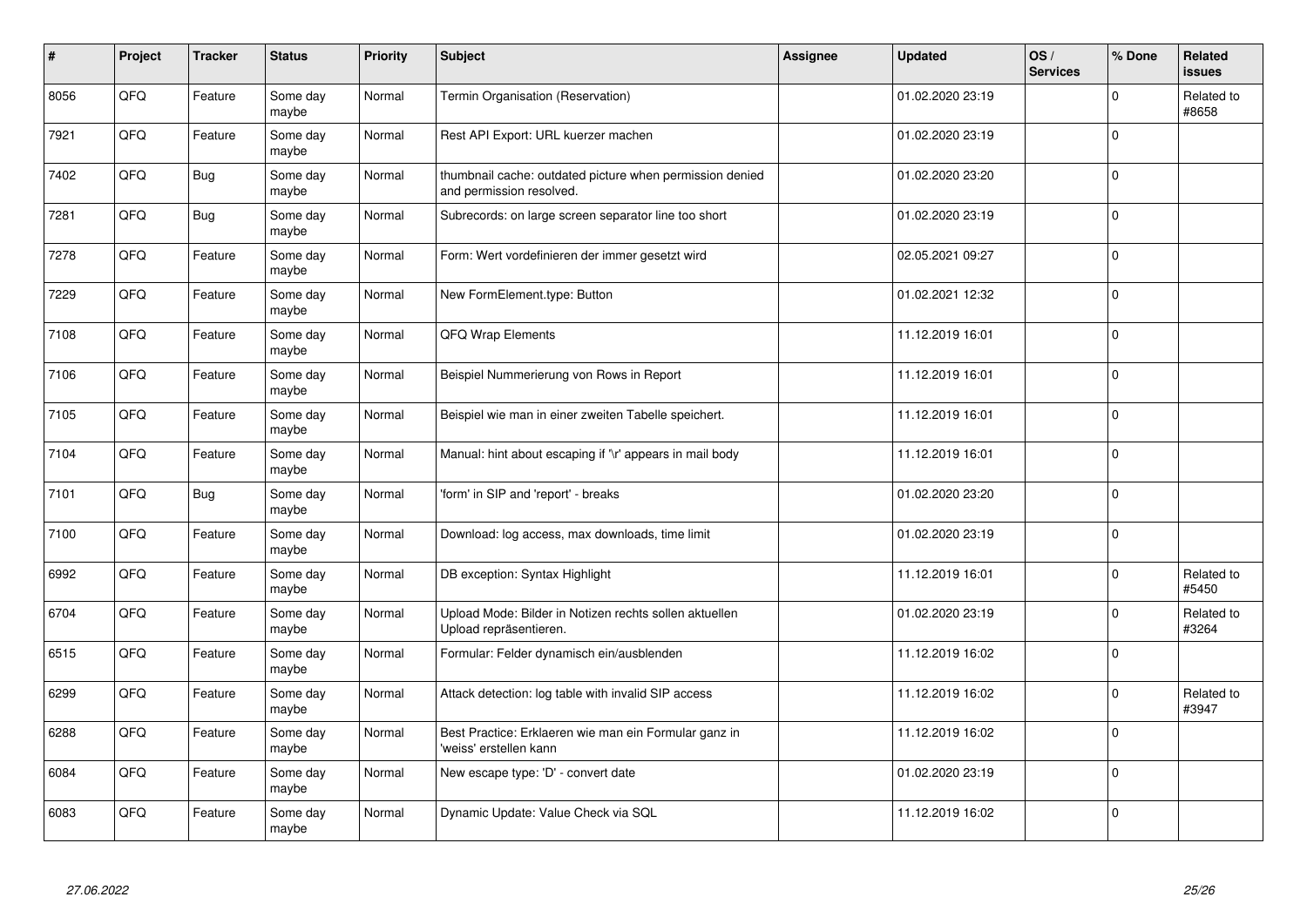| ∦    | Project | <b>Tracker</b> | <b>Status</b>     | <b>Priority</b> | <b>Subject</b>                                                                       | <b>Assignee</b> | <b>Updated</b>   | OS/<br><b>Services</b> | % Done       | <b>Related</b><br><b>issues</b> |
|------|---------|----------------|-------------------|-----------------|--------------------------------------------------------------------------------------|-----------------|------------------|------------------------|--------------|---------------------------------|
| 8056 | QFQ     | Feature        | Some day<br>maybe | Normal          | Termin Organisation (Reservation)                                                    |                 | 01.02.2020 23:19 |                        | $\mathbf 0$  | Related to<br>#8658             |
| 7921 | QFQ     | Feature        | Some day<br>maybe | Normal          | Rest API Export: URL kuerzer machen                                                  |                 | 01.02.2020 23:19 |                        | $\Omega$     |                                 |
| 7402 | QFQ     | Bug            | Some day<br>maybe | Normal          | thumbnail cache: outdated picture when permission denied<br>and permission resolved. |                 | 01.02.2020 23:20 |                        | $\mathbf 0$  |                                 |
| 7281 | QFQ     | <b>Bug</b>     | Some day<br>maybe | Normal          | Subrecords: on large screen separator line too short                                 |                 | 01.02.2020 23:19 |                        | $\mathbf{0}$ |                                 |
| 7278 | QFQ     | Feature        | Some day<br>maybe | Normal          | Form: Wert vordefinieren der immer gesetzt wird                                      |                 | 02.05.2021 09:27 |                        | $\mathbf 0$  |                                 |
| 7229 | QFQ     | Feature        | Some day<br>maybe | Normal          | New FormElement.type: Button                                                         |                 | 01.02.2021 12:32 |                        | $\mathbf 0$  |                                 |
| 7108 | QFQ     | Feature        | Some day<br>maybe | Normal          | <b>QFQ Wrap Elements</b>                                                             |                 | 11.12.2019 16:01 |                        | $\mathbf 0$  |                                 |
| 7106 | QFQ     | Feature        | Some day<br>maybe | Normal          | Beispiel Nummerierung von Rows in Report                                             |                 | 11.12.2019 16:01 |                        | $\mathbf 0$  |                                 |
| 7105 | QFQ     | Feature        | Some day<br>maybe | Normal          | Beispiel wie man in einer zweiten Tabelle speichert.                                 |                 | 11.12.2019 16:01 |                        | $\mathbf 0$  |                                 |
| 7104 | QFQ     | Feature        | Some day<br>maybe | Normal          | Manual: hint about escaping if '\r' appears in mail body                             |                 | 11.12.2019 16:01 |                        | $\mathbf 0$  |                                 |
| 7101 | QFQ     | Bug            | Some day<br>maybe | Normal          | 'form' in SIP and 'report' - breaks                                                  |                 | 01.02.2020 23:20 |                        | $\mathbf 0$  |                                 |
| 7100 | QFQ     | Feature        | Some day<br>maybe | Normal          | Download: log access, max downloads, time limit                                      |                 | 01.02.2020 23:19 |                        | $\mathbf 0$  |                                 |
| 6992 | QFQ     | Feature        | Some day<br>maybe | Normal          | DB exception: Syntax Highlight                                                       |                 | 11.12.2019 16:01 |                        | $\mathbf 0$  | Related to<br>#5450             |
| 6704 | QFQ     | Feature        | Some day<br>maybe | Normal          | Upload Mode: Bilder in Notizen rechts sollen aktuellen<br>Upload repräsentieren.     |                 | 01.02.2020 23:19 |                        | $\mathbf 0$  | Related to<br>#3264             |
| 6515 | QFQ     | Feature        | Some day<br>maybe | Normal          | Formular: Felder dynamisch ein/ausblenden                                            |                 | 11.12.2019 16:02 |                        | $\mathbf 0$  |                                 |
| 6299 | QFQ     | Feature        | Some day<br>maybe | Normal          | Attack detection: log table with invalid SIP access                                  |                 | 11.12.2019 16:02 |                        | $\mathbf 0$  | Related to<br>#3947             |
| 6288 | QFQ     | Feature        | Some day<br>maybe | Normal          | Best Practice: Erklaeren wie man ein Formular ganz in<br>'weiss' erstellen kann      |                 | 11.12.2019 16:02 |                        | $\Omega$     |                                 |
| 6084 | QFQ     | Feature        | Some day<br>maybe | Normal          | New escape type: 'D' - convert date                                                  |                 | 01.02.2020 23:19 |                        | $\mathbf 0$  |                                 |
| 6083 | QFQ     | Feature        | Some day<br>maybe | Normal          | Dynamic Update: Value Check via SQL                                                  |                 | 11.12.2019 16:02 |                        | $\pmb{0}$    |                                 |